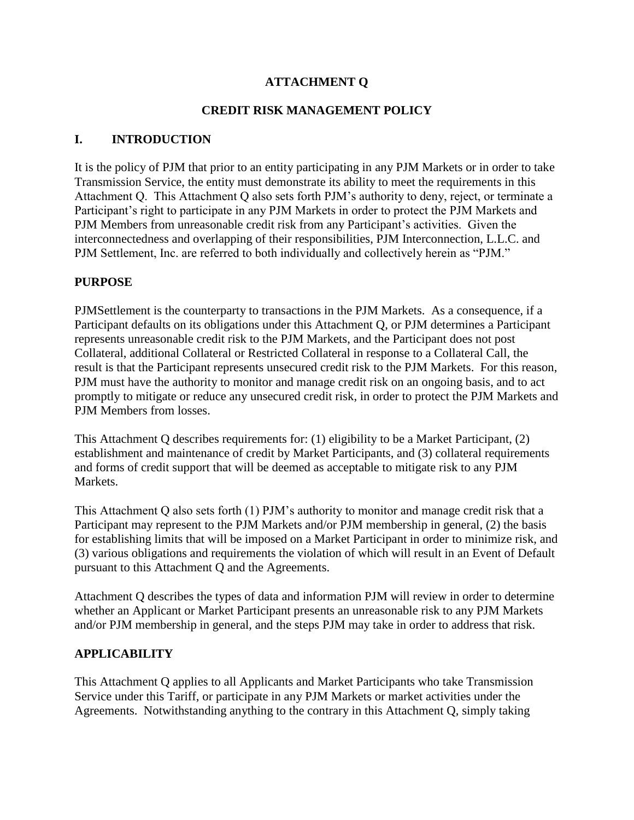### **ATTACHMENT Q**

### **CREDIT RISK MANAGEMENT POLICY**

### **I. INTRODUCTION**

It is the policy of PJM that prior to an entity participating in any PJM Markets or in order to take Transmission Service, the entity must demonstrate its ability to meet the requirements in this Attachment Q. This Attachment Q also sets forth PJM's authority to deny, reject, or terminate a Participant's right to participate in any PJM Markets in order to protect the PJM Markets and PJM Members from unreasonable credit risk from any Participant's activities. Given the interconnectedness and overlapping of their responsibilities, PJM Interconnection, L.L.C. and PJM Settlement, Inc. are referred to both individually and collectively herein as "PJM."

### **PURPOSE**

PJMSettlement is the counterparty to transactions in the PJM Markets. As a consequence, if a Participant defaults on its obligations under this Attachment Q, or PJM determines a Participant represents unreasonable credit risk to the PJM Markets, and the Participant does not post Collateral, additional Collateral or Restricted Collateral in response to a Collateral Call, the result is that the Participant represents unsecured credit risk to the PJM Markets. For this reason, PJM must have the authority to monitor and manage credit risk on an ongoing basis, and to act promptly to mitigate or reduce any unsecured credit risk, in order to protect the PJM Markets and PJM Members from losses.

This Attachment Q describes requirements for: (1) eligibility to be a Market Participant, (2) establishment and maintenance of credit by Market Participants, and (3) collateral requirements and forms of credit support that will be deemed as acceptable to mitigate risk to any PJM Markets.

This Attachment Q also sets forth (1) PJM's authority to monitor and manage credit risk that a Participant may represent to the PJM Markets and/or PJM membership in general, (2) the basis for establishing limits that will be imposed on a Market Participant in order to minimize risk, and (3) various obligations and requirements the violation of which will result in an Event of Default pursuant to this Attachment Q and the Agreements.

Attachment Q describes the types of data and information PJM will review in order to determine whether an Applicant or Market Participant presents an unreasonable risk to any PJM Markets and/or PJM membership in general, and the steps PJM may take in order to address that risk.

### **APPLICABILITY**

This Attachment Q applies to all Applicants and Market Participants who take Transmission Service under this Tariff, or participate in any PJM Markets or market activities under the Agreements. Notwithstanding anything to the contrary in this Attachment Q, simply taking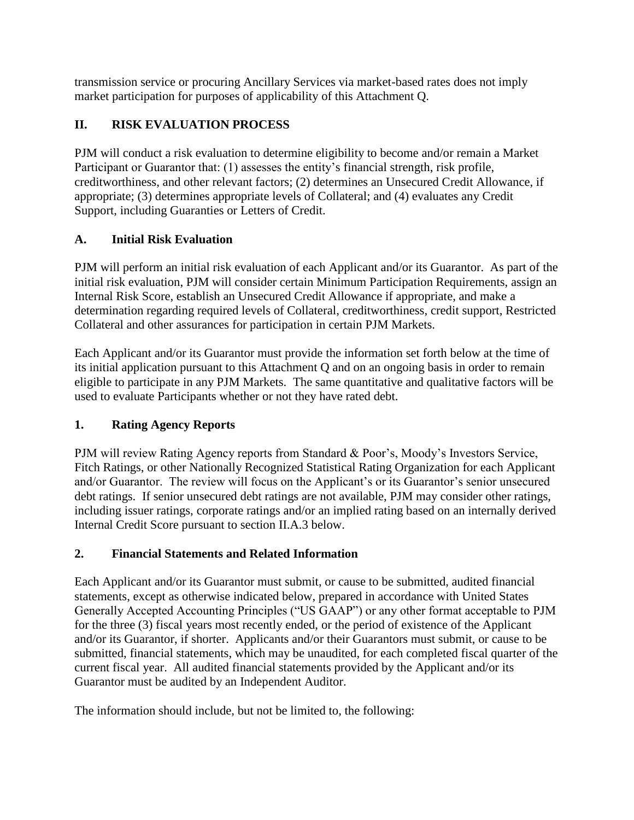transmission service or procuring Ancillary Services via market-based rates does not imply market participation for purposes of applicability of this Attachment Q.

# **II. RISK EVALUATION PROCESS**

PJM will conduct a risk evaluation to determine eligibility to become and/or remain a Market Participant or Guarantor that: (1) assesses the entity's financial strength, risk profile, creditworthiness, and other relevant factors; (2) determines an Unsecured Credit Allowance, if appropriate; (3) determines appropriate levels of Collateral; and (4) evaluates any Credit Support, including Guaranties or Letters of Credit.

## **A. Initial Risk Evaluation**

PJM will perform an initial risk evaluation of each Applicant and/or its Guarantor. As part of the initial risk evaluation, PJM will consider certain Minimum Participation Requirements, assign an Internal Risk Score, establish an Unsecured Credit Allowance if appropriate, and make a determination regarding required levels of Collateral, creditworthiness, credit support, Restricted Collateral and other assurances for participation in certain PJM Markets.

Each Applicant and/or its Guarantor must provide the information set forth below at the time of its initial application pursuant to this Attachment Q and on an ongoing basis in order to remain eligible to participate in any PJM Markets. The same quantitative and qualitative factors will be used to evaluate Participants whether or not they have rated debt.

## **1. Rating Agency Reports**

PJM will review Rating Agency reports from Standard & Poor's, Moody's Investors Service, Fitch Ratings, or other Nationally Recognized Statistical Rating Organization for each Applicant and/or Guarantor. The review will focus on the Applicant's or its Guarantor's senior unsecured debt ratings. If senior unsecured debt ratings are not available, PJM may consider other ratings, including issuer ratings, corporate ratings and/or an implied rating based on an internally derived Internal Credit Score pursuant to section II.A.3 below.

## **2. Financial Statements and Related Information**

Each Applicant and/or its Guarantor must submit, or cause to be submitted, audited financial statements, except as otherwise indicated below, prepared in accordance with United States Generally Accepted Accounting Principles ("US GAAP") or any other format acceptable to PJM for the three (3) fiscal years most recently ended, or the period of existence of the Applicant and/or its Guarantor, if shorter. Applicants and/or their Guarantors must submit, or cause to be submitted, financial statements, which may be unaudited, for each completed fiscal quarter of the current fiscal year. All audited financial statements provided by the Applicant and/or its Guarantor must be audited by an Independent Auditor.

The information should include, but not be limited to, the following: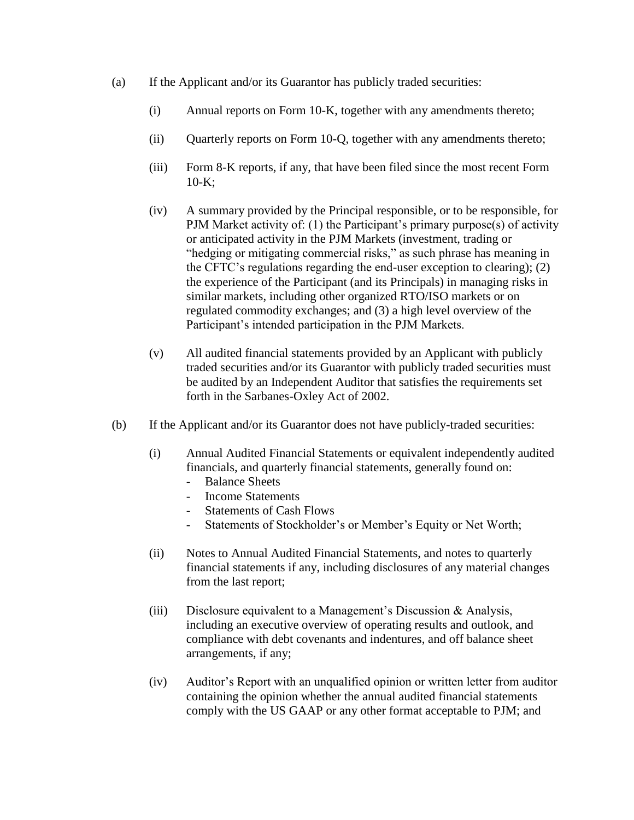- (a) If the Applicant and/or its Guarantor has publicly traded securities:
	- (i) Annual reports on Form 10-K, together with any amendments thereto;
	- (ii) Quarterly reports on Form 10-Q, together with any amendments thereto;
	- (iii) Form 8-K reports, if any, that have been filed since the most recent Form 10-K;
	- (iv) A summary provided by the Principal responsible, or to be responsible, for PJM Market activity of: (1) the Participant's primary purpose(s) of activity or anticipated activity in the PJM Markets (investment, trading or "hedging or mitigating commercial risks," as such phrase has meaning in the CFTC's regulations regarding the end-user exception to clearing); (2) the experience of the Participant (and its Principals) in managing risks in similar markets, including other organized RTO/ISO markets or on regulated commodity exchanges; and (3) a high level overview of the Participant's intended participation in the PJM Markets.
	- (v) All audited financial statements provided by an Applicant with publicly traded securities and/or its Guarantor with publicly traded securities must be audited by an Independent Auditor that satisfies the requirements set forth in the Sarbanes-Oxley Act of 2002.
- (b) If the Applicant and/or its Guarantor does not have publicly-traded securities:
	- (i) Annual Audited Financial Statements or equivalent independently audited financials, and quarterly financial statements, generally found on:
		- Balance Sheets
		- Income Statements
		- Statements of Cash Flows
		- Statements of Stockholder's or Member's Equity or Net Worth;
	- (ii) Notes to Annual Audited Financial Statements, and notes to quarterly financial statements if any, including disclosures of any material changes from the last report;
	- (iii) Disclosure equivalent to a Management's Discussion & Analysis, including an executive overview of operating results and outlook, and compliance with debt covenants and indentures, and off balance sheet arrangements, if any;
	- (iv) Auditor's Report with an unqualified opinion or written letter from auditor containing the opinion whether the annual audited financial statements comply with the US GAAP or any other format acceptable to PJM; and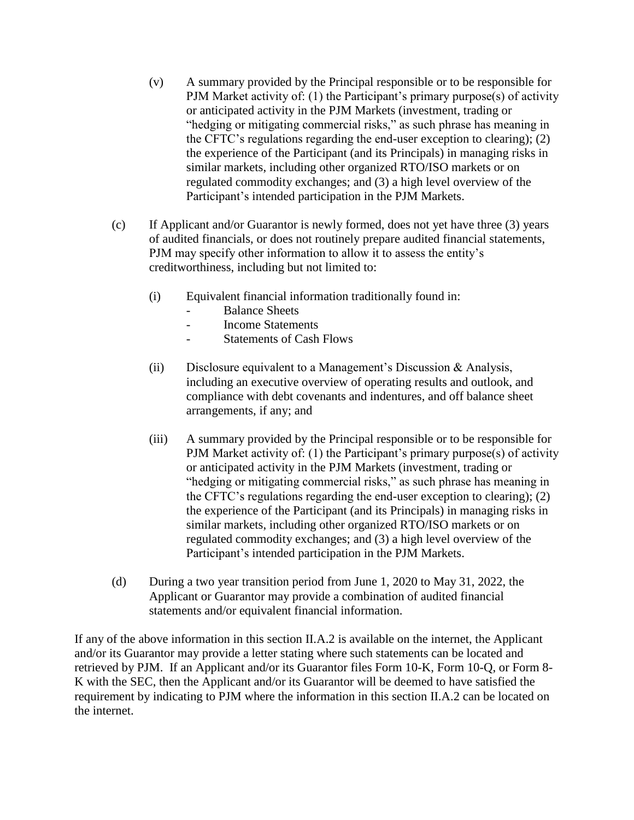- (v) A summary provided by the Principal responsible or to be responsible for PJM Market activity of: (1) the Participant's primary purpose(s) of activity or anticipated activity in the PJM Markets (investment, trading or "hedging or mitigating commercial risks," as such phrase has meaning in the CFTC's regulations regarding the end-user exception to clearing); (2) the experience of the Participant (and its Principals) in managing risks in similar markets, including other organized RTO/ISO markets or on regulated commodity exchanges; and (3) a high level overview of the Participant's intended participation in the PJM Markets.
- (c) If Applicant and/or Guarantor is newly formed, does not yet have three (3) years of audited financials, or does not routinely prepare audited financial statements, PJM may specify other information to allow it to assess the entity's creditworthiness, including but not limited to:
	- (i) Equivalent financial information traditionally found in:
		- Balance Sheets
		- Income Statements
		- Statements of Cash Flows
	- (ii) Disclosure equivalent to a Management's Discussion & Analysis, including an executive overview of operating results and outlook, and compliance with debt covenants and indentures, and off balance sheet arrangements, if any; and
	- (iii) A summary provided by the Principal responsible or to be responsible for PJM Market activity of: (1) the Participant's primary purpose(s) of activity or anticipated activity in the PJM Markets (investment, trading or "hedging or mitigating commercial risks," as such phrase has meaning in the CFTC's regulations regarding the end-user exception to clearing); (2) the experience of the Participant (and its Principals) in managing risks in similar markets, including other organized RTO/ISO markets or on regulated commodity exchanges; and (3) a high level overview of the Participant's intended participation in the PJM Markets.
- (d) During a two year transition period from June 1, 2020 to May 31, 2022, the Applicant or Guarantor may provide a combination of audited financial statements and/or equivalent financial information.

If any of the above information in this section II.A.2 is available on the internet, the Applicant and/or its Guarantor may provide a letter stating where such statements can be located and retrieved by PJM. If an Applicant and/or its Guarantor files Form 10-K, Form 10-Q, or Form 8- K with the SEC, then the Applicant and/or its Guarantor will be deemed to have satisfied the requirement by indicating to PJM where the information in this section II.A.2 can be located on the internet.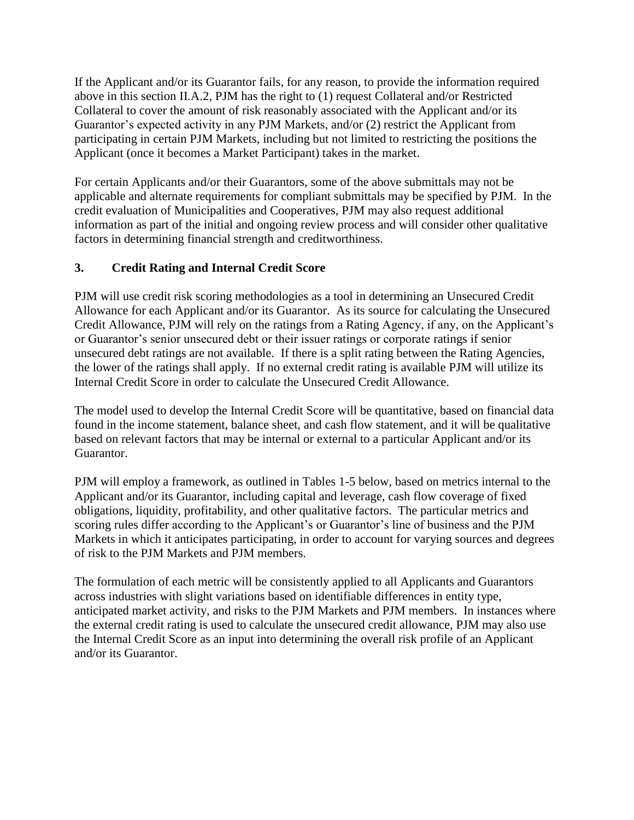If the Applicant and/or its Guarantor fails, for any reason, to provide the information required above in this section II.A.2, PJM has the right to (1) request Collateral and/or Restricted Collateral to cover the amount of risk reasonably associated with the Applicant and/or its Guarantor's expected activity in any PJM Markets, and/or (2) restrict the Applicant from participating in certain PJM Markets, including but not limited to restricting the positions the Applicant (once it becomes a Market Participant) takes in the market.

For certain Applicants and/or their Guarantors, some of the above submittals may not be applicable and alternate requirements for compliant submittals may be specified by PJM. In the credit evaluation of Municipalities and Cooperatives, PJM may also request additional information as part of the initial and ongoing review process and will consider other qualitative factors in determining financial strength and creditworthiness.

## **3. Credit Rating and Internal Credit Score**

PJM will use credit risk scoring methodologies as a tool in determining an Unsecured Credit Allowance for each Applicant and/or its Guarantor. As its source for calculating the Unsecured Credit Allowance, PJM will rely on the ratings from a Rating Agency, if any, on the Applicant's or Guarantor's senior unsecured debt or their issuer ratings or corporate ratings if senior unsecured debt ratings are not available. If there is a split rating between the Rating Agencies, the lower of the ratings shall apply. If no external credit rating is available PJM will utilize its Internal Credit Score in order to calculate the Unsecured Credit Allowance.

The model used to develop the Internal Credit Score will be quantitative, based on financial data found in the income statement, balance sheet, and cash flow statement, and it will be qualitative based on relevant factors that may be internal or external to a particular Applicant and/or its Guarantor.

PJM will employ a framework, as outlined in Tables 1-5 below, based on metrics internal to the Applicant and/or its Guarantor, including capital and leverage, cash flow coverage of fixed obligations, liquidity, profitability, and other qualitative factors. The particular metrics and scoring rules differ according to the Applicant's or Guarantor's line of business and the PJM Markets in which it anticipates participating, in order to account for varying sources and degrees of risk to the PJM Markets and PJM members.

The formulation of each metric will be consistently applied to all Applicants and Guarantors across industries with slight variations based on identifiable differences in entity type, anticipated market activity, and risks to the PJM Markets and PJM members. In instances where the external credit rating is used to calculate the unsecured credit allowance, PJM may also use the Internal Credit Score as an input into determining the overall risk profile of an Applicant and/or its Guarantor.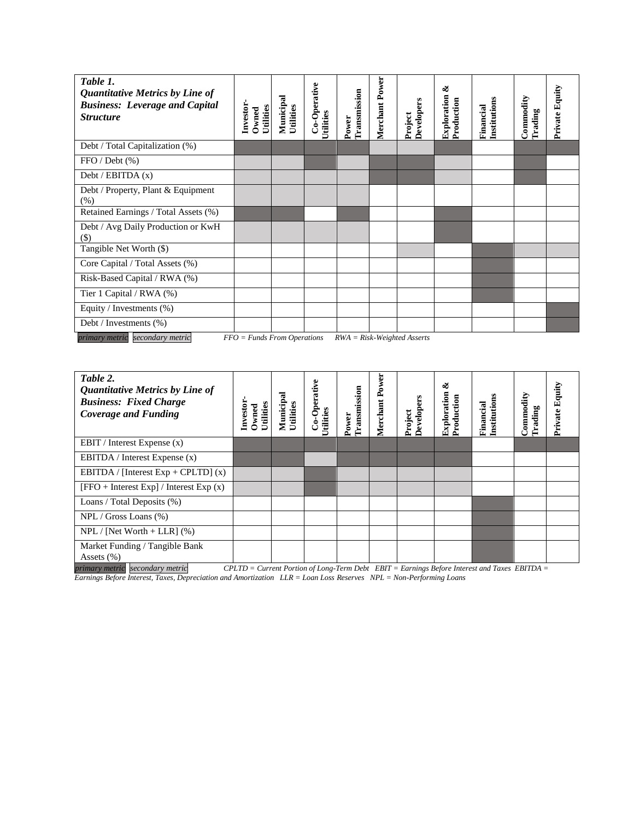| Table 1.<br>Quantitative Metrics by Line of<br><b>Business: Leverage and Capital</b><br><b>Structure</b> | Investor<br>Utilities<br>Owned | Municipal<br>Utilities | Co-Operative<br>Utilities | Transmission<br>Power | Merchant Power | Developers<br>Project | త<br><b>Exploration</b><br>Production | Institutions<br>Financial | Commodity<br>Trading | Private Equity |
|----------------------------------------------------------------------------------------------------------|--------------------------------|------------------------|---------------------------|-----------------------|----------------|-----------------------|---------------------------------------|---------------------------|----------------------|----------------|
| Debt / Total Capitalization (%)                                                                          |                                |                        |                           |                       |                |                       |                                       |                           |                      |                |
| FFO / Debt (%)                                                                                           |                                |                        |                           |                       |                |                       |                                       |                           |                      |                |
| Debt / EBITDA $(x)$                                                                                      |                                |                        |                           |                       |                |                       |                                       |                           |                      |                |
| Debt / Property, Plant & Equipment<br>(% )                                                               |                                |                        |                           |                       |                |                       |                                       |                           |                      |                |
| Retained Earnings / Total Assets (%)                                                                     |                                |                        |                           |                       |                |                       |                                       |                           |                      |                |
| Debt / Avg Daily Production or KwH<br>$(\$)$                                                             |                                |                        |                           |                       |                |                       |                                       |                           |                      |                |
| Tangible Net Worth (\$)                                                                                  |                                |                        |                           |                       |                |                       |                                       |                           |                      |                |
| Core Capital / Total Assets (%)                                                                          |                                |                        |                           |                       |                |                       |                                       |                           |                      |                |
| Risk-Based Capital / RWA (%)                                                                             |                                |                        |                           |                       |                |                       |                                       |                           |                      |                |
| Tier 1 Capital / RWA (%)                                                                                 |                                |                        |                           |                       |                |                       |                                       |                           |                      |                |
| Equity / Investments (%)                                                                                 |                                |                        |                           |                       |                |                       |                                       |                           |                      |                |
| Debt / Investments (%)                                                                                   |                                |                        |                           |                       |                |                       |                                       |                           |                      |                |

|  | primary metric secondary metric | $FFO = Funds$ From Operations $RWA = Risk-Weighted \, {\rm Ass }$ erts |  |
|--|---------------------------------|------------------------------------------------------------------------|--|
|--|---------------------------------|------------------------------------------------------------------------|--|

| Table 2.<br><b>Quantitative Metrics by Line of</b><br><b>Business: Fixed Charge</b><br><b>Coverage and Funding</b> | Investor<br>Utilities<br>Owned | Municipal<br>Utilities | Co-Operative<br><b>Jtilities</b> | Transmission<br>Power | Merchant Power | Project<br>Developers | త<br>Exploration<br>Production | Institutions<br>Financial | Commodity<br><b>Trading</b> | Equity<br>Private |
|--------------------------------------------------------------------------------------------------------------------|--------------------------------|------------------------|----------------------------------|-----------------------|----------------|-----------------------|--------------------------------|---------------------------|-----------------------------|-------------------|
| EBIT / Interest Expense $(x)$                                                                                      |                                |                        |                                  |                       |                |                       |                                |                           |                             |                   |
| EBITDA / Interest Expense $(x)$                                                                                    |                                |                        |                                  |                       |                |                       |                                |                           |                             |                   |
| EBITDA / [Interest Exp + CPLTD] $(x)$                                                                              |                                |                        |                                  |                       |                |                       |                                |                           |                             |                   |
| $[FFO + Interest Exp] / Interest Exp (x)$                                                                          |                                |                        |                                  |                       |                |                       |                                |                           |                             |                   |
| Loans / Total Deposits (%)                                                                                         |                                |                        |                                  |                       |                |                       |                                |                           |                             |                   |
| $NPL / Gross$ Loans $(\%)$                                                                                         |                                |                        |                                  |                       |                |                       |                                |                           |                             |                   |
| $NPL / [Net Worth + LLR]$ (%)                                                                                      |                                |                        |                                  |                       |                |                       |                                |                           |                             |                   |
| Market Funding / Tangible Bank<br>Assets $(\% )$                                                                   |                                |                        |                                  |                       |                |                       |                                |                           |                             |                   |

*primary metric secondary metric CPLTD = Current Portion of Long-Term Debt EBIT = Earnings Before Interest and Taxes EBITDA = Earnings Before Interest, Taxes, Depreciation and Amortization LLR = Loan Loss Reserves NPL = Non-Performing Loans*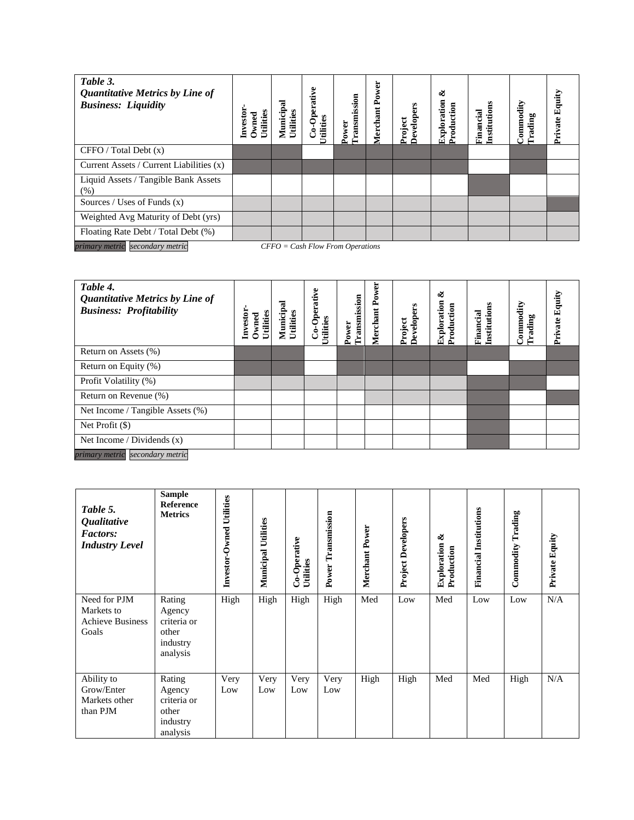| Table 3.<br><b>Quantitative Metrics by Line of</b><br><b>Business: Liquidity</b> | Utilities<br>Investor<br>Owned | ನ<br>Municip<br>Utilities | Co-Operative<br><b>Jtilities</b> | Transmission<br>Power | Power<br>Merchant | Developers<br>Project | ళ<br>Exploration<br>Production | Institutions<br>Financial | Commodity<br>Trading | Equity<br>Private |
|----------------------------------------------------------------------------------|--------------------------------|---------------------------|----------------------------------|-----------------------|-------------------|-----------------------|--------------------------------|---------------------------|----------------------|-------------------|
| CFFO / Total Debt (x)                                                            |                                |                           |                                  |                       |                   |                       |                                |                           |                      |                   |
| Current Assets / Current Liabilities (x)                                         |                                |                           |                                  |                       |                   |                       |                                |                           |                      |                   |
| Liquid Assets / Tangible Bank Assets<br>(% )                                     |                                |                           |                                  |                       |                   |                       |                                |                           |                      |                   |
| Sources / Uses of Funds $(x)$                                                    |                                |                           |                                  |                       |                   |                       |                                |                           |                      |                   |
| Weighted Avg Maturity of Debt (yrs)                                              |                                |                           |                                  |                       |                   |                       |                                |                           |                      |                   |
| Floating Rate Debt / Total Debt (%)                                              |                                |                           |                                  |                       |                   |                       |                                |                           |                      |                   |
| secondary metric<br>$CFFO = Cash Flow From Operations$<br>primary metric         |                                |                           |                                  |                       |                   |                       |                                |                           |                      |                   |

| Table 4.<br><b>Quantitative Metrics by Line of</b><br><b>Business: Profitability</b> | Investor<br>Utilities<br>Owned | Municipal<br>Utilities | Co-Operative<br>Utilities | Transmission<br>Power | Power<br>Merchant | <b>Developers</b><br>Project | ళ<br>Exploration<br>Production | Financial<br>Institutions | Commodity<br>Trading | Equity<br>Private |
|--------------------------------------------------------------------------------------|--------------------------------|------------------------|---------------------------|-----------------------|-------------------|------------------------------|--------------------------------|---------------------------|----------------------|-------------------|
| Return on Assets (%)                                                                 |                                |                        |                           |                       |                   |                              |                                |                           |                      |                   |
| Return on Equity (%)                                                                 |                                |                        |                           |                       |                   |                              |                                |                           |                      |                   |
| Profit Volatility (%)                                                                |                                |                        |                           |                       |                   |                              |                                |                           |                      |                   |
| Return on Revenue (%)                                                                |                                |                        |                           |                       |                   |                              |                                |                           |                      |                   |
| Net Income / Tangible Assets (%)                                                     |                                |                        |                           |                       |                   |                              |                                |                           |                      |                   |
| Net Profit $(\$)$                                                                    |                                |                        |                           |                       |                   |                              |                                |                           |                      |                   |
| Net Income / Dividends $(x)$                                                         |                                |                        |                           |                       |                   |                              |                                |                           |                      |                   |
| primary metric<br>secondary metric                                                   |                                |                        |                           |                       |                   |                              |                                |                           |                      |                   |

| Table 5.<br><i><b>Qualitative</b></i><br><b>Factors:</b><br><b>Industry Level</b> | <b>Sample</b><br>Reference<br><b>Metrics</b>                     | Investor-Owned Utilities | <b>Municipal Utilities</b> | Co-Operative<br>Utilities | Transmission<br>Power | Merchant Power | <b>Project Developers</b> | త<br>Exploration<br>Production | <b>Financial Institutions</b> | Trading<br>Commodity | Private Equity |
|-----------------------------------------------------------------------------------|------------------------------------------------------------------|--------------------------|----------------------------|---------------------------|-----------------------|----------------|---------------------------|--------------------------------|-------------------------------|----------------------|----------------|
| Need for PJM<br>Markets to<br><b>Achieve Business</b><br>Goals                    | Rating<br>Agency<br>criteria or<br>other<br>industry<br>analysis | High                     | High                       | High                      | High                  | Med            | Low                       | Med                            | Low                           | Low                  | N/A            |
| Ability to<br>Grow/Enter<br>Markets other<br>than PJM                             | Rating<br>Agency<br>criteria or<br>other<br>industry<br>analysis | Very<br>Low              | Very<br>Low                | Very<br>Low               | Very<br>Low           | High           | High                      | Med                            | Med                           | High                 | N/A            |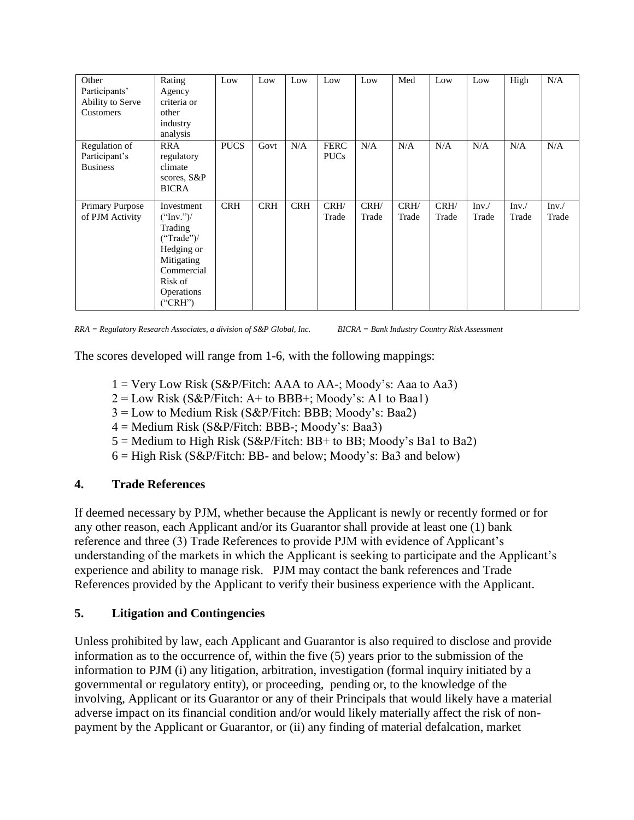| Other<br>Participants'<br>Ability to Serve<br>Customers | Rating<br>Agency<br>criteria or<br>other<br>industry<br>analysis                                                               | Low         | Low        | Low        | Low                        | Low           | Med           | Low           | Low           | High          | N/A           |
|---------------------------------------------------------|--------------------------------------------------------------------------------------------------------------------------------|-------------|------------|------------|----------------------------|---------------|---------------|---------------|---------------|---------------|---------------|
| Regulation of<br>Participant's<br><b>Business</b>       | <b>RRA</b><br>regulatory<br>climate<br>scores, S&P<br><b>BICRA</b>                                                             | <b>PUCS</b> | Govt       | N/A        | <b>FERC</b><br><b>PUCs</b> | N/A           | N/A           | N/A           | N/A           | N/A           | N/A           |
| Primary Purpose<br>of PJM Activity                      | Investment<br>("Inv.")/<br>Trading<br>("Trade")/<br>Hedging or<br>Mitigating<br>Commercial<br>Risk of<br>Operations<br>("CRH") | <b>CRH</b>  | <b>CRH</b> | <b>CRH</b> | CRH/<br>Trade              | CRH/<br>Trade | CRH/<br>Trade | CRH/<br>Trade | Inv.<br>Trade | Inv.<br>Trade | Inv.<br>Trade |

*RRA = Regulatory Research Associates, a division of S&P Global, Inc. BICRA = Bank Industry Country Risk Assessment*

The scores developed will range from 1-6, with the following mappings:

- $1 = \text{Very Low Risk (S&P/Fitch: AAA to AA-; Moody's: Aaa to Aa3)}$
- $2 = Low Risk (S&P/Fitch: A+ to BBB+; Moody's: A1 to Baa1)$
- 3 = Low to Medium Risk (S&P/Fitch: BBB; Moody's: Baa2)
- $4 =$  Medium Risk (S&P/Fitch: BBB-; Moody's: Baa3)
- $5 =$  Medium to High Risk (S&P/Fitch: BB+ to BB; Moody's Ba1 to Ba2)
- $6 =$  High Risk (S&P/Fitch: BB- and below; Moody's: Ba3 and below)

### **4. Trade References**

If deemed necessary by PJM, whether because the Applicant is newly or recently formed or for any other reason, each Applicant and/or its Guarantor shall provide at least one (1) bank reference and three (3) Trade References to provide PJM with evidence of Applicant's understanding of the markets in which the Applicant is seeking to participate and the Applicant's experience and ability to manage risk. PJM may contact the bank references and Trade References provided by the Applicant to verify their business experience with the Applicant.

### **5. Litigation and Contingencies**

Unless prohibited by law, each Applicant and Guarantor is also required to disclose and provide information as to the occurrence of, within the five (5) years prior to the submission of the information to PJM (i) any litigation, arbitration, investigation (formal inquiry initiated by a governmental or regulatory entity), or proceeding, pending or, to the knowledge of the involving, Applicant or its Guarantor or any of their Principals that would likely have a material adverse impact on its financial condition and/or would likely materially affect the risk of nonpayment by the Applicant or Guarantor, or (ii) any finding of material defalcation, market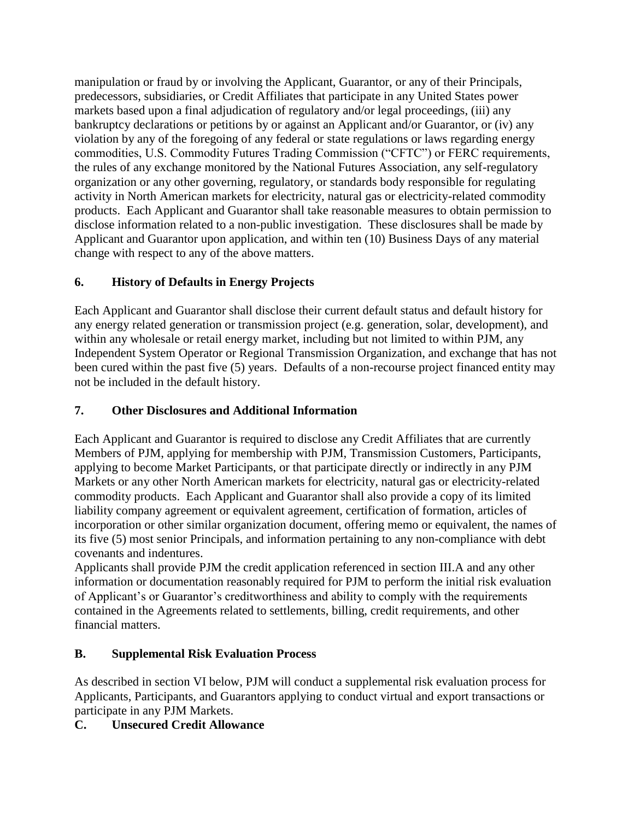manipulation or fraud by or involving the Applicant, Guarantor, or any of their Principals, predecessors, subsidiaries, or Credit Affiliates that participate in any United States power markets based upon a final adjudication of regulatory and/or legal proceedings, (iii) any bankruptcy declarations or petitions by or against an Applicant and/or Guarantor, or (iv) any violation by any of the foregoing of any federal or state regulations or laws regarding energy commodities, U.S. Commodity Futures Trading Commission ("CFTC") or FERC requirements, the rules of any exchange monitored by the National Futures Association, any self-regulatory organization or any other governing, regulatory, or standards body responsible for regulating activity in North American markets for electricity, natural gas or electricity-related commodity products. Each Applicant and Guarantor shall take reasonable measures to obtain permission to disclose information related to a non-public investigation. These disclosures shall be made by Applicant and Guarantor upon application, and within ten (10) Business Days of any material change with respect to any of the above matters.

## **6. History of Defaults in Energy Projects**

Each Applicant and Guarantor shall disclose their current default status and default history for any energy related generation or transmission project (e.g. generation, solar, development), and within any wholesale or retail energy market, including but not limited to within PJM, any Independent System Operator or Regional Transmission Organization, and exchange that has not been cured within the past five (5) years. Defaults of a non-recourse project financed entity may not be included in the default history.

## **7. Other Disclosures and Additional Information**

Each Applicant and Guarantor is required to disclose any Credit Affiliates that are currently Members of PJM, applying for membership with PJM, Transmission Customers, Participants, applying to become Market Participants, or that participate directly or indirectly in any PJM Markets or any other North American markets for electricity, natural gas or electricity-related commodity products. Each Applicant and Guarantor shall also provide a copy of its limited liability company agreement or equivalent agreement, certification of formation, articles of incorporation or other similar organization document, offering memo or equivalent, the names of its five (5) most senior Principals, and information pertaining to any non-compliance with debt covenants and indentures.

Applicants shall provide PJM the credit application referenced in section III.A and any other information or documentation reasonably required for PJM to perform the initial risk evaluation of Applicant's or Guarantor's creditworthiness and ability to comply with the requirements contained in the Agreements related to settlements, billing, credit requirements, and other financial matters.

## **B. Supplemental Risk Evaluation Process**

As described in section VI below, PJM will conduct a supplemental risk evaluation process for Applicants, Participants, and Guarantors applying to conduct virtual and export transactions or participate in any PJM Markets.

## **C. Unsecured Credit Allowance**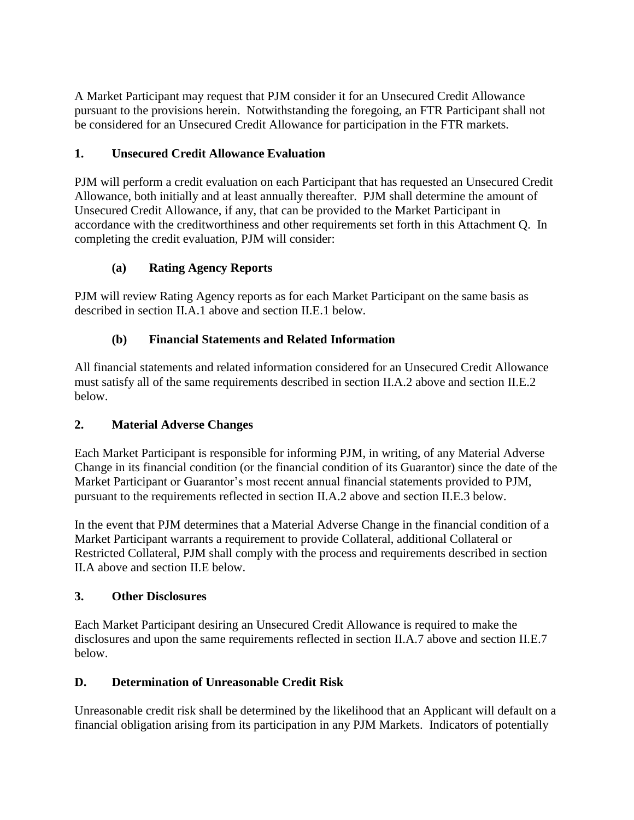A Market Participant may request that PJM consider it for an Unsecured Credit Allowance pursuant to the provisions herein. Notwithstanding the foregoing, an FTR Participant shall not be considered for an Unsecured Credit Allowance for participation in the FTR markets.

## **1. Unsecured Credit Allowance Evaluation**

PJM will perform a credit evaluation on each Participant that has requested an Unsecured Credit Allowance, both initially and at least annually thereafter. PJM shall determine the amount of Unsecured Credit Allowance, if any, that can be provided to the Market Participant in accordance with the creditworthiness and other requirements set forth in this Attachment Q. In completing the credit evaluation, PJM will consider:

## **(a) Rating Agency Reports**

PJM will review Rating Agency reports as for each Market Participant on the same basis as described in section II.A.1 above and section II.E.1 below.

## **(b) Financial Statements and Related Information**

All financial statements and related information considered for an Unsecured Credit Allowance must satisfy all of the same requirements described in section II.A.2 above and section II.E.2 below.

## **2. Material Adverse Changes**

Each Market Participant is responsible for informing PJM, in writing, of any Material Adverse Change in its financial condition (or the financial condition of its Guarantor) since the date of the Market Participant or Guarantor's most recent annual financial statements provided to PJM, pursuant to the requirements reflected in section II.A.2 above and section II.E.3 below.

In the event that PJM determines that a Material Adverse Change in the financial condition of a Market Participant warrants a requirement to provide Collateral, additional Collateral or Restricted Collateral, PJM shall comply with the process and requirements described in section II.A above and section II.E below.

## **3. Other Disclosures**

Each Market Participant desiring an Unsecured Credit Allowance is required to make the disclosures and upon the same requirements reflected in section II.A.7 above and section II.E.7 below.

## **D. Determination of Unreasonable Credit Risk**

Unreasonable credit risk shall be determined by the likelihood that an Applicant will default on a financial obligation arising from its participation in any PJM Markets. Indicators of potentially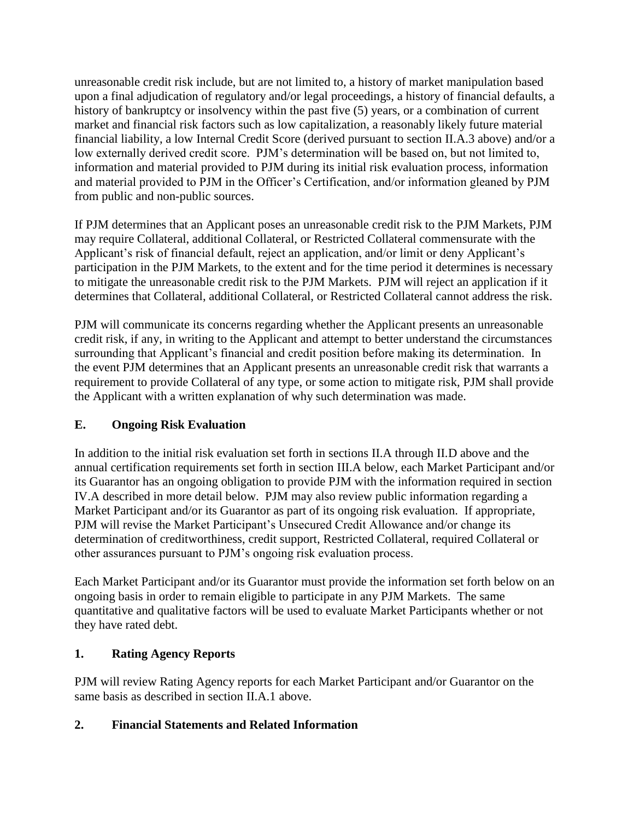unreasonable credit risk include, but are not limited to, a history of market manipulation based upon a final adjudication of regulatory and/or legal proceedings, a history of financial defaults, a history of bankruptcy or insolvency within the past five (5) years, or a combination of current market and financial risk factors such as low capitalization, a reasonably likely future material financial liability, a low Internal Credit Score (derived pursuant to section II.A.3 above) and/or a low externally derived credit score. PJM's determination will be based on, but not limited to, information and material provided to PJM during its initial risk evaluation process, information and material provided to PJM in the Officer's Certification, and/or information gleaned by PJM from public and non-public sources.

If PJM determines that an Applicant poses an unreasonable credit risk to the PJM Markets, PJM may require Collateral, additional Collateral, or Restricted Collateral commensurate with the Applicant's risk of financial default, reject an application, and/or limit or deny Applicant's participation in the PJM Markets, to the extent and for the time period it determines is necessary to mitigate the unreasonable credit risk to the PJM Markets. PJM will reject an application if it determines that Collateral, additional Collateral, or Restricted Collateral cannot address the risk.

PJM will communicate its concerns regarding whether the Applicant presents an unreasonable credit risk, if any, in writing to the Applicant and attempt to better understand the circumstances surrounding that Applicant's financial and credit position before making its determination. In the event PJM determines that an Applicant presents an unreasonable credit risk that warrants a requirement to provide Collateral of any type, or some action to mitigate risk, PJM shall provide the Applicant with a written explanation of why such determination was made.

## **E. Ongoing Risk Evaluation**

In addition to the initial risk evaluation set forth in sections II.A through II.D above and the annual certification requirements set forth in section III.A below, each Market Participant and/or its Guarantor has an ongoing obligation to provide PJM with the information required in section IV.A described in more detail below. PJM may also review public information regarding a Market Participant and/or its Guarantor as part of its ongoing risk evaluation. If appropriate, PJM will revise the Market Participant's Unsecured Credit Allowance and/or change its determination of creditworthiness, credit support, Restricted Collateral, required Collateral or other assurances pursuant to PJM's ongoing risk evaluation process.

Each Market Participant and/or its Guarantor must provide the information set forth below on an ongoing basis in order to remain eligible to participate in any PJM Markets. The same quantitative and qualitative factors will be used to evaluate Market Participants whether or not they have rated debt.

### **1. Rating Agency Reports**

PJM will review Rating Agency reports for each Market Participant and/or Guarantor on the same basis as described in section II.A.1 above.

## **2. Financial Statements and Related Information**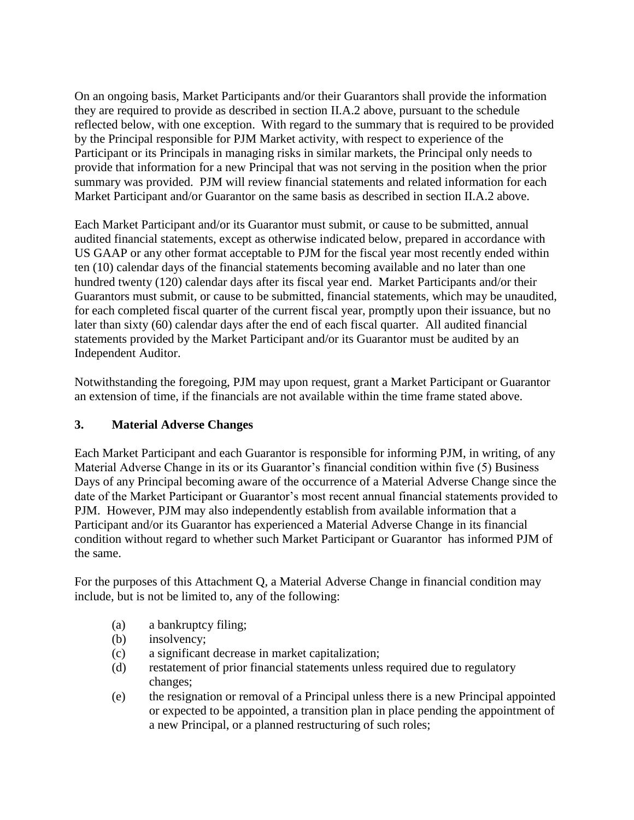On an ongoing basis, Market Participants and/or their Guarantors shall provide the information they are required to provide as described in section II.A.2 above, pursuant to the schedule reflected below, with one exception. With regard to the summary that is required to be provided by the Principal responsible for PJM Market activity, with respect to experience of the Participant or its Principals in managing risks in similar markets, the Principal only needs to provide that information for a new Principal that was not serving in the position when the prior summary was provided. PJM will review financial statements and related information for each Market Participant and/or Guarantor on the same basis as described in section II.A.2 above.

Each Market Participant and/or its Guarantor must submit, or cause to be submitted, annual audited financial statements, except as otherwise indicated below, prepared in accordance with US GAAP or any other format acceptable to PJM for the fiscal year most recently ended within ten (10) calendar days of the financial statements becoming available and no later than one hundred twenty (120) calendar days after its fiscal year end. Market Participants and/or their Guarantors must submit, or cause to be submitted, financial statements, which may be unaudited, for each completed fiscal quarter of the current fiscal year, promptly upon their issuance, but no later than sixty (60) calendar days after the end of each fiscal quarter. All audited financial statements provided by the Market Participant and/or its Guarantor must be audited by an Independent Auditor.

Notwithstanding the foregoing, PJM may upon request, grant a Market Participant or Guarantor an extension of time, if the financials are not available within the time frame stated above.

### **3. Material Adverse Changes**

Each Market Participant and each Guarantor is responsible for informing PJM, in writing, of any Material Adverse Change in its or its Guarantor's financial condition within five (5) Business Days of any Principal becoming aware of the occurrence of a Material Adverse Change since the date of the Market Participant or Guarantor's most recent annual financial statements provided to PJM. However, PJM may also independently establish from available information that a Participant and/or its Guarantor has experienced a Material Adverse Change in its financial condition without regard to whether such Market Participant or Guarantor has informed PJM of the same.

For the purposes of this Attachment Q, a Material Adverse Change in financial condition may include, but is not be limited to, any of the following:

- (a) a bankruptcy filing;
- (b) insolvency;
- (c) a significant decrease in market capitalization;
- (d) restatement of prior financial statements unless required due to regulatory changes;
- (e) the resignation or removal of a Principal unless there is a new Principal appointed or expected to be appointed, a transition plan in place pending the appointment of a new Principal, or a planned restructuring of such roles;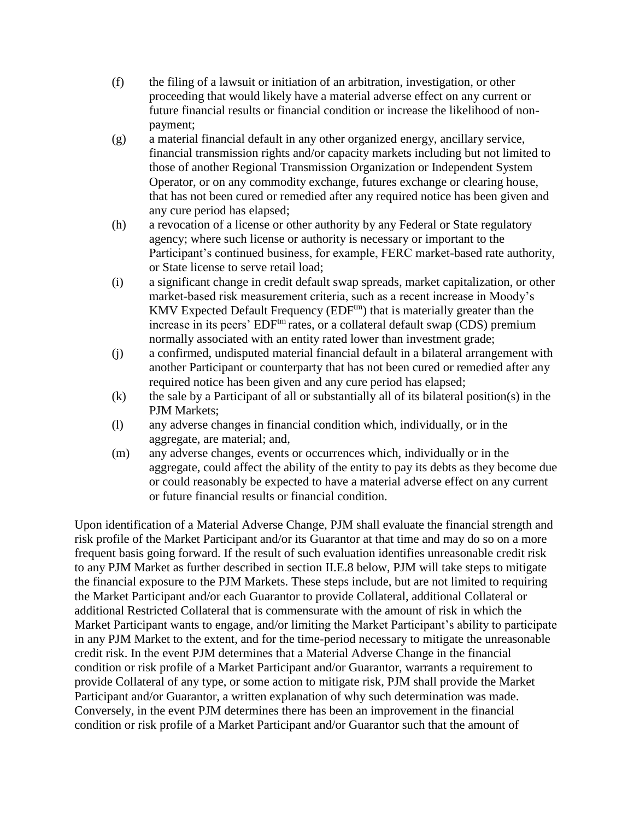- (f) the filing of a lawsuit or initiation of an arbitration, investigation, or other proceeding that would likely have a material adverse effect on any current or future financial results or financial condition or increase the likelihood of nonpayment;
- (g) a material financial default in any other organized energy, ancillary service, financial transmission rights and/or capacity markets including but not limited to those of another Regional Transmission Organization or Independent System Operator, or on any commodity exchange, futures exchange or clearing house, that has not been cured or remedied after any required notice has been given and any cure period has elapsed;
- (h) a revocation of a license or other authority by any Federal or State regulatory agency; where such license or authority is necessary or important to the Participant's continued business, for example, FERC market-based rate authority, or State license to serve retail load;
- (i) a significant change in credit default swap spreads, market capitalization, or other market-based risk measurement criteria, such as a recent increase in Moody's KMV Expected Default Frequency (EDF<sup>tm</sup>) that is materially greater than the increase in its peers'  $EDF<sup>tm</sup>$  rates, or a collateral default swap (CDS) premium normally associated with an entity rated lower than investment grade;
- (j) a confirmed, undisputed material financial default in a bilateral arrangement with another Participant or counterparty that has not been cured or remedied after any required notice has been given and any cure period has elapsed;
- $(k)$  the sale by a Participant of all or substantially all of its bilateral position(s) in the PJM Markets;
- (l) any adverse changes in financial condition which, individually, or in the aggregate, are material; and,
- (m) any adverse changes, events or occurrences which, individually or in the aggregate, could affect the ability of the entity to pay its debts as they become due or could reasonably be expected to have a material adverse effect on any current or future financial results or financial condition.

Upon identification of a Material Adverse Change, PJM shall evaluate the financial strength and risk profile of the Market Participant and/or its Guarantor at that time and may do so on a more frequent basis going forward. If the result of such evaluation identifies unreasonable credit risk to any PJM Market as further described in section II.E.8 below, PJM will take steps to mitigate the financial exposure to the PJM Markets. These steps include, but are not limited to requiring the Market Participant and/or each Guarantor to provide Collateral, additional Collateral or additional Restricted Collateral that is commensurate with the amount of risk in which the Market Participant wants to engage, and/or limiting the Market Participant's ability to participate in any PJM Market to the extent, and for the time-period necessary to mitigate the unreasonable credit risk. In the event PJM determines that a Material Adverse Change in the financial condition or risk profile of a Market Participant and/or Guarantor, warrants a requirement to provide Collateral of any type, or some action to mitigate risk, PJM shall provide the Market Participant and/or Guarantor, a written explanation of why such determination was made. Conversely, in the event PJM determines there has been an improvement in the financial condition or risk profile of a Market Participant and/or Guarantor such that the amount of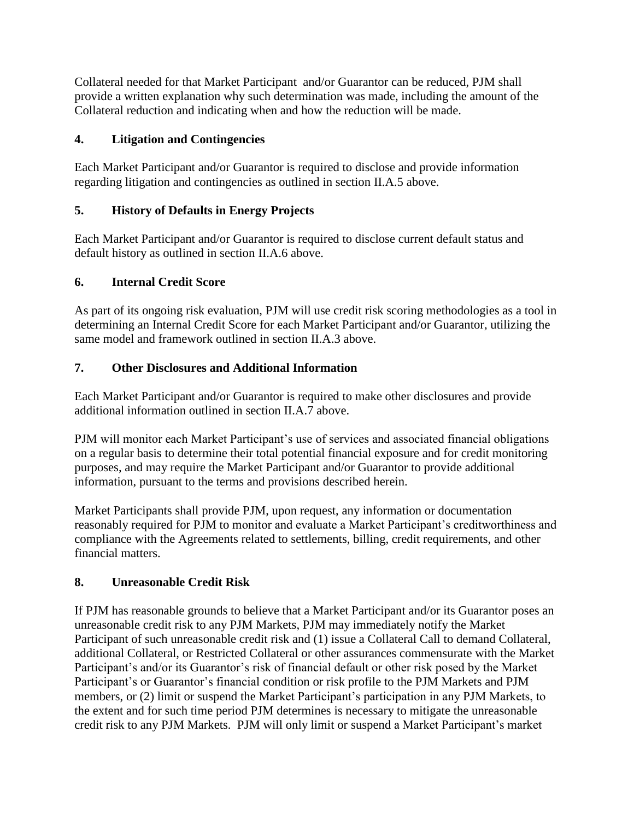Collateral needed for that Market Participant and/or Guarantor can be reduced, PJM shall provide a written explanation why such determination was made, including the amount of the Collateral reduction and indicating when and how the reduction will be made.

## **4. Litigation and Contingencies**

Each Market Participant and/or Guarantor is required to disclose and provide information regarding litigation and contingencies as outlined in section II.A.5 above.

## **5. History of Defaults in Energy Projects**

Each Market Participant and/or Guarantor is required to disclose current default status and default history as outlined in section II.A.6 above.

# **6. Internal Credit Score**

As part of its ongoing risk evaluation, PJM will use credit risk scoring methodologies as a tool in determining an Internal Credit Score for each Market Participant and/or Guarantor, utilizing the same model and framework outlined in section II.A.3 above.

## **7. Other Disclosures and Additional Information**

Each Market Participant and/or Guarantor is required to make other disclosures and provide additional information outlined in section II.A.7 above.

PJM will monitor each Market Participant's use of services and associated financial obligations on a regular basis to determine their total potential financial exposure and for credit monitoring purposes, and may require the Market Participant and/or Guarantor to provide additional information, pursuant to the terms and provisions described herein.

Market Participants shall provide PJM, upon request, any information or documentation reasonably required for PJM to monitor and evaluate a Market Participant's creditworthiness and compliance with the Agreements related to settlements, billing, credit requirements, and other financial matters.

## **8. Unreasonable Credit Risk**

If PJM has reasonable grounds to believe that a Market Participant and/or its Guarantor poses an unreasonable credit risk to any PJM Markets, PJM may immediately notify the Market Participant of such unreasonable credit risk and (1) issue a Collateral Call to demand Collateral, additional Collateral, or Restricted Collateral or other assurances commensurate with the Market Participant's and/or its Guarantor's risk of financial default or other risk posed by the Market Participant's or Guarantor's financial condition or risk profile to the PJM Markets and PJM members, or (2) limit or suspend the Market Participant's participation in any PJM Markets, to the extent and for such time period PJM determines is necessary to mitigate the unreasonable credit risk to any PJM Markets. PJM will only limit or suspend a Market Participant's market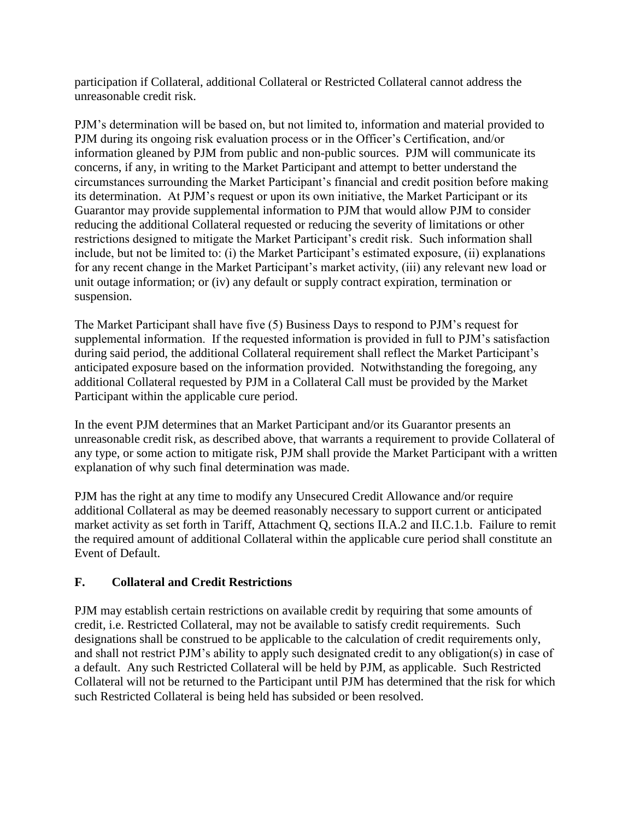participation if Collateral, additional Collateral or Restricted Collateral cannot address the unreasonable credit risk.

PJM's determination will be based on, but not limited to, information and material provided to PJM during its ongoing risk evaluation process or in the Officer's Certification, and/or information gleaned by PJM from public and non-public sources. PJM will communicate its concerns, if any, in writing to the Market Participant and attempt to better understand the circumstances surrounding the Market Participant's financial and credit position before making its determination. At PJM's request or upon its own initiative, the Market Participant or its Guarantor may provide supplemental information to PJM that would allow PJM to consider reducing the additional Collateral requested or reducing the severity of limitations or other restrictions designed to mitigate the Market Participant's credit risk. Such information shall include, but not be limited to: (i) the Market Participant's estimated exposure, (ii) explanations for any recent change in the Market Participant's market activity, (iii) any relevant new load or unit outage information; or (iv) any default or supply contract expiration, termination or suspension.

The Market Participant shall have five (5) Business Days to respond to PJM's request for supplemental information. If the requested information is provided in full to PJM's satisfaction during said period, the additional Collateral requirement shall reflect the Market Participant's anticipated exposure based on the information provided. Notwithstanding the foregoing, any additional Collateral requested by PJM in a Collateral Call must be provided by the Market Participant within the applicable cure period.

In the event PJM determines that an Market Participant and/or its Guarantor presents an unreasonable credit risk, as described above, that warrants a requirement to provide Collateral of any type, or some action to mitigate risk, PJM shall provide the Market Participant with a written explanation of why such final determination was made.

PJM has the right at any time to modify any Unsecured Credit Allowance and/or require additional Collateral as may be deemed reasonably necessary to support current or anticipated market activity as set forth in Tariff, Attachment Q, sections II.A.2 and II.C.1.b. Failure to remit the required amount of additional Collateral within the applicable cure period shall constitute an Event of Default.

### **F. Collateral and Credit Restrictions**

PJM may establish certain restrictions on available credit by requiring that some amounts of credit, i.e. Restricted Collateral, may not be available to satisfy credit requirements. Such designations shall be construed to be applicable to the calculation of credit requirements only, and shall not restrict PJM's ability to apply such designated credit to any obligation(s) in case of a default. Any such Restricted Collateral will be held by PJM, as applicable. Such Restricted Collateral will not be returned to the Participant until PJM has determined that the risk for which such Restricted Collateral is being held has subsided or been resolved.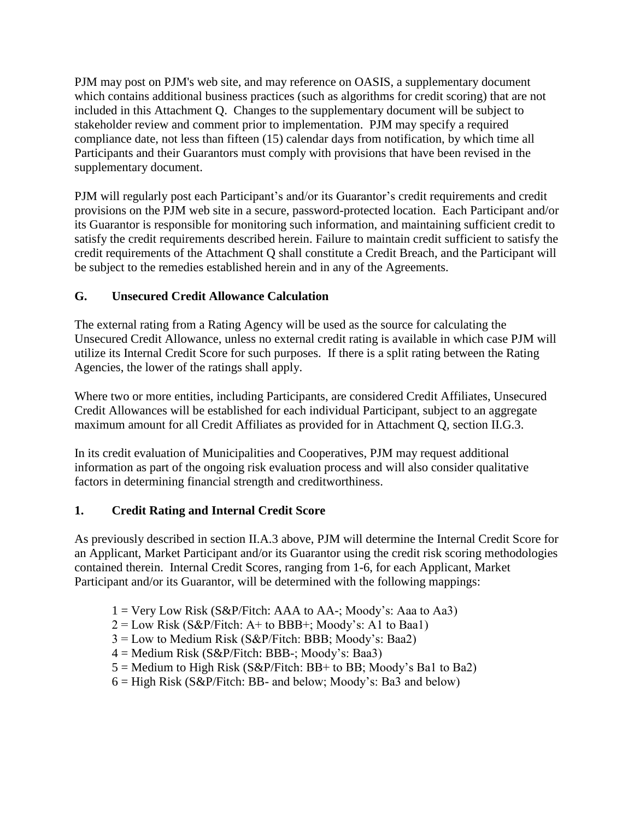PJM may post on PJM's web site, and may reference on OASIS, a supplementary document which contains additional business practices (such as algorithms for credit scoring) that are not included in this Attachment Q. Changes to the supplementary document will be subject to stakeholder review and comment prior to implementation. PJM may specify a required compliance date, not less than fifteen (15) calendar days from notification, by which time all Participants and their Guarantors must comply with provisions that have been revised in the supplementary document.

PJM will regularly post each Participant's and/or its Guarantor's credit requirements and credit provisions on the PJM web site in a secure, password-protected location. Each Participant and/or its Guarantor is responsible for monitoring such information, and maintaining sufficient credit to satisfy the credit requirements described herein. Failure to maintain credit sufficient to satisfy the credit requirements of the Attachment Q shall constitute a Credit Breach, and the Participant will be subject to the remedies established herein and in any of the Agreements.

## **G. Unsecured Credit Allowance Calculation**

The external rating from a Rating Agency will be used as the source for calculating the Unsecured Credit Allowance, unless no external credit rating is available in which case PJM will utilize its Internal Credit Score for such purposes. If there is a split rating between the Rating Agencies, the lower of the ratings shall apply.

Where two or more entities, including Participants, are considered Credit Affiliates, Unsecured Credit Allowances will be established for each individual Participant, subject to an aggregate maximum amount for all Credit Affiliates as provided for in Attachment Q, section II.G.3.

In its credit evaluation of Municipalities and Cooperatives, PJM may request additional information as part of the ongoing risk evaluation process and will also consider qualitative factors in determining financial strength and creditworthiness.

## **1. Credit Rating and Internal Credit Score**

As previously described in section II.A.3 above, PJM will determine the Internal Credit Score for an Applicant, Market Participant and/or its Guarantor using the credit risk scoring methodologies contained therein. Internal Credit Scores, ranging from 1-6, for each Applicant, Market Participant and/or its Guarantor, will be determined with the following mappings:

- $1 = \text{Very Low Risk (S&P/Fitch: AAA to AA-; Moody's: Aaa to Aa3)}$
- $2 = Low Risk (S&P/Fitch: A+ to BBB+: Moody's: A1 to Baa1)$
- $3 =$  Low to Medium Risk (S&P/Fitch: BBB; Moody's: Baa2)
- 4 = Medium Risk (S&P/Fitch: BBB-; Moody's: Baa3)
- $5 =$  Medium to High Risk (S&P/Fitch: BB+ to BB; Moody's Ba1 to Ba2)
- $6 =$  High Risk (S&P/Fitch: BB- and below; Moody's: Ba3 and below)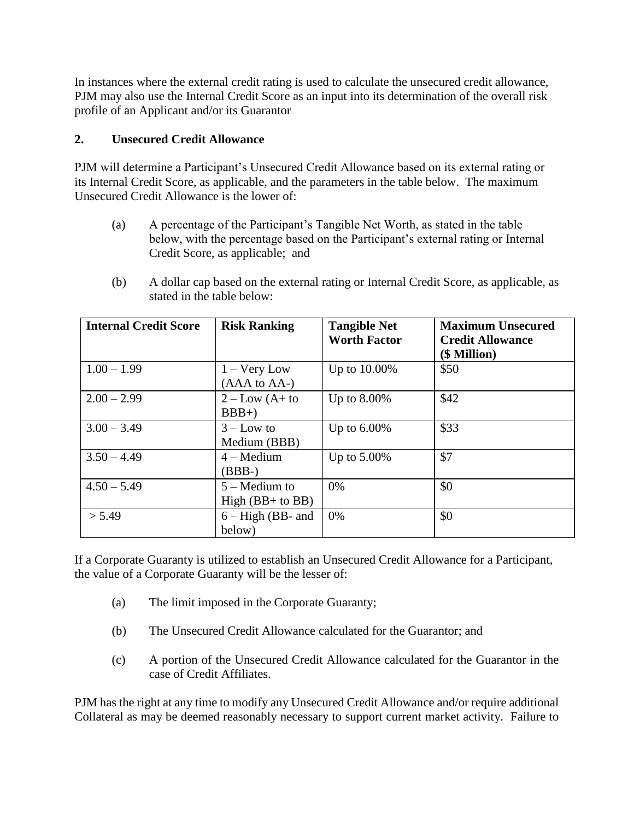In instances where the external credit rating is used to calculate the unsecured credit allowance, PJM may also use the Internal Credit Score as an input into its determination of the overall risk profile of an Applicant and/or its Guarantor

### **2. Unsecured Credit Allowance**

PJM will determine a Participant's Unsecured Credit Allowance based on its external rating or its Internal Credit Score, as applicable, and the parameters in the table below. The maximum Unsecured Credit Allowance is the lower of:

- (a) A percentage of the Participant's Tangible Net Worth, as stated in the table below, with the percentage based on the Participant's external rating or Internal Credit Score, as applicable; and
- (b) A dollar cap based on the external rating or Internal Credit Score, as applicable, as stated in the table below:

| <b>Internal Credit Score</b> | <b>Risk Ranking</b>                   | <b>Tangible Net</b><br><b>Worth Factor</b> | <b>Maximum Unsecured</b><br><b>Credit Allowance</b><br>(\$ Million) |
|------------------------------|---------------------------------------|--------------------------------------------|---------------------------------------------------------------------|
| $1.00 - 1.99$                | $1 -$ Very Low<br>(AAA to AA-)        | Up to 10.00%                               | \$50                                                                |
| $2.00 - 2.99$                | $2 - Low (A + to$<br>$BBB+$           | Up to $8.00\%$                             | \$42                                                                |
| $3.00 - 3.49$                | $3 - Low to$<br>Medium (BBB)          | Up to $6.00\%$                             | \$33                                                                |
| $3.50 - 4.49$                | $4 - Medium$<br>$(BBB-)$              | Up to 5.00%                                | \$7                                                                 |
| $4.50 - 5.49$                | $5 -$ Medium to<br>$High (BB+ to BB)$ | 0%                                         | \$0                                                                 |
| > 5.49                       | $6 - High (BB- and$<br>below)         | 0%                                         | \$0                                                                 |

If a Corporate Guaranty is utilized to establish an Unsecured Credit Allowance for a Participant, the value of a Corporate Guaranty will be the lesser of:

- (a) The limit imposed in the Corporate Guaranty;
- (b) The Unsecured Credit Allowance calculated for the Guarantor; and
- (c) A portion of the Unsecured Credit Allowance calculated for the Guarantor in the case of Credit Affiliates.

PJM has the right at any time to modify any Unsecured Credit Allowance and/or require additional Collateral as may be deemed reasonably necessary to support current market activity. Failure to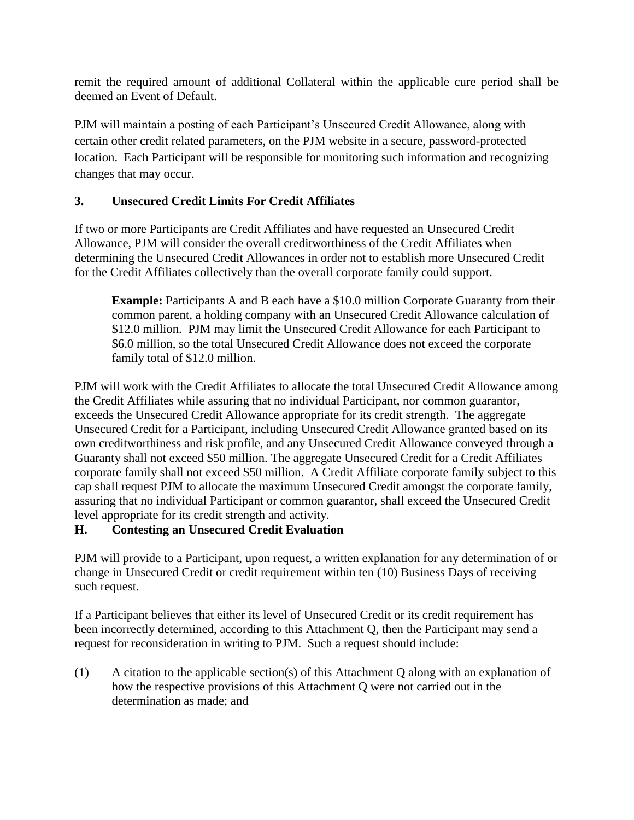remit the required amount of additional Collateral within the applicable cure period shall be deemed an Event of Default.

PJM will maintain a posting of each Participant's Unsecured Credit Allowance, along with certain other credit related parameters, on the PJM website in a secure, password-protected location. Each Participant will be responsible for monitoring such information and recognizing changes that may occur.

### **3. Unsecured Credit Limits For Credit Affiliates**

If two or more Participants are Credit Affiliates and have requested an Unsecured Credit Allowance, PJM will consider the overall creditworthiness of the Credit Affiliates when determining the Unsecured Credit Allowances in order not to establish more Unsecured Credit for the Credit Affiliates collectively than the overall corporate family could support.

**Example:** Participants A and B each have a \$10.0 million Corporate Guaranty from their common parent, a holding company with an Unsecured Credit Allowance calculation of \$12.0 million. PJM may limit the Unsecured Credit Allowance for each Participant to \$6.0 million, so the total Unsecured Credit Allowance does not exceed the corporate family total of \$12.0 million.

PJM will work with the Credit Affiliates to allocate the total Unsecured Credit Allowance among the Credit Affiliates while assuring that no individual Participant, nor common guarantor, exceeds the Unsecured Credit Allowance appropriate for its credit strength. The aggregate Unsecured Credit for a Participant, including Unsecured Credit Allowance granted based on its own creditworthiness and risk profile, and any Unsecured Credit Allowance conveyed through a Guaranty shall not exceed \$50 million. The aggregate Unsecured Credit for a Credit Affiliates corporate family shall not exceed \$50 million. A Credit Affiliate corporate family subject to this cap shall request PJM to allocate the maximum Unsecured Credit amongst the corporate family, assuring that no individual Participant or common guarantor, shall exceed the Unsecured Credit level appropriate for its credit strength and activity.

## **H. Contesting an Unsecured Credit Evaluation**

PJM will provide to a Participant, upon request, a written explanation for any determination of or change in Unsecured Credit or credit requirement within ten (10) Business Days of receiving such request.

If a Participant believes that either its level of Unsecured Credit or its credit requirement has been incorrectly determined, according to this Attachment Q, then the Participant may send a request for reconsideration in writing to PJM. Such a request should include:

(1) A citation to the applicable section(s) of this Attachment Q along with an explanation of how the respective provisions of this Attachment Q were not carried out in the determination as made; and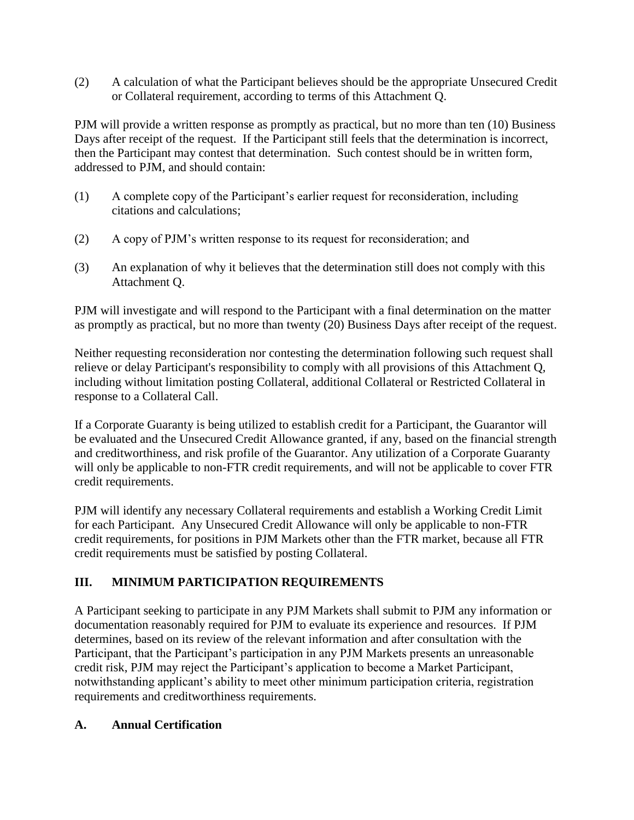(2) A calculation of what the Participant believes should be the appropriate Unsecured Credit or Collateral requirement, according to terms of this Attachment Q.

PJM will provide a written response as promptly as practical, but no more than ten (10) Business Days after receipt of the request. If the Participant still feels that the determination is incorrect, then the Participant may contest that determination. Such contest should be in written form, addressed to PJM, and should contain:

- (1) A complete copy of the Participant's earlier request for reconsideration, including citations and calculations;
- (2) A copy of PJM's written response to its request for reconsideration; and
- (3) An explanation of why it believes that the determination still does not comply with this Attachment Q.

PJM will investigate and will respond to the Participant with a final determination on the matter as promptly as practical, but no more than twenty (20) Business Days after receipt of the request.

Neither requesting reconsideration nor contesting the determination following such request shall relieve or delay Participant's responsibility to comply with all provisions of this Attachment Q, including without limitation posting Collateral, additional Collateral or Restricted Collateral in response to a Collateral Call.

If a Corporate Guaranty is being utilized to establish credit for a Participant, the Guarantor will be evaluated and the Unsecured Credit Allowance granted, if any, based on the financial strength and creditworthiness, and risk profile of the Guarantor. Any utilization of a Corporate Guaranty will only be applicable to non-FTR credit requirements, and will not be applicable to cover FTR credit requirements.

PJM will identify any necessary Collateral requirements and establish a Working Credit Limit for each Participant. Any Unsecured Credit Allowance will only be applicable to non-FTR credit requirements, for positions in PJM Markets other than the FTR market, because all FTR credit requirements must be satisfied by posting Collateral.

## **III. MINIMUM PARTICIPATION REQUIREMENTS**

A Participant seeking to participate in any PJM Markets shall submit to PJM any information or documentation reasonably required for PJM to evaluate its experience and resources. If PJM determines, based on its review of the relevant information and after consultation with the Participant, that the Participant's participation in any PJM Markets presents an unreasonable credit risk, PJM may reject the Participant's application to become a Market Participant, notwithstanding applicant's ability to meet other minimum participation criteria, registration requirements and creditworthiness requirements.

### **A. Annual Certification**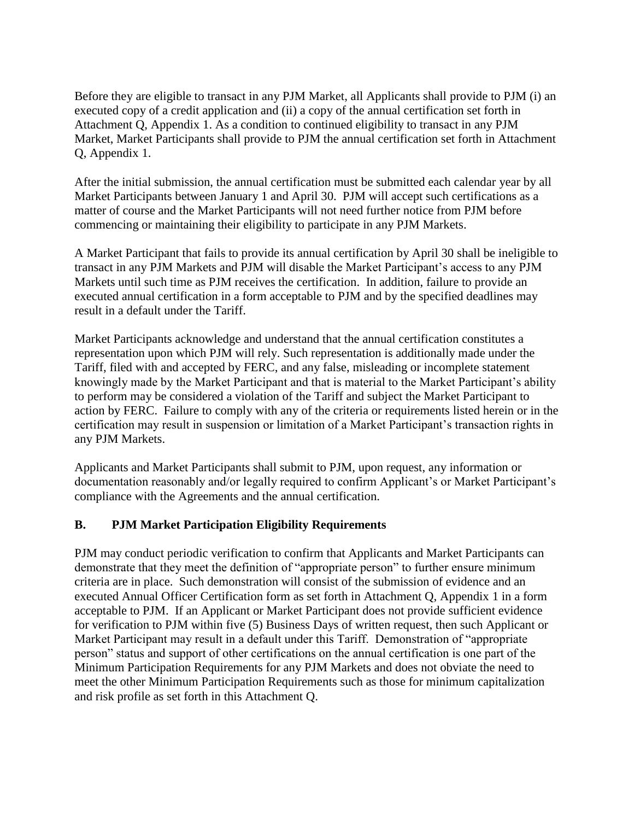Before they are eligible to transact in any PJM Market, all Applicants shall provide to PJM (i) an executed copy of a credit application and (ii) a copy of the annual certification set forth in Attachment Q, Appendix 1. As a condition to continued eligibility to transact in any PJM Market, Market Participants shall provide to PJM the annual certification set forth in Attachment Q, Appendix 1.

After the initial submission, the annual certification must be submitted each calendar year by all Market Participants between January 1 and April 30. PJM will accept such certifications as a matter of course and the Market Participants will not need further notice from PJM before commencing or maintaining their eligibility to participate in any PJM Markets.

A Market Participant that fails to provide its annual certification by April 30 shall be ineligible to transact in any PJM Markets and PJM will disable the Market Participant's access to any PJM Markets until such time as PJM receives the certification. In addition, failure to provide an executed annual certification in a form acceptable to PJM and by the specified deadlines may result in a default under the Tariff.

Market Participants acknowledge and understand that the annual certification constitutes a representation upon which PJM will rely. Such representation is additionally made under the Tariff, filed with and accepted by FERC, and any false, misleading or incomplete statement knowingly made by the Market Participant and that is material to the Market Participant's ability to perform may be considered a violation of the Tariff and subject the Market Participant to action by FERC. Failure to comply with any of the criteria or requirements listed herein or in the certification may result in suspension or limitation of a Market Participant's transaction rights in any PJM Markets.

Applicants and Market Participants shall submit to PJM, upon request, any information or documentation reasonably and/or legally required to confirm Applicant's or Market Participant's compliance with the Agreements and the annual certification.

### **B. PJM Market Participation Eligibility Requirements**

PJM may conduct periodic verification to confirm that Applicants and Market Participants can demonstrate that they meet the definition of "appropriate person" to further ensure minimum criteria are in place. Such demonstration will consist of the submission of evidence and an executed Annual Officer Certification form as set forth in Attachment Q, Appendix 1 in a form acceptable to PJM. If an Applicant or Market Participant does not provide sufficient evidence for verification to PJM within five (5) Business Days of written request, then such Applicant or Market Participant may result in a default under this Tariff. Demonstration of "appropriate person" status and support of other certifications on the annual certification is one part of the Minimum Participation Requirements for any PJM Markets and does not obviate the need to meet the other Minimum Participation Requirements such as those for minimum capitalization and risk profile as set forth in this Attachment Q.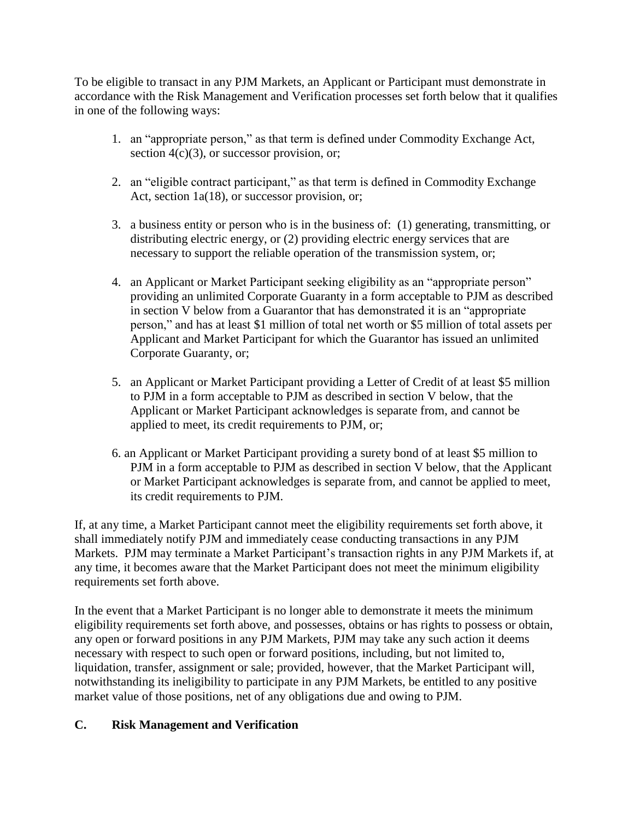To be eligible to transact in any PJM Markets, an Applicant or Participant must demonstrate in accordance with the Risk Management and Verification processes set forth below that it qualifies in one of the following ways:

- 1. an "appropriate person," as that term is defined under Commodity Exchange Act, section  $4(c)(3)$ , or successor provision, or;
- 2. an "eligible contract participant," as that term is defined in Commodity Exchange Act, section 1a(18), or successor provision, or;
- 3. a business entity or person who is in the business of: (1) generating, transmitting, or distributing electric energy, or (2) providing electric energy services that are necessary to support the reliable operation of the transmission system, or;
- 4. an Applicant or Market Participant seeking eligibility as an "appropriate person" providing an unlimited Corporate Guaranty in a form acceptable to PJM as described in section V below from a Guarantor that has demonstrated it is an "appropriate person," and has at least \$1 million of total net worth or \$5 million of total assets per Applicant and Market Participant for which the Guarantor has issued an unlimited Corporate Guaranty, or;
- 5. an Applicant or Market Participant providing a Letter of Credit of at least \$5 million to PJM in a form acceptable to PJM as described in section V below, that the Applicant or Market Participant acknowledges is separate from, and cannot be applied to meet, its credit requirements to PJM, or;
- 6. an Applicant or Market Participant providing a surety bond of at least \$5 million to PJM in a form acceptable to PJM as described in section V below, that the Applicant or Market Participant acknowledges is separate from, and cannot be applied to meet, its credit requirements to PJM.

If, at any time, a Market Participant cannot meet the eligibility requirements set forth above, it shall immediately notify PJM and immediately cease conducting transactions in any PJM Markets. PJM may terminate a Market Participant's transaction rights in any PJM Markets if, at any time, it becomes aware that the Market Participant does not meet the minimum eligibility requirements set forth above.

In the event that a Market Participant is no longer able to demonstrate it meets the minimum eligibility requirements set forth above, and possesses, obtains or has rights to possess or obtain, any open or forward positions in any PJM Markets, PJM may take any such action it deems necessary with respect to such open or forward positions, including, but not limited to, liquidation, transfer, assignment or sale; provided, however, that the Market Participant will, notwithstanding its ineligibility to participate in any PJM Markets, be entitled to any positive market value of those positions, net of any obligations due and owing to PJM.

## **C. Risk Management and Verification**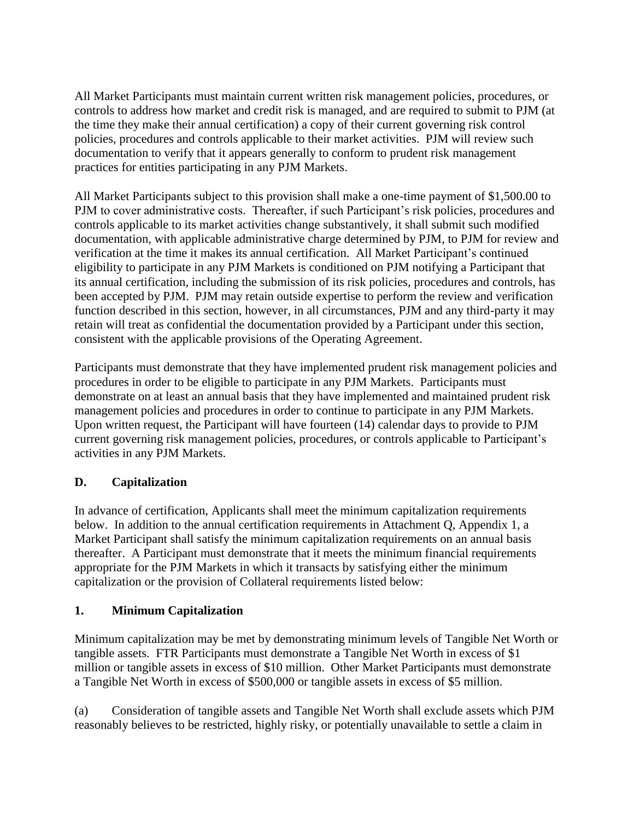All Market Participants must maintain current written risk management policies, procedures, or controls to address how market and credit risk is managed, and are required to submit to PJM (at the time they make their annual certification) a copy of their current governing risk control policies, procedures and controls applicable to their market activities. PJM will review such documentation to verify that it appears generally to conform to prudent risk management practices for entities participating in any PJM Markets.

All Market Participants subject to this provision shall make a one-time payment of \$1,500.00 to PJM to cover administrative costs. Thereafter, if such Participant's risk policies, procedures and controls applicable to its market activities change substantively, it shall submit such modified documentation, with applicable administrative charge determined by PJM, to PJM for review and verification at the time it makes its annual certification. All Market Participant's continued eligibility to participate in any PJM Markets is conditioned on PJM notifying a Participant that its annual certification, including the submission of its risk policies, procedures and controls, has been accepted by PJM. PJM may retain outside expertise to perform the review and verification function described in this section, however, in all circumstances, PJM and any third-party it may retain will treat as confidential the documentation provided by a Participant under this section, consistent with the applicable provisions of the Operating Agreement.

Participants must demonstrate that they have implemented prudent risk management policies and procedures in order to be eligible to participate in any PJM Markets. Participants must demonstrate on at least an annual basis that they have implemented and maintained prudent risk management policies and procedures in order to continue to participate in any PJM Markets. Upon written request, the Participant will have fourteen (14) calendar days to provide to PJM current governing risk management policies, procedures, or controls applicable to Participant's activities in any PJM Markets.

## **D. Capitalization**

In advance of certification, Applicants shall meet the minimum capitalization requirements below. In addition to the annual certification requirements in Attachment Q, Appendix 1, a Market Participant shall satisfy the minimum capitalization requirements on an annual basis thereafter. A Participant must demonstrate that it meets the minimum financial requirements appropriate for the PJM Markets in which it transacts by satisfying either the minimum capitalization or the provision of Collateral requirements listed below:

### **1. Minimum Capitalization**

Minimum capitalization may be met by demonstrating minimum levels of Tangible Net Worth or tangible assets. FTR Participants must demonstrate a Tangible Net Worth in excess of \$1 million or tangible assets in excess of \$10 million. Other Market Participants must demonstrate a Tangible Net Worth in excess of \$500,000 or tangible assets in excess of \$5 million.

(a) Consideration of tangible assets and Tangible Net Worth shall exclude assets which PJM reasonably believes to be restricted, highly risky, or potentially unavailable to settle a claim in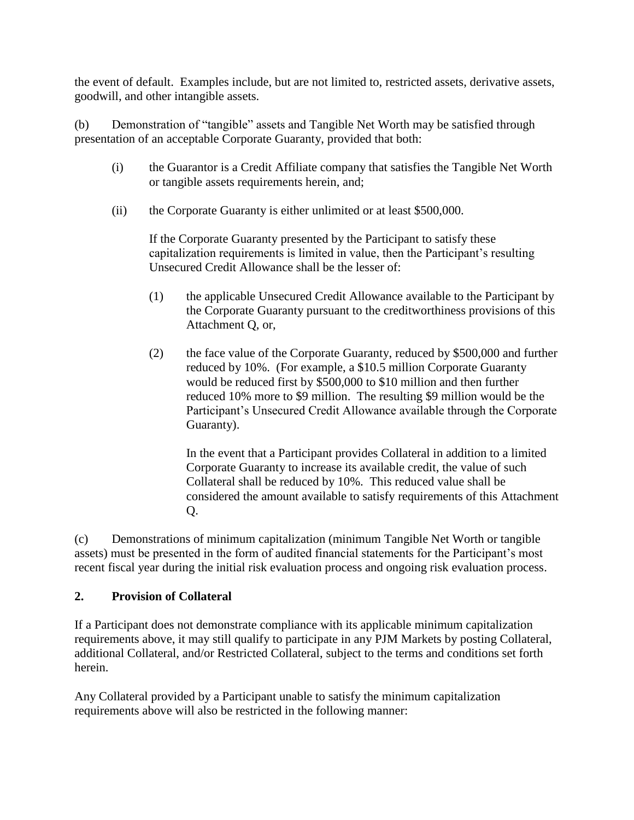the event of default. Examples include, but are not limited to, restricted assets, derivative assets, goodwill, and other intangible assets.

(b) Demonstration of "tangible" assets and Tangible Net Worth may be satisfied through presentation of an acceptable Corporate Guaranty, provided that both:

- (i) the Guarantor is a Credit Affiliate company that satisfies the Tangible Net Worth or tangible assets requirements herein, and;
- (ii) the Corporate Guaranty is either unlimited or at least \$500,000.

If the Corporate Guaranty presented by the Participant to satisfy these capitalization requirements is limited in value, then the Participant's resulting Unsecured Credit Allowance shall be the lesser of:

- (1) the applicable Unsecured Credit Allowance available to the Participant by the Corporate Guaranty pursuant to the creditworthiness provisions of this Attachment Q, or,
- (2) the face value of the Corporate Guaranty, reduced by \$500,000 and further reduced by 10%. (For example, a \$10.5 million Corporate Guaranty would be reduced first by \$500,000 to \$10 million and then further reduced 10% more to \$9 million. The resulting \$9 million would be the Participant's Unsecured Credit Allowance available through the Corporate Guaranty).

In the event that a Participant provides Collateral in addition to a limited Corporate Guaranty to increase its available credit, the value of such Collateral shall be reduced by 10%. This reduced value shall be considered the amount available to satisfy requirements of this Attachment Q.

(c) Demonstrations of minimum capitalization (minimum Tangible Net Worth or tangible assets) must be presented in the form of audited financial statements for the Participant's most recent fiscal year during the initial risk evaluation process and ongoing risk evaluation process.

### **2. Provision of Collateral**

If a Participant does not demonstrate compliance with its applicable minimum capitalization requirements above, it may still qualify to participate in any PJM Markets by posting Collateral, additional Collateral, and/or Restricted Collateral, subject to the terms and conditions set forth herein.

Any Collateral provided by a Participant unable to satisfy the minimum capitalization requirements above will also be restricted in the following manner: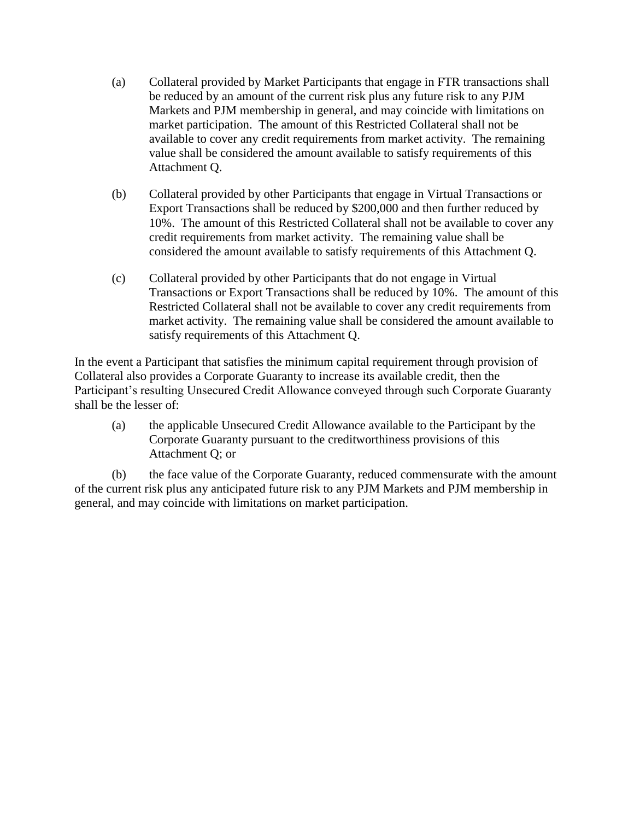- (a) Collateral provided by Market Participants that engage in FTR transactions shall be reduced by an amount of the current risk plus any future risk to any PJM Markets and PJM membership in general, and may coincide with limitations on market participation. The amount of this Restricted Collateral shall not be available to cover any credit requirements from market activity. The remaining value shall be considered the amount available to satisfy requirements of this Attachment Q.
- (b) Collateral provided by other Participants that engage in Virtual Transactions or Export Transactions shall be reduced by \$200,000 and then further reduced by 10%. The amount of this Restricted Collateral shall not be available to cover any credit requirements from market activity. The remaining value shall be considered the amount available to satisfy requirements of this Attachment Q.
- (c) Collateral provided by other Participants that do not engage in Virtual Transactions or Export Transactions shall be reduced by 10%. The amount of this Restricted Collateral shall not be available to cover any credit requirements from market activity. The remaining value shall be considered the amount available to satisfy requirements of this Attachment Q.

In the event a Participant that satisfies the minimum capital requirement through provision of Collateral also provides a Corporate Guaranty to increase its available credit, then the Participant's resulting Unsecured Credit Allowance conveyed through such Corporate Guaranty shall be the lesser of:

(a) the applicable Unsecured Credit Allowance available to the Participant by the Corporate Guaranty pursuant to the creditworthiness provisions of this Attachment Q; or

(b) the face value of the Corporate Guaranty, reduced commensurate with the amount of the current risk plus any anticipated future risk to any PJM Markets and PJM membership in general, and may coincide with limitations on market participation.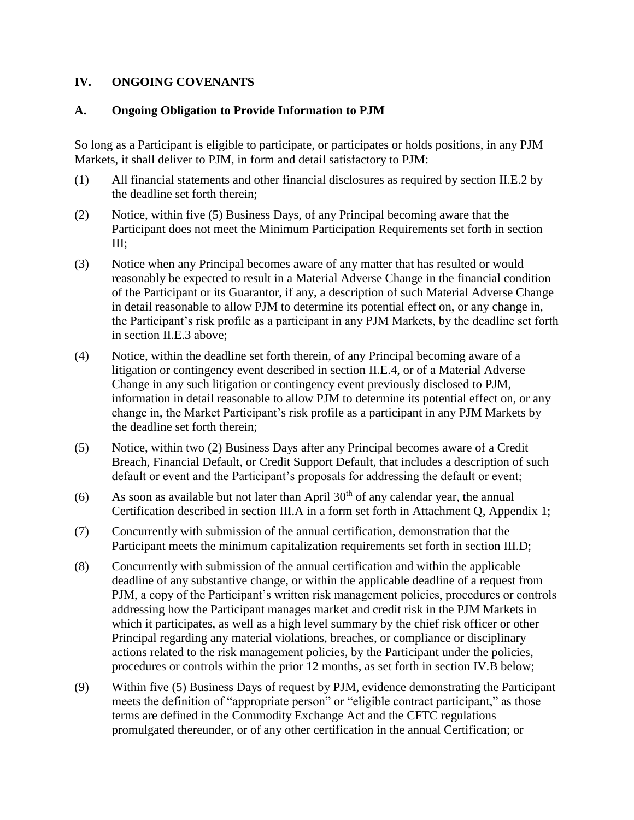#### **IV. ONGOING COVENANTS**

#### **A. Ongoing Obligation to Provide Information to PJM**

So long as a Participant is eligible to participate, or participates or holds positions, in any PJM Markets, it shall deliver to PJM, in form and detail satisfactory to PJM:

- (1) All financial statements and other financial disclosures as required by section II.E.2 by the deadline set forth therein;
- (2) Notice, within five (5) Business Days, of any Principal becoming aware that the Participant does not meet the Minimum Participation Requirements set forth in section III;
- (3) Notice when any Principal becomes aware of any matter that has resulted or would reasonably be expected to result in a Material Adverse Change in the financial condition of the Participant or its Guarantor, if any, a description of such Material Adverse Change in detail reasonable to allow PJM to determine its potential effect on, or any change in, the Participant's risk profile as a participant in any PJM Markets, by the deadline set forth in section II.E.3 above;
- (4) Notice, within the deadline set forth therein, of any Principal becoming aware of a litigation or contingency event described in section II.E.4, or of a Material Adverse Change in any such litigation or contingency event previously disclosed to PJM, information in detail reasonable to allow PJM to determine its potential effect on, or any change in, the Market Participant's risk profile as a participant in any PJM Markets by the deadline set forth therein;
- (5) Notice, within two (2) Business Days after any Principal becomes aware of a Credit Breach, Financial Default, or Credit Support Default, that includes a description of such default or event and the Participant's proposals for addressing the default or event;
- (6) As soon as available but not later than April  $30<sup>th</sup>$  of any calendar year, the annual Certification described in section III.A in a form set forth in Attachment Q, Appendix 1;
- (7) Concurrently with submission of the annual certification, demonstration that the Participant meets the minimum capitalization requirements set forth in section III.D;
- (8) Concurrently with submission of the annual certification and within the applicable deadline of any substantive change, or within the applicable deadline of a request from PJM, a copy of the Participant's written risk management policies, procedures or controls addressing how the Participant manages market and credit risk in the PJM Markets in which it participates, as well as a high level summary by the chief risk officer or other Principal regarding any material violations, breaches, or compliance or disciplinary actions related to the risk management policies, by the Participant under the policies, procedures or controls within the prior 12 months, as set forth in section IV.B below;
- (9) Within five (5) Business Days of request by PJM, evidence demonstrating the Participant meets the definition of "appropriate person" or "eligible contract participant," as those terms are defined in the Commodity Exchange Act and the CFTC regulations promulgated thereunder, or of any other certification in the annual Certification; or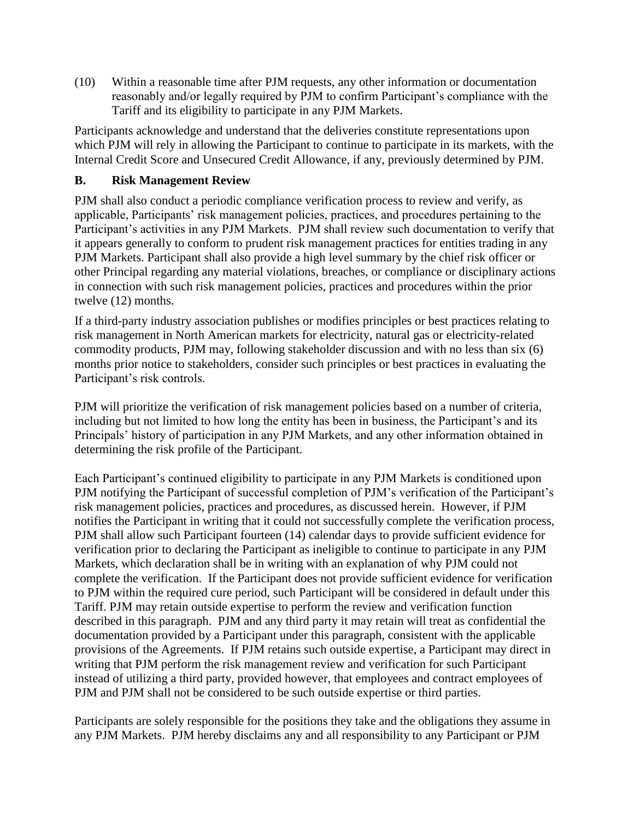(10) Within a reasonable time after PJM requests, any other information or documentation reasonably and/or legally required by PJM to confirm Participant's compliance with the Tariff and its eligibility to participate in any PJM Markets.

Participants acknowledge and understand that the deliveries constitute representations upon which PJM will rely in allowing the Participant to continue to participate in its markets, with the Internal Credit Score and Unsecured Credit Allowance, if any, previously determined by PJM.

### **B. Risk Management Review**

PJM shall also conduct a periodic compliance verification process to review and verify, as applicable, Participants' risk management policies, practices, and procedures pertaining to the Participant's activities in any PJM Markets. PJM shall review such documentation to verify that it appears generally to conform to prudent risk management practices for entities trading in any PJM Markets. Participant shall also provide a high level summary by the chief risk officer or other Principal regarding any material violations, breaches, or compliance or disciplinary actions in connection with such risk management policies, practices and procedures within the prior twelve (12) months.

If a third-party industry association publishes or modifies principles or best practices relating to risk management in North American markets for electricity, natural gas or electricity-related commodity products, PJM may, following stakeholder discussion and with no less than six (6) months prior notice to stakeholders, consider such principles or best practices in evaluating the Participant's risk controls.

PJM will prioritize the verification of risk management policies based on a number of criteria, including but not limited to how long the entity has been in business, the Participant's and its Principals' history of participation in any PJM Markets, and any other information obtained in determining the risk profile of the Participant.

Each Participant's continued eligibility to participate in any PJM Markets is conditioned upon PJM notifying the Participant of successful completion of PJM's verification of the Participant's risk management policies, practices and procedures, as discussed herein. However, if PJM notifies the Participant in writing that it could not successfully complete the verification process, PJM shall allow such Participant fourteen (14) calendar days to provide sufficient evidence for verification prior to declaring the Participant as ineligible to continue to participate in any PJM Markets, which declaration shall be in writing with an explanation of why PJM could not complete the verification. If the Participant does not provide sufficient evidence for verification to PJM within the required cure period, such Participant will be considered in default under this Tariff. PJM may retain outside expertise to perform the review and verification function described in this paragraph. PJM and any third party it may retain will treat as confidential the documentation provided by a Participant under this paragraph, consistent with the applicable provisions of the Agreements. If PJM retains such outside expertise, a Participant may direct in writing that PJM perform the risk management review and verification for such Participant instead of utilizing a third party, provided however, that employees and contract employees of PJM and PJM shall not be considered to be such outside expertise or third parties.

Participants are solely responsible for the positions they take and the obligations they assume in any PJM Markets. PJM hereby disclaims any and all responsibility to any Participant or PJM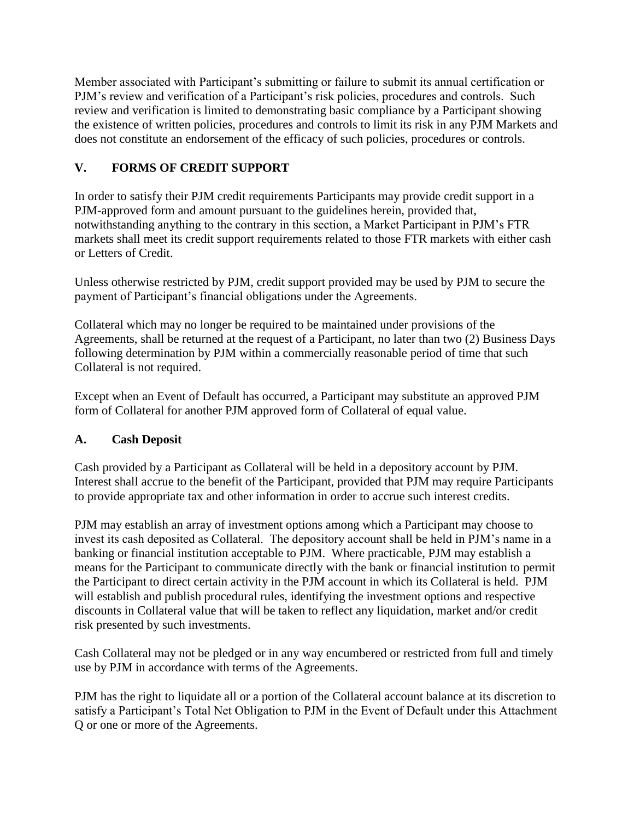Member associated with Participant's submitting or failure to submit its annual certification or PJM's review and verification of a Participant's risk policies, procedures and controls. Such review and verification is limited to demonstrating basic compliance by a Participant showing the existence of written policies, procedures and controls to limit its risk in any PJM Markets and does not constitute an endorsement of the efficacy of such policies, procedures or controls.

## **V. FORMS OF CREDIT SUPPORT**

In order to satisfy their PJM credit requirements Participants may provide credit support in a PJM-approved form and amount pursuant to the guidelines herein, provided that, notwithstanding anything to the contrary in this section, a Market Participant in PJM's FTR markets shall meet its credit support requirements related to those FTR markets with either cash or Letters of Credit.

Unless otherwise restricted by PJM, credit support provided may be used by PJM to secure the payment of Participant's financial obligations under the Agreements.

Collateral which may no longer be required to be maintained under provisions of the Agreements, shall be returned at the request of a Participant, no later than two (2) Business Days following determination by PJM within a commercially reasonable period of time that such Collateral is not required.

Except when an Event of Default has occurred, a Participant may substitute an approved PJM form of Collateral for another PJM approved form of Collateral of equal value.

## **A. Cash Deposit**

Cash provided by a Participant as Collateral will be held in a depository account by PJM. Interest shall accrue to the benefit of the Participant, provided that PJM may require Participants to provide appropriate tax and other information in order to accrue such interest credits.

PJM may establish an array of investment options among which a Participant may choose to invest its cash deposited as Collateral. The depository account shall be held in PJM's name in a banking or financial institution acceptable to PJM. Where practicable, PJM may establish a means for the Participant to communicate directly with the bank or financial institution to permit the Participant to direct certain activity in the PJM account in which its Collateral is held. PJM will establish and publish procedural rules, identifying the investment options and respective discounts in Collateral value that will be taken to reflect any liquidation, market and/or credit risk presented by such investments.

Cash Collateral may not be pledged or in any way encumbered or restricted from full and timely use by PJM in accordance with terms of the Agreements.

PJM has the right to liquidate all or a portion of the Collateral account balance at its discretion to satisfy a Participant's Total Net Obligation to PJM in the Event of Default under this Attachment Q or one or more of the Agreements.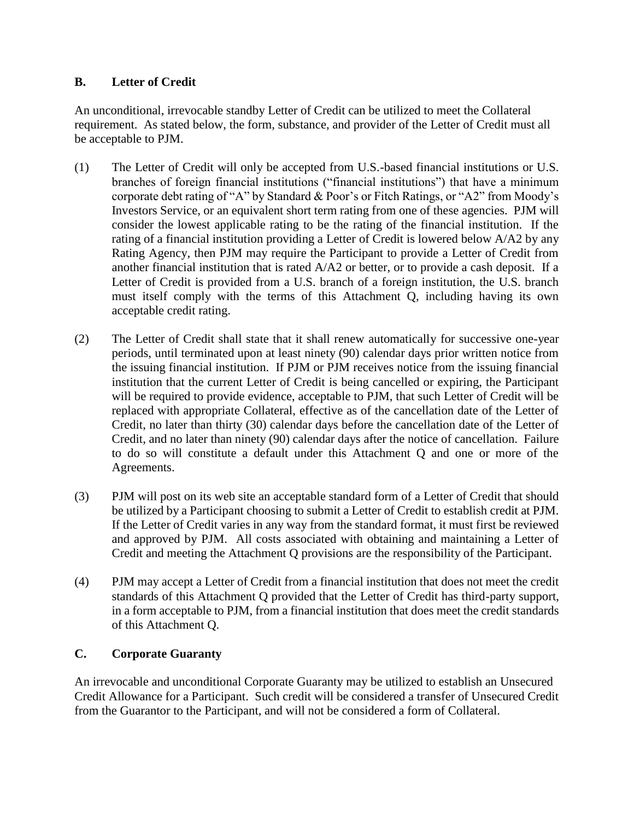### **B. Letter of Credit**

An unconditional, irrevocable standby Letter of Credit can be utilized to meet the Collateral requirement. As stated below, the form, substance, and provider of the Letter of Credit must all be acceptable to PJM.

- (1) The Letter of Credit will only be accepted from U.S.-based financial institutions or U.S. branches of foreign financial institutions ("financial institutions") that have a minimum corporate debt rating of "A" by Standard & Poor's or Fitch Ratings, or "A2" from Moody's Investors Service, or an equivalent short term rating from one of these agencies. PJM will consider the lowest applicable rating to be the rating of the financial institution. If the rating of a financial institution providing a Letter of Credit is lowered below A/A2 by any Rating Agency, then PJM may require the Participant to provide a Letter of Credit from another financial institution that is rated A/A2 or better, or to provide a cash deposit. If a Letter of Credit is provided from a U.S. branch of a foreign institution, the U.S. branch must itself comply with the terms of this Attachment Q, including having its own acceptable credit rating.
- (2) The Letter of Credit shall state that it shall renew automatically for successive one-year periods, until terminated upon at least ninety (90) calendar days prior written notice from the issuing financial institution. If PJM or PJM receives notice from the issuing financial institution that the current Letter of Credit is being cancelled or expiring, the Participant will be required to provide evidence, acceptable to PJM, that such Letter of Credit will be replaced with appropriate Collateral, effective as of the cancellation date of the Letter of Credit, no later than thirty (30) calendar days before the cancellation date of the Letter of Credit, and no later than ninety (90) calendar days after the notice of cancellation. Failure to do so will constitute a default under this Attachment Q and one or more of the Agreements.
- (3) PJM will post on its web site an acceptable standard form of a Letter of Credit that should be utilized by a Participant choosing to submit a Letter of Credit to establish credit at PJM. If the Letter of Credit varies in any way from the standard format, it must first be reviewed and approved by PJM. All costs associated with obtaining and maintaining a Letter of Credit and meeting the Attachment Q provisions are the responsibility of the Participant.
- (4) PJM may accept a Letter of Credit from a financial institution that does not meet the credit standards of this Attachment Q provided that the Letter of Credit has third-party support, in a form acceptable to PJM, from a financial institution that does meet the credit standards of this Attachment Q.

### **C. Corporate Guaranty**

An irrevocable and unconditional Corporate Guaranty may be utilized to establish an Unsecured Credit Allowance for a Participant. Such credit will be considered a transfer of Unsecured Credit from the Guarantor to the Participant, and will not be considered a form of Collateral.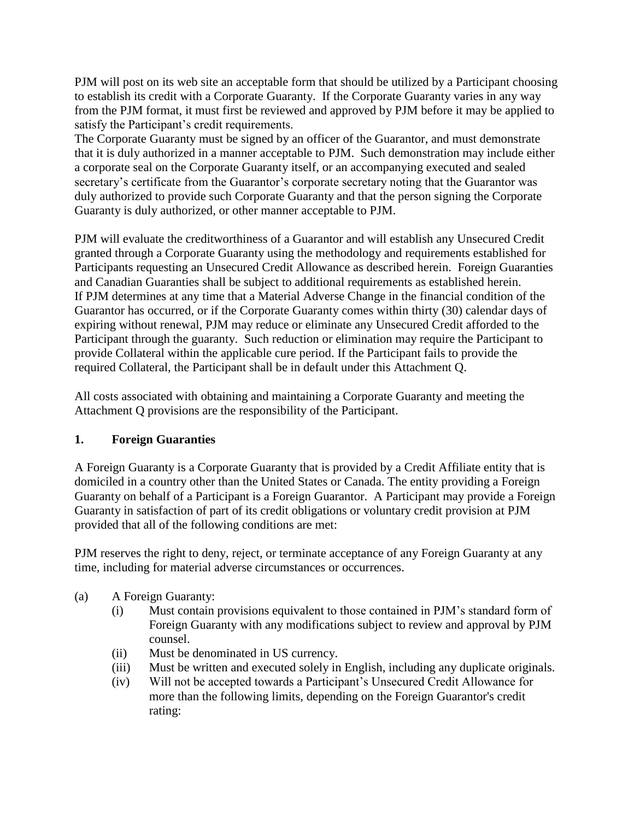PJM will post on its web site an acceptable form that should be utilized by a Participant choosing to establish its credit with a Corporate Guaranty. If the Corporate Guaranty varies in any way from the PJM format, it must first be reviewed and approved by PJM before it may be applied to satisfy the Participant's credit requirements.

The Corporate Guaranty must be signed by an officer of the Guarantor, and must demonstrate that it is duly authorized in a manner acceptable to PJM. Such demonstration may include either a corporate seal on the Corporate Guaranty itself, or an accompanying executed and sealed secretary's certificate from the Guarantor's corporate secretary noting that the Guarantor was duly authorized to provide such Corporate Guaranty and that the person signing the Corporate Guaranty is duly authorized, or other manner acceptable to PJM.

PJM will evaluate the creditworthiness of a Guarantor and will establish any Unsecured Credit granted through a Corporate Guaranty using the methodology and requirements established for Participants requesting an Unsecured Credit Allowance as described herein. Foreign Guaranties and Canadian Guaranties shall be subject to additional requirements as established herein. If PJM determines at any time that a Material Adverse Change in the financial condition of the Guarantor has occurred, or if the Corporate Guaranty comes within thirty (30) calendar days of expiring without renewal, PJM may reduce or eliminate any Unsecured Credit afforded to the Participant through the guaranty. Such reduction or elimination may require the Participant to provide Collateral within the applicable cure period. If the Participant fails to provide the required Collateral, the Participant shall be in default under this Attachment Q.

All costs associated with obtaining and maintaining a Corporate Guaranty and meeting the Attachment Q provisions are the responsibility of the Participant.

### **1. Foreign Guaranties**

A Foreign Guaranty is a Corporate Guaranty that is provided by a Credit Affiliate entity that is domiciled in a country other than the United States or Canada. The entity providing a Foreign Guaranty on behalf of a Participant is a Foreign Guarantor. A Participant may provide a Foreign Guaranty in satisfaction of part of its credit obligations or voluntary credit provision at PJM provided that all of the following conditions are met:

PJM reserves the right to deny, reject, or terminate acceptance of any Foreign Guaranty at any time, including for material adverse circumstances or occurrences.

- (a) A Foreign Guaranty:
	- (i) Must contain provisions equivalent to those contained in PJM's standard form of Foreign Guaranty with any modifications subject to review and approval by PJM counsel.
	- (ii) Must be denominated in US currency.
	- (iii) Must be written and executed solely in English, including any duplicate originals.
	- (iv) Will not be accepted towards a Participant's Unsecured Credit Allowance for more than the following limits, depending on the Foreign Guarantor's credit rating: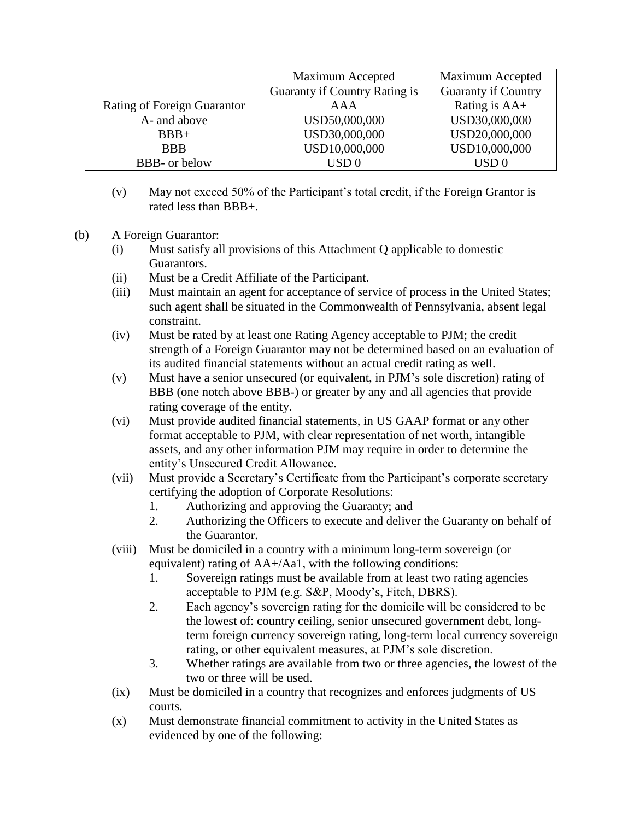|                             | Maximum Accepted              | Maximum Accepted           |
|-----------------------------|-------------------------------|----------------------------|
|                             | Guaranty if Country Rating is | <b>Guaranty if Country</b> |
| Rating of Foreign Guarantor | <b>AAA</b>                    | Rating is $AA+$            |
| A- and above                | USD50,000,000                 | USD30,000,000              |
| $BBB+$                      | USD30,000,000                 | USD20,000,000              |
| <b>BBB</b>                  | USD10,000,000                 | USD10,000,000              |
| <b>BBB-</b> or below        | $\text{USD}~0$                | $\text{USD}\,0$            |

- (v) May not exceed 50% of the Participant's total credit, if the Foreign Grantor is rated less than BBB+.
- (b) A Foreign Guarantor:
	- (i) Must satisfy all provisions of this Attachment Q applicable to domestic Guarantors.
	- (ii) Must be a Credit Affiliate of the Participant.
	- (iii) Must maintain an agent for acceptance of service of process in the United States; such agent shall be situated in the Commonwealth of Pennsylvania, absent legal constraint.
	- (iv) Must be rated by at least one Rating Agency acceptable to PJM; the credit strength of a Foreign Guarantor may not be determined based on an evaluation of its audited financial statements without an actual credit rating as well.
	- (v) Must have a senior unsecured (or equivalent, in PJM's sole discretion) rating of BBB (one notch above BBB-) or greater by any and all agencies that provide rating coverage of the entity.
	- (vi) Must provide audited financial statements, in US GAAP format or any other format acceptable to PJM, with clear representation of net worth, intangible assets, and any other information PJM may require in order to determine the entity's Unsecured Credit Allowance.
	- (vii) Must provide a Secretary's Certificate from the Participant's corporate secretary certifying the adoption of Corporate Resolutions:
		- 1. Authorizing and approving the Guaranty; and
		- 2. Authorizing the Officers to execute and deliver the Guaranty on behalf of the Guarantor.
	- (viii) Must be domiciled in a country with a minimum long-term sovereign (or equivalent) rating of AA+/Aa1, with the following conditions:
		- 1. Sovereign ratings must be available from at least two rating agencies acceptable to PJM (e.g. S&P, Moody's, Fitch, DBRS).
		- 2. Each agency's sovereign rating for the domicile will be considered to be the lowest of: country ceiling, senior unsecured government debt, longterm foreign currency sovereign rating, long-term local currency sovereign rating, or other equivalent measures, at PJM's sole discretion.
		- 3. Whether ratings are available from two or three agencies, the lowest of the two or three will be used.
	- (ix) Must be domiciled in a country that recognizes and enforces judgments of US courts.
	- (x) Must demonstrate financial commitment to activity in the United States as evidenced by one of the following: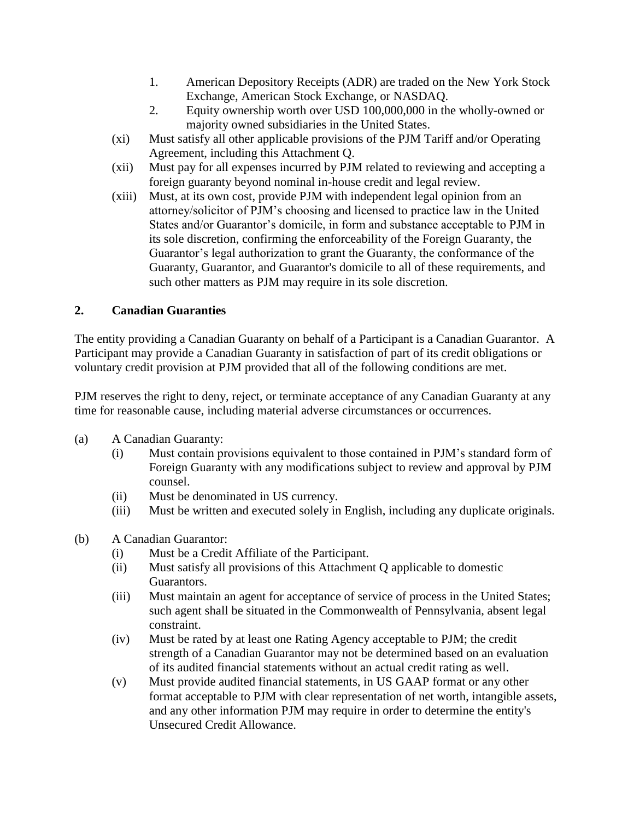- 1. American Depository Receipts (ADR) are traded on the New York Stock Exchange, American Stock Exchange, or NASDAQ.
- 2. Equity ownership worth over USD 100,000,000 in the wholly-owned or majority owned subsidiaries in the United States.
- (xi) Must satisfy all other applicable provisions of the PJM Tariff and/or Operating Agreement, including this Attachment Q.
- (xii) Must pay for all expenses incurred by PJM related to reviewing and accepting a foreign guaranty beyond nominal in-house credit and legal review.
- (xiii) Must, at its own cost, provide PJM with independent legal opinion from an attorney/solicitor of PJM's choosing and licensed to practice law in the United States and/or Guarantor's domicile, in form and substance acceptable to PJM in its sole discretion, confirming the enforceability of the Foreign Guaranty, the Guarantor's legal authorization to grant the Guaranty, the conformance of the Guaranty, Guarantor, and Guarantor's domicile to all of these requirements, and such other matters as PJM may require in its sole discretion.

## **2. Canadian Guaranties**

The entity providing a Canadian Guaranty on behalf of a Participant is a Canadian Guarantor. A Participant may provide a Canadian Guaranty in satisfaction of part of its credit obligations or voluntary credit provision at PJM provided that all of the following conditions are met.

PJM reserves the right to deny, reject, or terminate acceptance of any Canadian Guaranty at any time for reasonable cause, including material adverse circumstances or occurrences.

- (a) A Canadian Guaranty:
	- (i) Must contain provisions equivalent to those contained in PJM's standard form of Foreign Guaranty with any modifications subject to review and approval by PJM counsel.
	- (ii) Must be denominated in US currency.
	- (iii) Must be written and executed solely in English, including any duplicate originals.
- (b) A Canadian Guarantor:
	- (i) Must be a Credit Affiliate of the Participant.
	- (ii) Must satisfy all provisions of this Attachment Q applicable to domestic Guarantors.
	- (iii) Must maintain an agent for acceptance of service of process in the United States; such agent shall be situated in the Commonwealth of Pennsylvania, absent legal constraint.
	- (iv) Must be rated by at least one Rating Agency acceptable to PJM; the credit strength of a Canadian Guarantor may not be determined based on an evaluation of its audited financial statements without an actual credit rating as well.
	- (v) Must provide audited financial statements, in US GAAP format or any other format acceptable to PJM with clear representation of net worth, intangible assets, and any other information PJM may require in order to determine the entity's Unsecured Credit Allowance.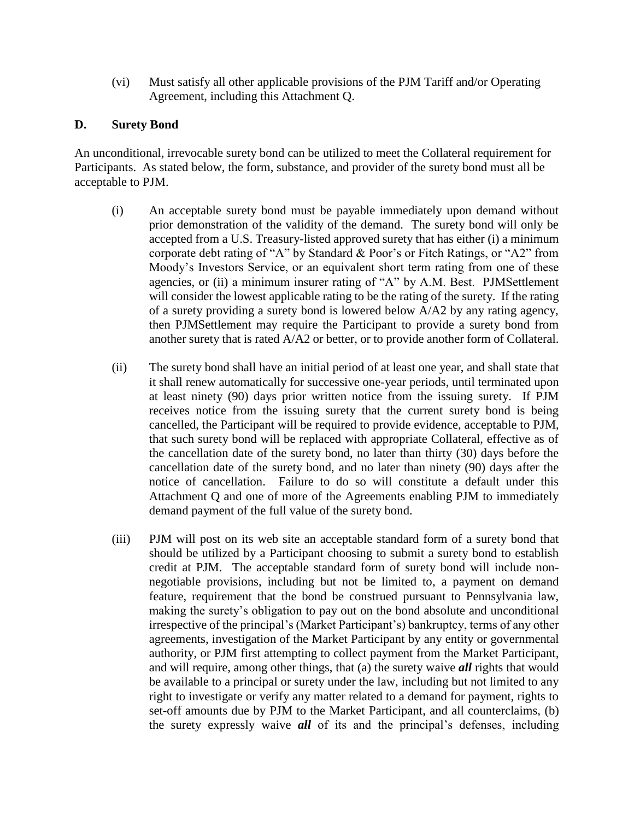(vi) Must satisfy all other applicable provisions of the PJM Tariff and/or Operating Agreement, including this Attachment Q.

#### **D. Surety Bond**

An unconditional, irrevocable surety bond can be utilized to meet the Collateral requirement for Participants. As stated below, the form, substance, and provider of the surety bond must all be acceptable to PJM.

- (i) An acceptable surety bond must be payable immediately upon demand without prior demonstration of the validity of the demand. The surety bond will only be accepted from a U.S. Treasury-listed approved surety that has either (i) a minimum corporate debt rating of "A" by Standard & Poor's or Fitch Ratings, or "A2" from Moody's Investors Service, or an equivalent short term rating from one of these agencies, or (ii) a minimum insurer rating of "A" by A.M. Best. PJMSettlement will consider the lowest applicable rating to be the rating of the surety. If the rating of a surety providing a surety bond is lowered below A/A2 by any rating agency, then PJMSettlement may require the Participant to provide a surety bond from another surety that is rated A/A2 or better, or to provide another form of Collateral.
- (ii) The surety bond shall have an initial period of at least one year, and shall state that it shall renew automatically for successive one-year periods, until terminated upon at least ninety (90) days prior written notice from the issuing surety. If PJM receives notice from the issuing surety that the current surety bond is being cancelled, the Participant will be required to provide evidence, acceptable to PJM, that such surety bond will be replaced with appropriate Collateral, effective as of the cancellation date of the surety bond, no later than thirty (30) days before the cancellation date of the surety bond, and no later than ninety (90) days after the notice of cancellation. Failure to do so will constitute a default under this Attachment Q and one of more of the Agreements enabling PJM to immediately demand payment of the full value of the surety bond.
- (iii) PJM will post on its web site an acceptable standard form of a surety bond that should be utilized by a Participant choosing to submit a surety bond to establish credit at PJM. The acceptable standard form of surety bond will include nonnegotiable provisions, including but not be limited to, a payment on demand feature, requirement that the bond be construed pursuant to Pennsylvania law, making the surety's obligation to pay out on the bond absolute and unconditional irrespective of the principal's (Market Participant's) bankruptcy, terms of any other agreements, investigation of the Market Participant by any entity or governmental authority, or PJM first attempting to collect payment from the Market Participant, and will require, among other things, that (a) the surety waive *all* rights that would be available to a principal or surety under the law, including but not limited to any right to investigate or verify any matter related to a demand for payment, rights to set-off amounts due by PJM to the Market Participant, and all counterclaims, (b) the surety expressly waive *all* of its and the principal's defenses, including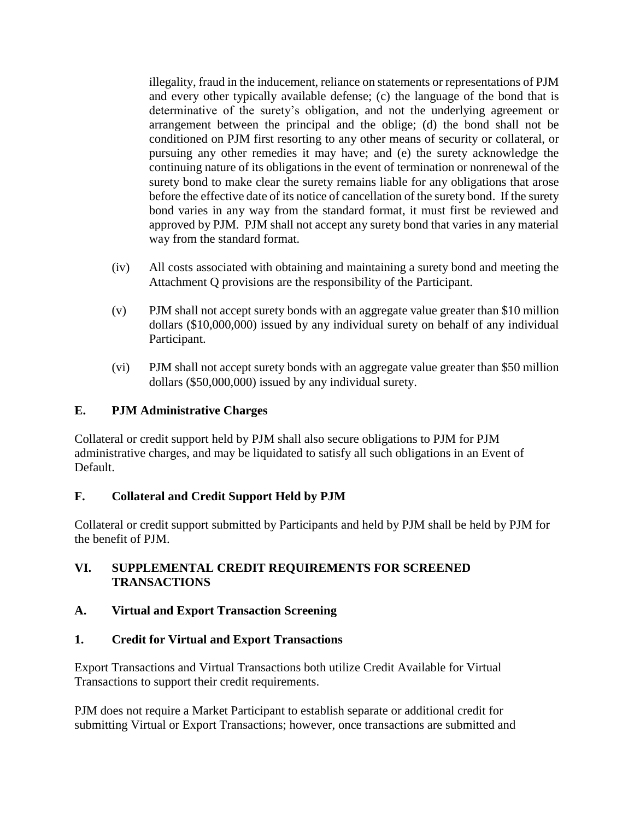illegality, fraud in the inducement, reliance on statements or representations of PJM and every other typically available defense; (c) the language of the bond that is determinative of the surety's obligation, and not the underlying agreement or arrangement between the principal and the oblige; (d) the bond shall not be conditioned on PJM first resorting to any other means of security or collateral, or pursuing any other remedies it may have; and (e) the surety acknowledge the continuing nature of its obligations in the event of termination or nonrenewal of the surety bond to make clear the surety remains liable for any obligations that arose before the effective date of its notice of cancellation of the surety bond. If the surety bond varies in any way from the standard format, it must first be reviewed and approved by PJM. PJM shall not accept any surety bond that varies in any material way from the standard format.

- (iv) All costs associated with obtaining and maintaining a surety bond and meeting the Attachment Q provisions are the responsibility of the Participant.
- (v) PJM shall not accept surety bonds with an aggregate value greater than \$10 million dollars (\$10,000,000) issued by any individual surety on behalf of any individual Participant.
- (vi) PJM shall not accept surety bonds with an aggregate value greater than \$50 million dollars (\$50,000,000) issued by any individual surety.

### **E. PJM Administrative Charges**

Collateral or credit support held by PJM shall also secure obligations to PJM for PJM administrative charges, and may be liquidated to satisfy all such obligations in an Event of Default.

### **F. Collateral and Credit Support Held by PJM**

Collateral or credit support submitted by Participants and held by PJM shall be held by PJM for the benefit of PJM.

### **VI. SUPPLEMENTAL CREDIT REQUIREMENTS FOR SCREENED TRANSACTIONS**

### **A. Virtual and Export Transaction Screening**

### **1. Credit for Virtual and Export Transactions**

Export Transactions and Virtual Transactions both utilize Credit Available for Virtual Transactions to support their credit requirements.

PJM does not require a Market Participant to establish separate or additional credit for submitting Virtual or Export Transactions; however, once transactions are submitted and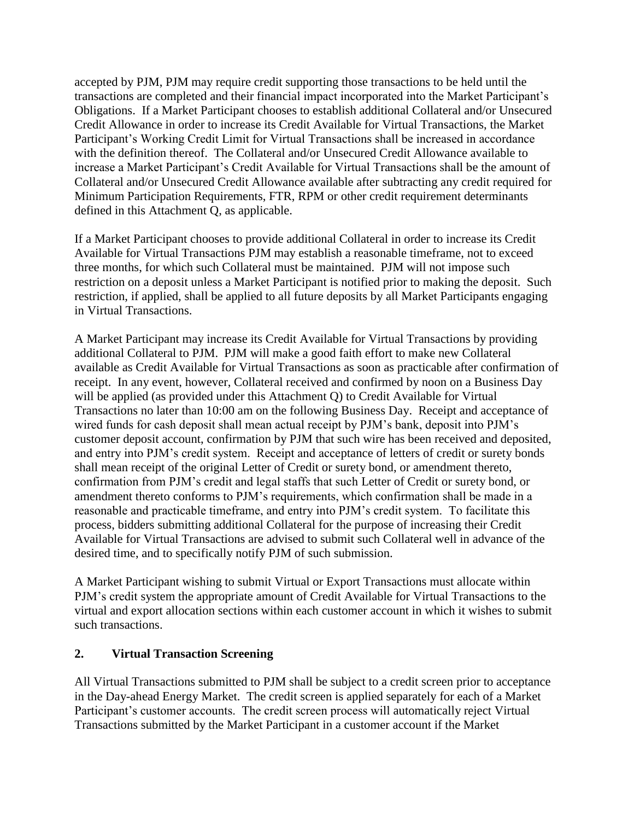accepted by PJM, PJM may require credit supporting those transactions to be held until the transactions are completed and their financial impact incorporated into the Market Participant's Obligations. If a Market Participant chooses to establish additional Collateral and/or Unsecured Credit Allowance in order to increase its Credit Available for Virtual Transactions, the Market Participant's Working Credit Limit for Virtual Transactions shall be increased in accordance with the definition thereof. The Collateral and/or Unsecured Credit Allowance available to increase a Market Participant's Credit Available for Virtual Transactions shall be the amount of Collateral and/or Unsecured Credit Allowance available after subtracting any credit required for Minimum Participation Requirements, FTR, RPM or other credit requirement determinants defined in this Attachment Q, as applicable.

If a Market Participant chooses to provide additional Collateral in order to increase its Credit Available for Virtual Transactions PJM may establish a reasonable timeframe, not to exceed three months, for which such Collateral must be maintained. PJM will not impose such restriction on a deposit unless a Market Participant is notified prior to making the deposit. Such restriction, if applied, shall be applied to all future deposits by all Market Participants engaging in Virtual Transactions.

A Market Participant may increase its Credit Available for Virtual Transactions by providing additional Collateral to PJM. PJM will make a good faith effort to make new Collateral available as Credit Available for Virtual Transactions as soon as practicable after confirmation of receipt. In any event, however, Collateral received and confirmed by noon on a Business Day will be applied (as provided under this Attachment Q) to Credit Available for Virtual Transactions no later than 10:00 am on the following Business Day. Receipt and acceptance of wired funds for cash deposit shall mean actual receipt by PJM's bank, deposit into PJM's customer deposit account, confirmation by PJM that such wire has been received and deposited, and entry into PJM's credit system. Receipt and acceptance of letters of credit or surety bonds shall mean receipt of the original Letter of Credit or surety bond, or amendment thereto, confirmation from PJM's credit and legal staffs that such Letter of Credit or surety bond, or amendment thereto conforms to PJM's requirements, which confirmation shall be made in a reasonable and practicable timeframe, and entry into PJM's credit system. To facilitate this process, bidders submitting additional Collateral for the purpose of increasing their Credit Available for Virtual Transactions are advised to submit such Collateral well in advance of the desired time, and to specifically notify PJM of such submission.

A Market Participant wishing to submit Virtual or Export Transactions must allocate within PJM's credit system the appropriate amount of Credit Available for Virtual Transactions to the virtual and export allocation sections within each customer account in which it wishes to submit such transactions.

### **2. Virtual Transaction Screening**

All Virtual Transactions submitted to PJM shall be subject to a credit screen prior to acceptance in the Day-ahead Energy Market. The credit screen is applied separately for each of a Market Participant's customer accounts. The credit screen process will automatically reject Virtual Transactions submitted by the Market Participant in a customer account if the Market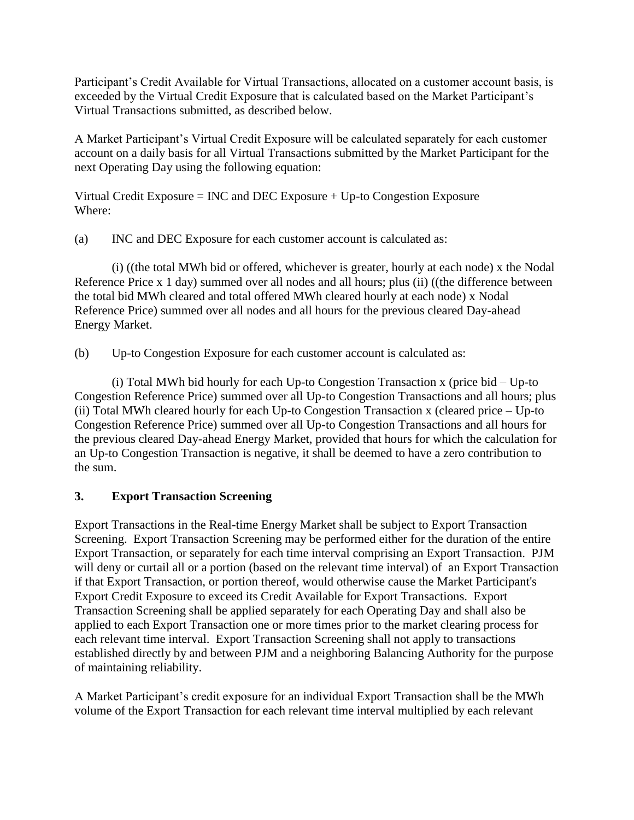Participant's Credit Available for Virtual Transactions, allocated on a customer account basis, is exceeded by the Virtual Credit Exposure that is calculated based on the Market Participant's Virtual Transactions submitted, as described below.

A Market Participant's Virtual Credit Exposure will be calculated separately for each customer account on a daily basis for all Virtual Transactions submitted by the Market Participant for the next Operating Day using the following equation:

Virtual Credit Exposure = INC and DEC Exposure + Up-to Congestion Exposure Where:

(a) INC and DEC Exposure for each customer account is calculated as:

(i) ((the total MWh bid or offered, whichever is greater, hourly at each node) x the Nodal Reference Price x 1 day) summed over all nodes and all hours; plus (ii) ((the difference between the total bid MWh cleared and total offered MWh cleared hourly at each node) x Nodal Reference Price) summed over all nodes and all hours for the previous cleared Day-ahead Energy Market.

(b) Up-to Congestion Exposure for each customer account is calculated as:

(i) Total MWh bid hourly for each Up-to Congestion Transaction x (price bid – Up-to Congestion Reference Price) summed over all Up-to Congestion Transactions and all hours; plus (ii) Total MWh cleared hourly for each Up-to Congestion Transaction x (cleared price – Up-to Congestion Reference Price) summed over all Up-to Congestion Transactions and all hours for the previous cleared Day-ahead Energy Market, provided that hours for which the calculation for an Up-to Congestion Transaction is negative, it shall be deemed to have a zero contribution to the sum.

### **3. Export Transaction Screening**

Export Transactions in the Real-time Energy Market shall be subject to Export Transaction Screening. Export Transaction Screening may be performed either for the duration of the entire Export Transaction, or separately for each time interval comprising an Export Transaction. PJM will deny or curtail all or a portion (based on the relevant time interval) of an Export Transaction if that Export Transaction, or portion thereof, would otherwise cause the Market Participant's Export Credit Exposure to exceed its Credit Available for Export Transactions. Export Transaction Screening shall be applied separately for each Operating Day and shall also be applied to each Export Transaction one or more times prior to the market clearing process for each relevant time interval. Export Transaction Screening shall not apply to transactions established directly by and between PJM and a neighboring Balancing Authority for the purpose of maintaining reliability.

A Market Participant's credit exposure for an individual Export Transaction shall be the MWh volume of the Export Transaction for each relevant time interval multiplied by each relevant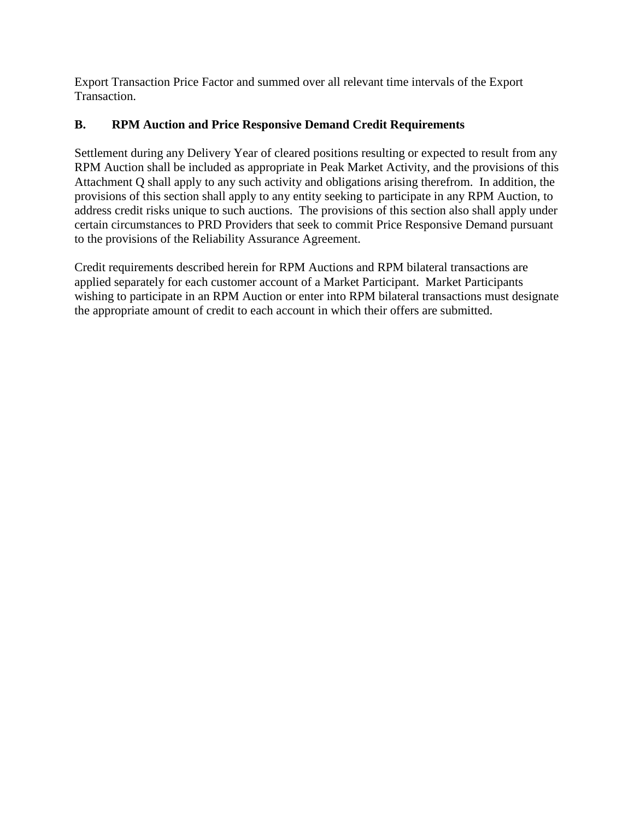Export Transaction Price Factor and summed over all relevant time intervals of the Export Transaction.

### **B. RPM Auction and Price Responsive Demand Credit Requirements**

Settlement during any Delivery Year of cleared positions resulting or expected to result from any RPM Auction shall be included as appropriate in Peak Market Activity, and the provisions of this Attachment Q shall apply to any such activity and obligations arising therefrom. In addition, the provisions of this section shall apply to any entity seeking to participate in any RPM Auction, to address credit risks unique to such auctions. The provisions of this section also shall apply under certain circumstances to PRD Providers that seek to commit Price Responsive Demand pursuant to the provisions of the Reliability Assurance Agreement.

Credit requirements described herein for RPM Auctions and RPM bilateral transactions are applied separately for each customer account of a Market Participant. Market Participants wishing to participate in an RPM Auction or enter into RPM bilateral transactions must designate the appropriate amount of credit to each account in which their offers are submitted.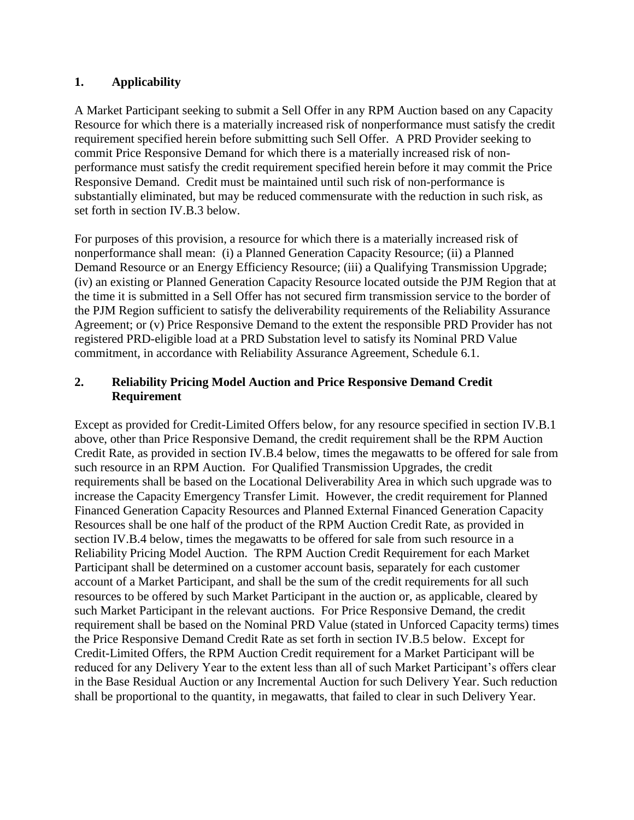### **1. Applicability**

A Market Participant seeking to submit a Sell Offer in any RPM Auction based on any Capacity Resource for which there is a materially increased risk of nonperformance must satisfy the credit requirement specified herein before submitting such Sell Offer. A PRD Provider seeking to commit Price Responsive Demand for which there is a materially increased risk of nonperformance must satisfy the credit requirement specified herein before it may commit the Price Responsive Demand. Credit must be maintained until such risk of non-performance is substantially eliminated, but may be reduced commensurate with the reduction in such risk, as set forth in section IV.B.3 below.

For purposes of this provision, a resource for which there is a materially increased risk of nonperformance shall mean: (i) a Planned Generation Capacity Resource; (ii) a Planned Demand Resource or an Energy Efficiency Resource; (iii) a Qualifying Transmission Upgrade; (iv) an existing or Planned Generation Capacity Resource located outside the PJM Region that at the time it is submitted in a Sell Offer has not secured firm transmission service to the border of the PJM Region sufficient to satisfy the deliverability requirements of the Reliability Assurance Agreement; or (v) Price Responsive Demand to the extent the responsible PRD Provider has not registered PRD-eligible load at a PRD Substation level to satisfy its Nominal PRD Value commitment, in accordance with Reliability Assurance Agreement, Schedule 6.1.

### **2. Reliability Pricing Model Auction and Price Responsive Demand Credit Requirement**

Except as provided for Credit-Limited Offers below, for any resource specified in section IV.B.1 above, other than Price Responsive Demand, the credit requirement shall be the RPM Auction Credit Rate, as provided in section IV.B.4 below, times the megawatts to be offered for sale from such resource in an RPM Auction. For Qualified Transmission Upgrades, the credit requirements shall be based on the Locational Deliverability Area in which such upgrade was to increase the Capacity Emergency Transfer Limit. However, the credit requirement for Planned Financed Generation Capacity Resources and Planned External Financed Generation Capacity Resources shall be one half of the product of the RPM Auction Credit Rate, as provided in section IV.B.4 below, times the megawatts to be offered for sale from such resource in a Reliability Pricing Model Auction. The RPM Auction Credit Requirement for each Market Participant shall be determined on a customer account basis, separately for each customer account of a Market Participant, and shall be the sum of the credit requirements for all such resources to be offered by such Market Participant in the auction or, as applicable, cleared by such Market Participant in the relevant auctions. For Price Responsive Demand, the credit requirement shall be based on the Nominal PRD Value (stated in Unforced Capacity terms) times the Price Responsive Demand Credit Rate as set forth in section IV.B.5 below. Except for Credit-Limited Offers, the RPM Auction Credit requirement for a Market Participant will be reduced for any Delivery Year to the extent less than all of such Market Participant's offers clear in the Base Residual Auction or any Incremental Auction for such Delivery Year. Such reduction shall be proportional to the quantity, in megawatts, that failed to clear in such Delivery Year.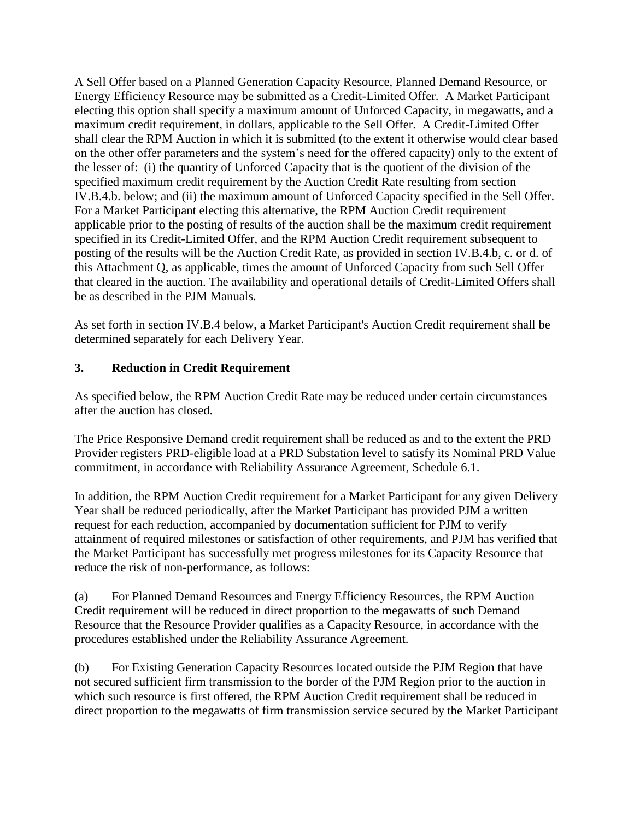A Sell Offer based on a Planned Generation Capacity Resource, Planned Demand Resource, or Energy Efficiency Resource may be submitted as a Credit-Limited Offer. A Market Participant electing this option shall specify a maximum amount of Unforced Capacity, in megawatts, and a maximum credit requirement, in dollars, applicable to the Sell Offer. A Credit-Limited Offer shall clear the RPM Auction in which it is submitted (to the extent it otherwise would clear based on the other offer parameters and the system's need for the offered capacity) only to the extent of the lesser of: (i) the quantity of Unforced Capacity that is the quotient of the division of the specified maximum credit requirement by the Auction Credit Rate resulting from section IV.B.4.b. below; and (ii) the maximum amount of Unforced Capacity specified in the Sell Offer. For a Market Participant electing this alternative, the RPM Auction Credit requirement applicable prior to the posting of results of the auction shall be the maximum credit requirement specified in its Credit-Limited Offer, and the RPM Auction Credit requirement subsequent to posting of the results will be the Auction Credit Rate, as provided in section IV.B.4.b, c. or d. of this Attachment Q, as applicable, times the amount of Unforced Capacity from such Sell Offer that cleared in the auction. The availability and operational details of Credit-Limited Offers shall be as described in the PJM Manuals.

As set forth in section IV.B.4 below, a Market Participant's Auction Credit requirement shall be determined separately for each Delivery Year.

### **3. Reduction in Credit Requirement**

As specified below, the RPM Auction Credit Rate may be reduced under certain circumstances after the auction has closed.

The Price Responsive Demand credit requirement shall be reduced as and to the extent the PRD Provider registers PRD-eligible load at a PRD Substation level to satisfy its Nominal PRD Value commitment, in accordance with Reliability Assurance Agreement, Schedule 6.1.

In addition, the RPM Auction Credit requirement for a Market Participant for any given Delivery Year shall be reduced periodically, after the Market Participant has provided PJM a written request for each reduction, accompanied by documentation sufficient for PJM to verify attainment of required milestones or satisfaction of other requirements, and PJM has verified that the Market Participant has successfully met progress milestones for its Capacity Resource that reduce the risk of non-performance, as follows:

(a) For Planned Demand Resources and Energy Efficiency Resources, the RPM Auction Credit requirement will be reduced in direct proportion to the megawatts of such Demand Resource that the Resource Provider qualifies as a Capacity Resource, in accordance with the procedures established under the Reliability Assurance Agreement.

(b) For Existing Generation Capacity Resources located outside the PJM Region that have not secured sufficient firm transmission to the border of the PJM Region prior to the auction in which such resource is first offered, the RPM Auction Credit requirement shall be reduced in direct proportion to the megawatts of firm transmission service secured by the Market Participant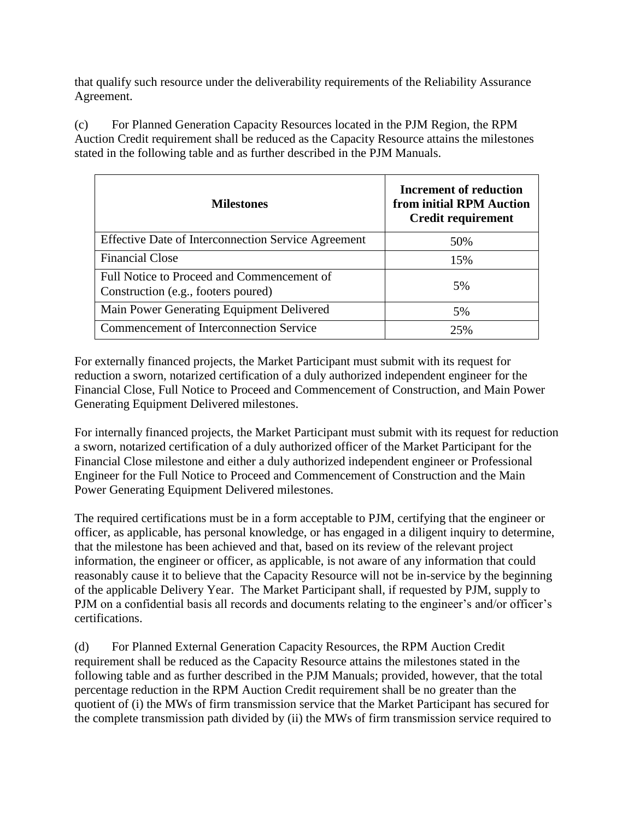that qualify such resource under the deliverability requirements of the Reliability Assurance Agreement.

(c) For Planned Generation Capacity Resources located in the PJM Region, the RPM Auction Credit requirement shall be reduced as the Capacity Resource attains the milestones stated in the following table and as further described in the PJM Manuals.

| <b>Milestones</b>                                                                 | Increment of reduction<br>from initial RPM Auction<br><b>Credit requirement</b> |
|-----------------------------------------------------------------------------------|---------------------------------------------------------------------------------|
| <b>Effective Date of Interconnection Service Agreement</b>                        | 50%                                                                             |
| <b>Financial Close</b>                                                            | 15%                                                                             |
| Full Notice to Proceed and Commencement of<br>Construction (e.g., footers poured) | 5%                                                                              |
| Main Power Generating Equipment Delivered                                         | 5%                                                                              |
| <b>Commencement of Interconnection Service</b>                                    | 25%                                                                             |

For externally financed projects, the Market Participant must submit with its request for reduction a sworn, notarized certification of a duly authorized independent engineer for the Financial Close, Full Notice to Proceed and Commencement of Construction, and Main Power Generating Equipment Delivered milestones.

For internally financed projects, the Market Participant must submit with its request for reduction a sworn, notarized certification of a duly authorized officer of the Market Participant for the Financial Close milestone and either a duly authorized independent engineer or Professional Engineer for the Full Notice to Proceed and Commencement of Construction and the Main Power Generating Equipment Delivered milestones.

The required certifications must be in a form acceptable to PJM, certifying that the engineer or officer, as applicable, has personal knowledge, or has engaged in a diligent inquiry to determine, that the milestone has been achieved and that, based on its review of the relevant project information, the engineer or officer, as applicable, is not aware of any information that could reasonably cause it to believe that the Capacity Resource will not be in-service by the beginning of the applicable Delivery Year. The Market Participant shall, if requested by PJM, supply to PJM on a confidential basis all records and documents relating to the engineer's and/or officer's certifications.

(d) For Planned External Generation Capacity Resources, the RPM Auction Credit requirement shall be reduced as the Capacity Resource attains the milestones stated in the following table and as further described in the PJM Manuals; provided, however, that the total percentage reduction in the RPM Auction Credit requirement shall be no greater than the quotient of (i) the MWs of firm transmission service that the Market Participant has secured for the complete transmission path divided by (ii) the MWs of firm transmission service required to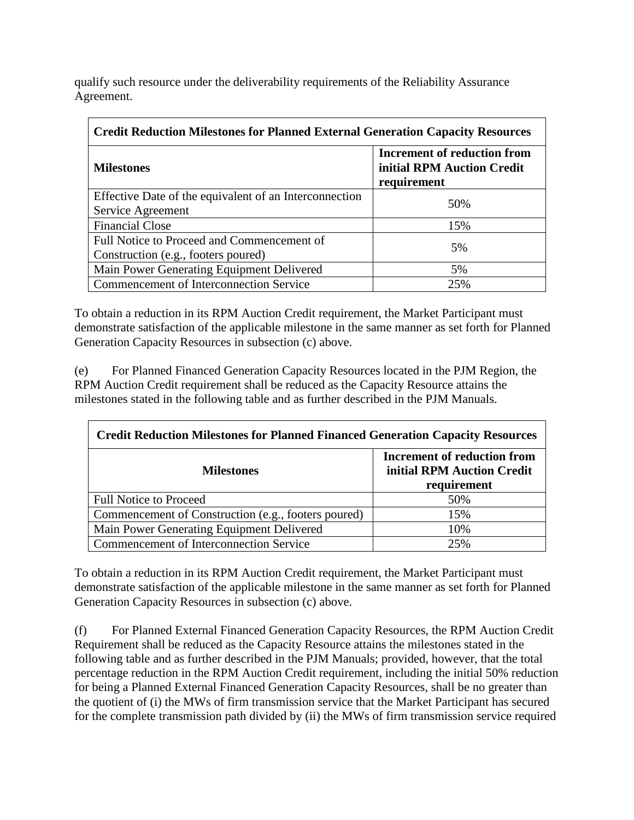qualify such resource under the deliverability requirements of the Reliability Assurance Agreement.

| <b>Credit Reduction Milestones for Planned External Generation Capacity Resources</b> |                                                                                 |  |  |  |  |  |  |
|---------------------------------------------------------------------------------------|---------------------------------------------------------------------------------|--|--|--|--|--|--|
| <b>Milestones</b>                                                                     | <b>Increment of reduction from</b><br>initial RPM Auction Credit<br>requirement |  |  |  |  |  |  |
| Effective Date of the equivalent of an Interconnection<br>Service Agreement           | 50%                                                                             |  |  |  |  |  |  |
| <b>Financial Close</b>                                                                | 15%                                                                             |  |  |  |  |  |  |
| Full Notice to Proceed and Commencement of<br>Construction (e.g., footers poured)     | 5%                                                                              |  |  |  |  |  |  |
| Main Power Generating Equipment Delivered                                             | 5%                                                                              |  |  |  |  |  |  |
| <b>Commencement of Interconnection Service</b>                                        | 25%                                                                             |  |  |  |  |  |  |

To obtain a reduction in its RPM Auction Credit requirement, the Market Participant must demonstrate satisfaction of the applicable milestone in the same manner as set forth for Planned Generation Capacity Resources in subsection (c) above.

(e) For Planned Financed Generation Capacity Resources located in the PJM Region, the RPM Auction Credit requirement shall be reduced as the Capacity Resource attains the milestones stated in the following table and as further described in the PJM Manuals.

| <b>Credit Reduction Milestones for Planned Financed Generation Capacity Resources</b> |                                                                                 |  |  |  |  |  |  |
|---------------------------------------------------------------------------------------|---------------------------------------------------------------------------------|--|--|--|--|--|--|
| <b>Milestones</b>                                                                     | <b>Increment of reduction from</b><br>initial RPM Auction Credit<br>requirement |  |  |  |  |  |  |
| <b>Full Notice to Proceed</b>                                                         | 50%                                                                             |  |  |  |  |  |  |
| Commencement of Construction (e.g., footers poured)                                   | 15%                                                                             |  |  |  |  |  |  |
| Main Power Generating Equipment Delivered                                             | 10%                                                                             |  |  |  |  |  |  |
| Commencement of Interconnection Service                                               | 25%                                                                             |  |  |  |  |  |  |

To obtain a reduction in its RPM Auction Credit requirement, the Market Participant must demonstrate satisfaction of the applicable milestone in the same manner as set forth for Planned Generation Capacity Resources in subsection (c) above.

(f) For Planned External Financed Generation Capacity Resources, the RPM Auction Credit Requirement shall be reduced as the Capacity Resource attains the milestones stated in the following table and as further described in the PJM Manuals; provided, however, that the total percentage reduction in the RPM Auction Credit requirement, including the initial 50% reduction for being a Planned External Financed Generation Capacity Resources, shall be no greater than the quotient of (i) the MWs of firm transmission service that the Market Participant has secured for the complete transmission path divided by (ii) the MWs of firm transmission service required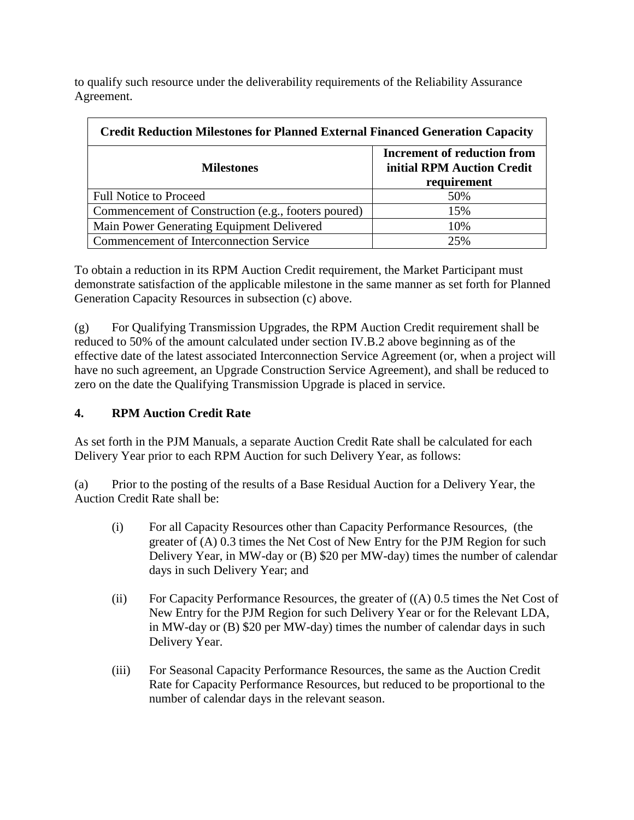to qualify such resource under the deliverability requirements of the Reliability Assurance Agreement.

| <b>Credit Reduction Milestones for Planned External Financed Generation Capacity</b> |                                                                                 |  |
|--------------------------------------------------------------------------------------|---------------------------------------------------------------------------------|--|
| <b>Milestones</b>                                                                    | <b>Increment of reduction from</b><br>initial RPM Auction Credit<br>requirement |  |
| <b>Full Notice to Proceed</b>                                                        | 50%                                                                             |  |
| Commencement of Construction (e.g., footers poured)                                  | 15%                                                                             |  |
| Main Power Generating Equipment Delivered                                            | 10%                                                                             |  |
| <b>Commencement of Interconnection Service</b>                                       | 25%                                                                             |  |

To obtain a reduction in its RPM Auction Credit requirement, the Market Participant must demonstrate satisfaction of the applicable milestone in the same manner as set forth for Planned Generation Capacity Resources in subsection (c) above.

(g) For Qualifying Transmission Upgrades, the RPM Auction Credit requirement shall be reduced to 50% of the amount calculated under section IV.B.2 above beginning as of the effective date of the latest associated Interconnection Service Agreement (or, when a project will have no such agreement, an Upgrade Construction Service Agreement), and shall be reduced to zero on the date the Qualifying Transmission Upgrade is placed in service.

### **4. RPM Auction Credit Rate**

As set forth in the PJM Manuals, a separate Auction Credit Rate shall be calculated for each Delivery Year prior to each RPM Auction for such Delivery Year, as follows:

(a) Prior to the posting of the results of a Base Residual Auction for a Delivery Year, the Auction Credit Rate shall be:

- (i) For all Capacity Resources other than Capacity Performance Resources, (the greater of (A) 0.3 times the Net Cost of New Entry for the PJM Region for such Delivery Year, in MW-day or (B) \$20 per MW-day) times the number of calendar days in such Delivery Year; and
- (ii) For Capacity Performance Resources, the greater of  $((A)$  0.5 times the Net Cost of New Entry for the PJM Region for such Delivery Year or for the Relevant LDA, in MW-day or (B) \$20 per MW-day) times the number of calendar days in such Delivery Year.
- (iii) For Seasonal Capacity Performance Resources, the same as the Auction Credit Rate for Capacity Performance Resources, but reduced to be proportional to the number of calendar days in the relevant season.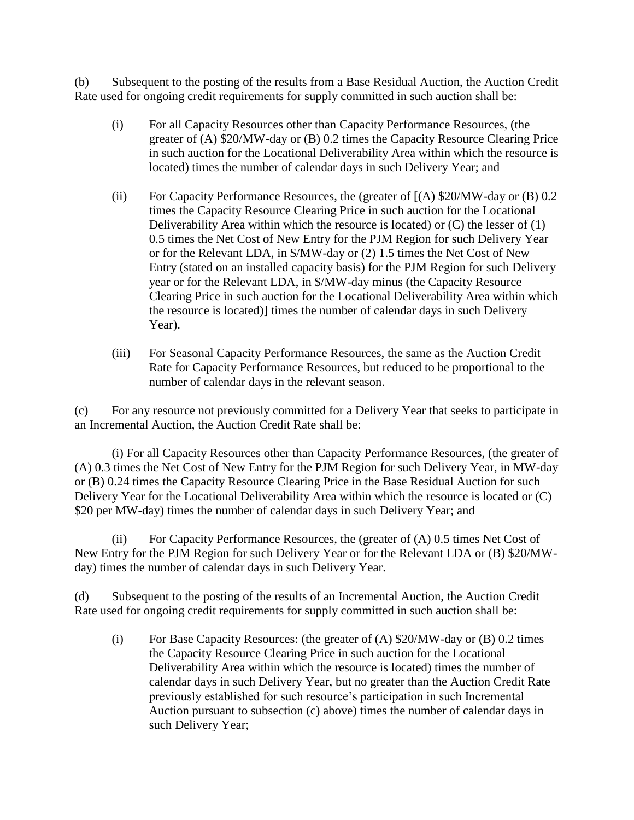(b) Subsequent to the posting of the results from a Base Residual Auction, the Auction Credit Rate used for ongoing credit requirements for supply committed in such auction shall be:

- (i) For all Capacity Resources other than Capacity Performance Resources, (the greater of (A) \$20/MW-day or (B) 0.2 times the Capacity Resource Clearing Price in such auction for the Locational Deliverability Area within which the resource is located) times the number of calendar days in such Delivery Year; and
- (ii) For Capacity Performance Resources, the (greater of  $[(A)$  \$20/MW-day or  $(B)$  0.2 times the Capacity Resource Clearing Price in such auction for the Locational Deliverability Area within which the resource is located) or (C) the lesser of (1) 0.5 times the Net Cost of New Entry for the PJM Region for such Delivery Year or for the Relevant LDA, in \$/MW-day or (2) 1.5 times the Net Cost of New Entry (stated on an installed capacity basis) for the PJM Region for such Delivery year or for the Relevant LDA, in \$/MW-day minus (the Capacity Resource Clearing Price in such auction for the Locational Deliverability Area within which the resource is located)] times the number of calendar days in such Delivery Year).
- (iii) For Seasonal Capacity Performance Resources, the same as the Auction Credit Rate for Capacity Performance Resources, but reduced to be proportional to the number of calendar days in the relevant season.

(c) For any resource not previously committed for a Delivery Year that seeks to participate in an Incremental Auction, the Auction Credit Rate shall be:

(i) For all Capacity Resources other than Capacity Performance Resources, (the greater of (A) 0.3 times the Net Cost of New Entry for the PJM Region for such Delivery Year, in MW-day or (B) 0.24 times the Capacity Resource Clearing Price in the Base Residual Auction for such Delivery Year for the Locational Deliverability Area within which the resource is located or (C) \$20 per MW-day) times the number of calendar days in such Delivery Year; and

(ii) For Capacity Performance Resources, the (greater of (A) 0.5 times Net Cost of New Entry for the PJM Region for such Delivery Year or for the Relevant LDA or (B) \$20/MWday) times the number of calendar days in such Delivery Year.

(d) Subsequent to the posting of the results of an Incremental Auction, the Auction Credit Rate used for ongoing credit requirements for supply committed in such auction shall be:

(i) For Base Capacity Resources: (the greater of (A) \$20/MW-day or (B) 0.2 times the Capacity Resource Clearing Price in such auction for the Locational Deliverability Area within which the resource is located) times the number of calendar days in such Delivery Year, but no greater than the Auction Credit Rate previously established for such resource's participation in such Incremental Auction pursuant to subsection (c) above) times the number of calendar days in such Delivery Year;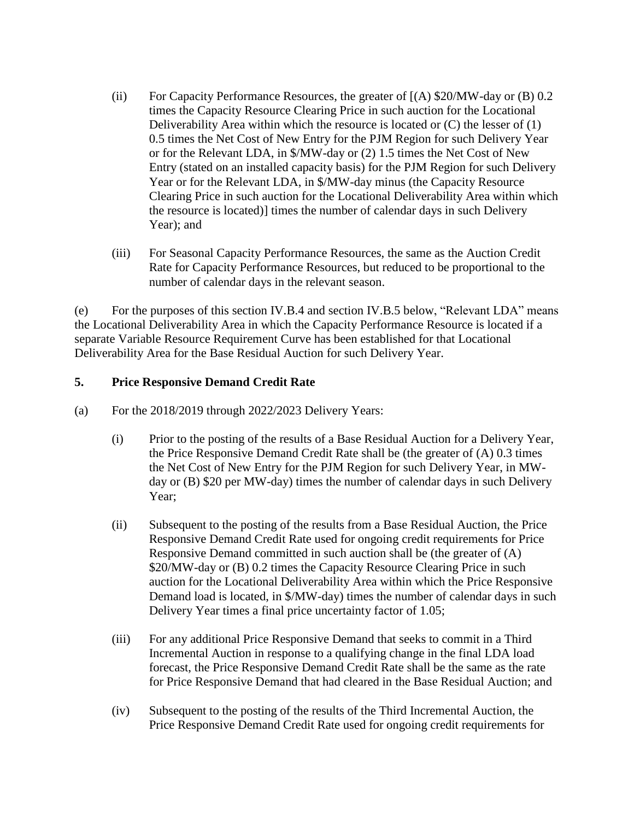- (ii) For Capacity Performance Resources, the greater of  $[(A)$  \$20/MW-day or  $(B)$  0.2 times the Capacity Resource Clearing Price in such auction for the Locational Deliverability Area within which the resource is located or (C) the lesser of (1) 0.5 times the Net Cost of New Entry for the PJM Region for such Delivery Year or for the Relevant LDA, in \$/MW-day or (2) 1.5 times the Net Cost of New Entry (stated on an installed capacity basis) for the PJM Region for such Delivery Year or for the Relevant LDA, in \$/MW-day minus (the Capacity Resource Clearing Price in such auction for the Locational Deliverability Area within which the resource is located)] times the number of calendar days in such Delivery Year); and
- (iii) For Seasonal Capacity Performance Resources, the same as the Auction Credit Rate for Capacity Performance Resources, but reduced to be proportional to the number of calendar days in the relevant season.

(e) For the purposes of this section IV.B.4 and section IV.B.5 below, "Relevant LDA" means the Locational Deliverability Area in which the Capacity Performance Resource is located if a separate Variable Resource Requirement Curve has been established for that Locational Deliverability Area for the Base Residual Auction for such Delivery Year.

### **5. Price Responsive Demand Credit Rate**

- (a) For the 2018/2019 through 2022/2023 Delivery Years:
	- (i) Prior to the posting of the results of a Base Residual Auction for a Delivery Year, the Price Responsive Demand Credit Rate shall be (the greater of (A) 0.3 times the Net Cost of New Entry for the PJM Region for such Delivery Year, in MWday or (B) \$20 per MW-day) times the number of calendar days in such Delivery Year:
	- (ii) Subsequent to the posting of the results from a Base Residual Auction, the Price Responsive Demand Credit Rate used for ongoing credit requirements for Price Responsive Demand committed in such auction shall be (the greater of (A) \$20/MW-day or (B) 0.2 times the Capacity Resource Clearing Price in such auction for the Locational Deliverability Area within which the Price Responsive Demand load is located, in \$/MW-day) times the number of calendar days in such Delivery Year times a final price uncertainty factor of 1.05;
	- (iii) For any additional Price Responsive Demand that seeks to commit in a Third Incremental Auction in response to a qualifying change in the final LDA load forecast, the Price Responsive Demand Credit Rate shall be the same as the rate for Price Responsive Demand that had cleared in the Base Residual Auction; and
	- (iv) Subsequent to the posting of the results of the Third Incremental Auction, the Price Responsive Demand Credit Rate used for ongoing credit requirements for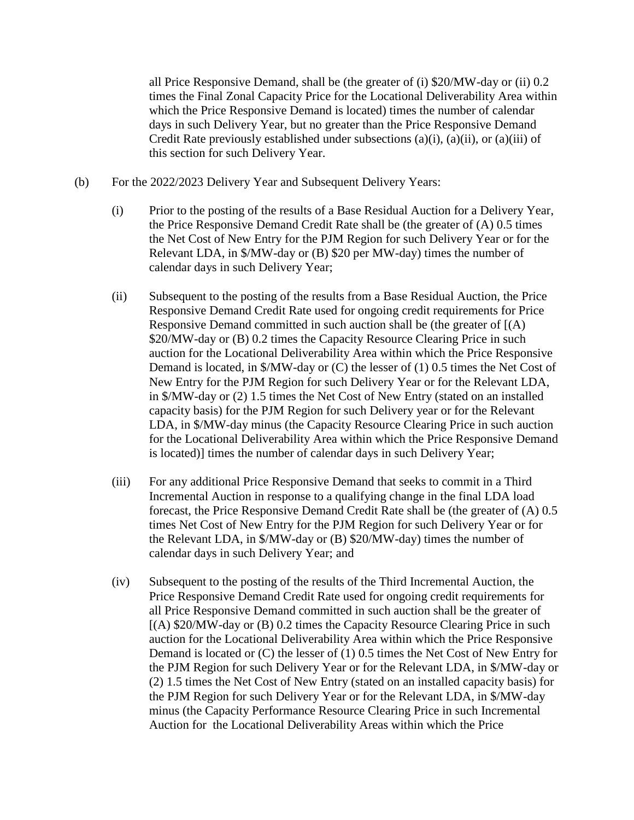all Price Responsive Demand, shall be (the greater of (i) \$20/MW-day or (ii) 0.2 times the Final Zonal Capacity Price for the Locational Deliverability Area within which the Price Responsive Demand is located) times the number of calendar days in such Delivery Year, but no greater than the Price Responsive Demand Credit Rate previously established under subsections (a)(i), (a)(ii), or (a)(iii) of this section for such Delivery Year.

- (b) For the 2022/2023 Delivery Year and Subsequent Delivery Years:
	- (i) Prior to the posting of the results of a Base Residual Auction for a Delivery Year, the Price Responsive Demand Credit Rate shall be (the greater of (A) 0.5 times the Net Cost of New Entry for the PJM Region for such Delivery Year or for the Relevant LDA, in \$/MW-day or (B) \$20 per MW-day) times the number of calendar days in such Delivery Year;
	- (ii) Subsequent to the posting of the results from a Base Residual Auction, the Price Responsive Demand Credit Rate used for ongoing credit requirements for Price Responsive Demand committed in such auction shall be (the greater of [(A) \$20/MW-day or (B) 0.2 times the Capacity Resource Clearing Price in such auction for the Locational Deliverability Area within which the Price Responsive Demand is located, in \$/MW-day or (C) the lesser of (1) 0.5 times the Net Cost of New Entry for the PJM Region for such Delivery Year or for the Relevant LDA, in \$/MW-day or (2) 1.5 times the Net Cost of New Entry (stated on an installed capacity basis) for the PJM Region for such Delivery year or for the Relevant LDA, in \$/MW-day minus (the Capacity Resource Clearing Price in such auction for the Locational Deliverability Area within which the Price Responsive Demand is located)] times the number of calendar days in such Delivery Year;
	- (iii) For any additional Price Responsive Demand that seeks to commit in a Third Incremental Auction in response to a qualifying change in the final LDA load forecast, the Price Responsive Demand Credit Rate shall be (the greater of (A) 0.5 times Net Cost of New Entry for the PJM Region for such Delivery Year or for the Relevant LDA, in \$/MW-day or (B) \$20/MW-day) times the number of calendar days in such Delivery Year; and
	- (iv) Subsequent to the posting of the results of the Third Incremental Auction, the Price Responsive Demand Credit Rate used for ongoing credit requirements for all Price Responsive Demand committed in such auction shall be the greater of [(A) \$20/MW-day or (B) 0.2 times the Capacity Resource Clearing Price in such auction for the Locational Deliverability Area within which the Price Responsive Demand is located or (C) the lesser of (1) 0.5 times the Net Cost of New Entry for the PJM Region for such Delivery Year or for the Relevant LDA, in \$/MW-day or (2) 1.5 times the Net Cost of New Entry (stated on an installed capacity basis) for the PJM Region for such Delivery Year or for the Relevant LDA, in \$/MW-day minus (the Capacity Performance Resource Clearing Price in such Incremental Auction for the Locational Deliverability Areas within which the Price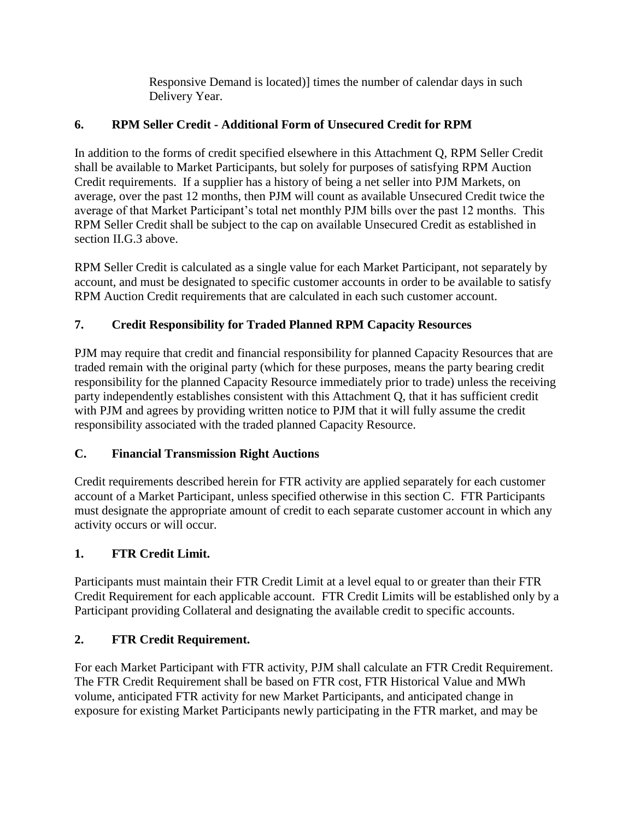Responsive Demand is located)] times the number of calendar days in such Delivery Year.

## **6. RPM Seller Credit - Additional Form of Unsecured Credit for RPM**

In addition to the forms of credit specified elsewhere in this Attachment Q, RPM Seller Credit shall be available to Market Participants, but solely for purposes of satisfying RPM Auction Credit requirements. If a supplier has a history of being a net seller into PJM Markets, on average, over the past 12 months, then PJM will count as available Unsecured Credit twice the average of that Market Participant's total net monthly PJM bills over the past 12 months. This RPM Seller Credit shall be subject to the cap on available Unsecured Credit as established in section II.G.3 above.

RPM Seller Credit is calculated as a single value for each Market Participant, not separately by account, and must be designated to specific customer accounts in order to be available to satisfy RPM Auction Credit requirements that are calculated in each such customer account.

## **7. Credit Responsibility for Traded Planned RPM Capacity Resources**

PJM may require that credit and financial responsibility for planned Capacity Resources that are traded remain with the original party (which for these purposes, means the party bearing credit responsibility for the planned Capacity Resource immediately prior to trade) unless the receiving party independently establishes consistent with this Attachment Q, that it has sufficient credit with PJM and agrees by providing written notice to PJM that it will fully assume the credit responsibility associated with the traded planned Capacity Resource.

## **C. Financial Transmission Right Auctions**

Credit requirements described herein for FTR activity are applied separately for each customer account of a Market Participant, unless specified otherwise in this section C. FTR Participants must designate the appropriate amount of credit to each separate customer account in which any activity occurs or will occur.

## **1. FTR Credit Limit.**

Participants must maintain their FTR Credit Limit at a level equal to or greater than their FTR Credit Requirement for each applicable account. FTR Credit Limits will be established only by a Participant providing Collateral and designating the available credit to specific accounts.

## **2. FTR Credit Requirement.**

For each Market Participant with FTR activity, PJM shall calculate an FTR Credit Requirement. The FTR Credit Requirement shall be based on FTR cost, FTR Historical Value and MWh volume, anticipated FTR activity for new Market Participants, and anticipated change in exposure for existing Market Participants newly participating in the FTR market, and may be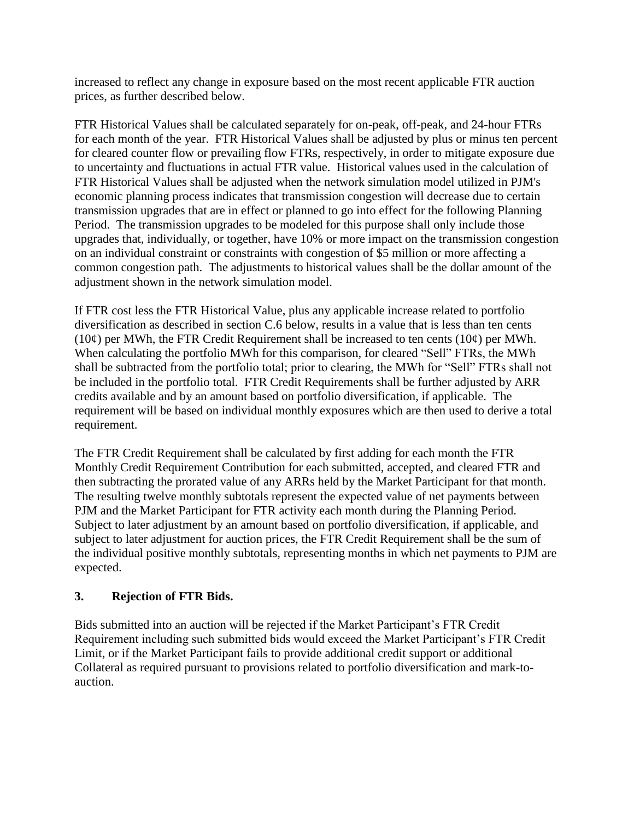increased to reflect any change in exposure based on the most recent applicable FTR auction prices, as further described below.

FTR Historical Values shall be calculated separately for on-peak, off-peak, and 24-hour FTRs for each month of the year. FTR Historical Values shall be adjusted by plus or minus ten percent for cleared counter flow or prevailing flow FTRs, respectively, in order to mitigate exposure due to uncertainty and fluctuations in actual FTR value. Historical values used in the calculation of FTR Historical Values shall be adjusted when the network simulation model utilized in PJM's economic planning process indicates that transmission congestion will decrease due to certain transmission upgrades that are in effect or planned to go into effect for the following Planning Period. The transmission upgrades to be modeled for this purpose shall only include those upgrades that, individually, or together, have 10% or more impact on the transmission congestion on an individual constraint or constraints with congestion of \$5 million or more affecting a common congestion path. The adjustments to historical values shall be the dollar amount of the adjustment shown in the network simulation model.

If FTR cost less the FTR Historical Value, plus any applicable increase related to portfolio diversification as described in section C.6 below, results in a value that is less than ten cents (10 $\varphi$ ) per MWh, the FTR Credit Requirement shall be increased to ten cents (10 $\varphi$ ) per MWh. When calculating the portfolio MWh for this comparison, for cleared "Sell" FTRs, the MWh shall be subtracted from the portfolio total; prior to clearing, the MWh for "Sell" FTRs shall not be included in the portfolio total. FTR Credit Requirements shall be further adjusted by ARR credits available and by an amount based on portfolio diversification, if applicable. The requirement will be based on individual monthly exposures which are then used to derive a total requirement.

The FTR Credit Requirement shall be calculated by first adding for each month the FTR Monthly Credit Requirement Contribution for each submitted, accepted, and cleared FTR and then subtracting the prorated value of any ARRs held by the Market Participant for that month. The resulting twelve monthly subtotals represent the expected value of net payments between PJM and the Market Participant for FTR activity each month during the Planning Period. Subject to later adjustment by an amount based on portfolio diversification, if applicable, and subject to later adjustment for auction prices, the FTR Credit Requirement shall be the sum of the individual positive monthly subtotals, representing months in which net payments to PJM are expected.

### **3. Rejection of FTR Bids.**

Bids submitted into an auction will be rejected if the Market Participant's FTR Credit Requirement including such submitted bids would exceed the Market Participant's FTR Credit Limit, or if the Market Participant fails to provide additional credit support or additional Collateral as required pursuant to provisions related to portfolio diversification and mark-toauction.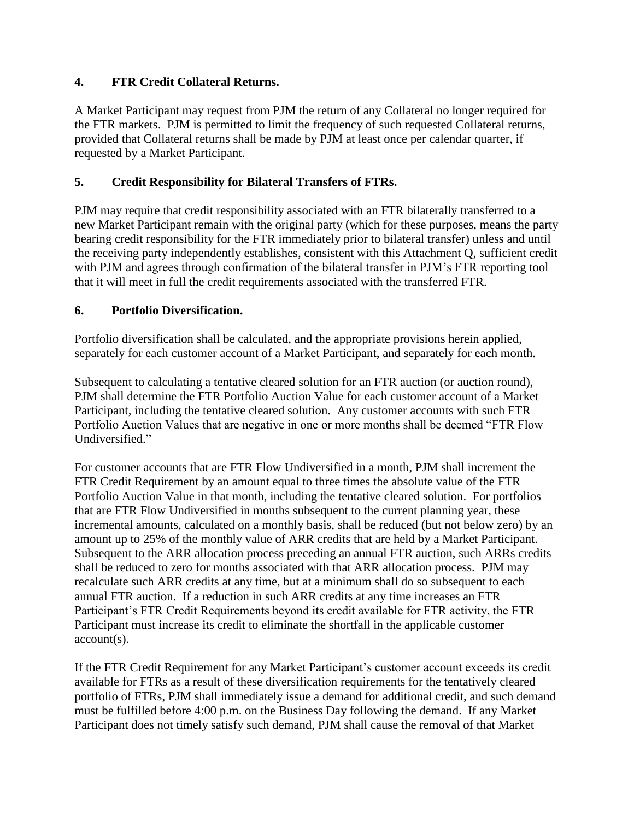### **4. FTR Credit Collateral Returns.**

A Market Participant may request from PJM the return of any Collateral no longer required for the FTR markets. PJM is permitted to limit the frequency of such requested Collateral returns, provided that Collateral returns shall be made by PJM at least once per calendar quarter, if requested by a Market Participant.

### **5. Credit Responsibility for Bilateral Transfers of FTRs.**

PJM may require that credit responsibility associated with an FTR bilaterally transferred to a new Market Participant remain with the original party (which for these purposes, means the party bearing credit responsibility for the FTR immediately prior to bilateral transfer) unless and until the receiving party independently establishes, consistent with this Attachment Q, sufficient credit with PJM and agrees through confirmation of the bilateral transfer in PJM's FTR reporting tool that it will meet in full the credit requirements associated with the transferred FTR.

### **6. Portfolio Diversification.**

Portfolio diversification shall be calculated, and the appropriate provisions herein applied, separately for each customer account of a Market Participant, and separately for each month.

Subsequent to calculating a tentative cleared solution for an FTR auction (or auction round), PJM shall determine the FTR Portfolio Auction Value for each customer account of a Market Participant, including the tentative cleared solution. Any customer accounts with such FTR Portfolio Auction Values that are negative in one or more months shall be deemed "FTR Flow Undiversified."

For customer accounts that are FTR Flow Undiversified in a month, PJM shall increment the FTR Credit Requirement by an amount equal to three times the absolute value of the FTR Portfolio Auction Value in that month, including the tentative cleared solution. For portfolios that are FTR Flow Undiversified in months subsequent to the current planning year, these incremental amounts, calculated on a monthly basis, shall be reduced (but not below zero) by an amount up to 25% of the monthly value of ARR credits that are held by a Market Participant. Subsequent to the ARR allocation process preceding an annual FTR auction, such ARRs credits shall be reduced to zero for months associated with that ARR allocation process. PJM may recalculate such ARR credits at any time, but at a minimum shall do so subsequent to each annual FTR auction. If a reduction in such ARR credits at any time increases an FTR Participant's FTR Credit Requirements beyond its credit available for FTR activity, the FTR Participant must increase its credit to eliminate the shortfall in the applicable customer account(s).

If the FTR Credit Requirement for any Market Participant's customer account exceeds its credit available for FTRs as a result of these diversification requirements for the tentatively cleared portfolio of FTRs, PJM shall immediately issue a demand for additional credit, and such demand must be fulfilled before 4:00 p.m. on the Business Day following the demand. If any Market Participant does not timely satisfy such demand, PJM shall cause the removal of that Market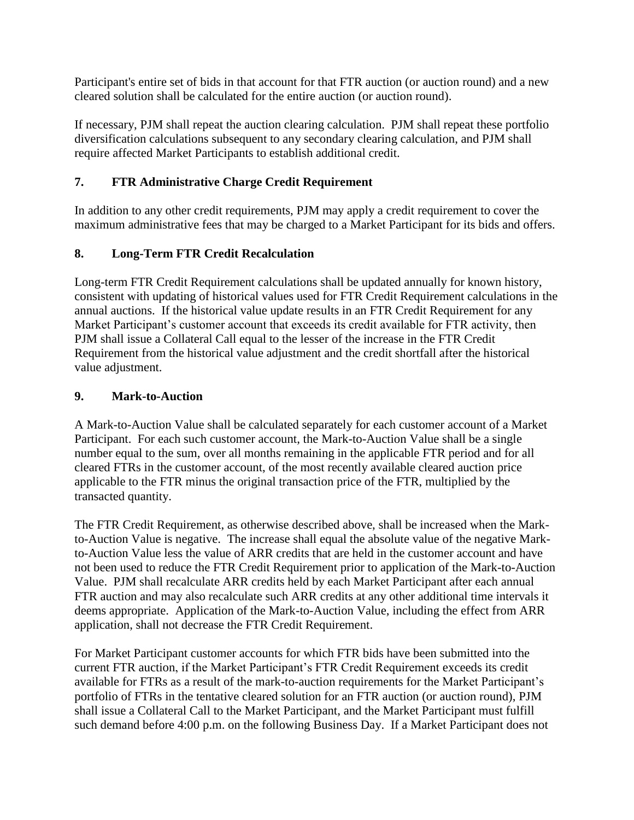Participant's entire set of bids in that account for that FTR auction (or auction round) and a new cleared solution shall be calculated for the entire auction (or auction round).

If necessary, PJM shall repeat the auction clearing calculation. PJM shall repeat these portfolio diversification calculations subsequent to any secondary clearing calculation, and PJM shall require affected Market Participants to establish additional credit.

## **7. FTR Administrative Charge Credit Requirement**

In addition to any other credit requirements, PJM may apply a credit requirement to cover the maximum administrative fees that may be charged to a Market Participant for its bids and offers.

## **8. Long-Term FTR Credit Recalculation**

Long-term FTR Credit Requirement calculations shall be updated annually for known history, consistent with updating of historical values used for FTR Credit Requirement calculations in the annual auctions. If the historical value update results in an FTR Credit Requirement for any Market Participant's customer account that exceeds its credit available for FTR activity, then PJM shall issue a Collateral Call equal to the lesser of the increase in the FTR Credit Requirement from the historical value adjustment and the credit shortfall after the historical value adjustment.

## **9. Mark-to-Auction**

A Mark-to-Auction Value shall be calculated separately for each customer account of a Market Participant. For each such customer account, the Mark-to-Auction Value shall be a single number equal to the sum, over all months remaining in the applicable FTR period and for all cleared FTRs in the customer account, of the most recently available cleared auction price applicable to the FTR minus the original transaction price of the FTR, multiplied by the transacted quantity.

The FTR Credit Requirement, as otherwise described above, shall be increased when the Markto-Auction Value is negative. The increase shall equal the absolute value of the negative Markto-Auction Value less the value of ARR credits that are held in the customer account and have not been used to reduce the FTR Credit Requirement prior to application of the Mark-to-Auction Value. PJM shall recalculate ARR credits held by each Market Participant after each annual FTR auction and may also recalculate such ARR credits at any other additional time intervals it deems appropriate. Application of the Mark-to-Auction Value, including the effect from ARR application, shall not decrease the FTR Credit Requirement.

For Market Participant customer accounts for which FTR bids have been submitted into the current FTR auction, if the Market Participant's FTR Credit Requirement exceeds its credit available for FTRs as a result of the mark-to-auction requirements for the Market Participant's portfolio of FTRs in the tentative cleared solution for an FTR auction (or auction round), PJM shall issue a Collateral Call to the Market Participant, and the Market Participant must fulfill such demand before 4:00 p.m. on the following Business Day. If a Market Participant does not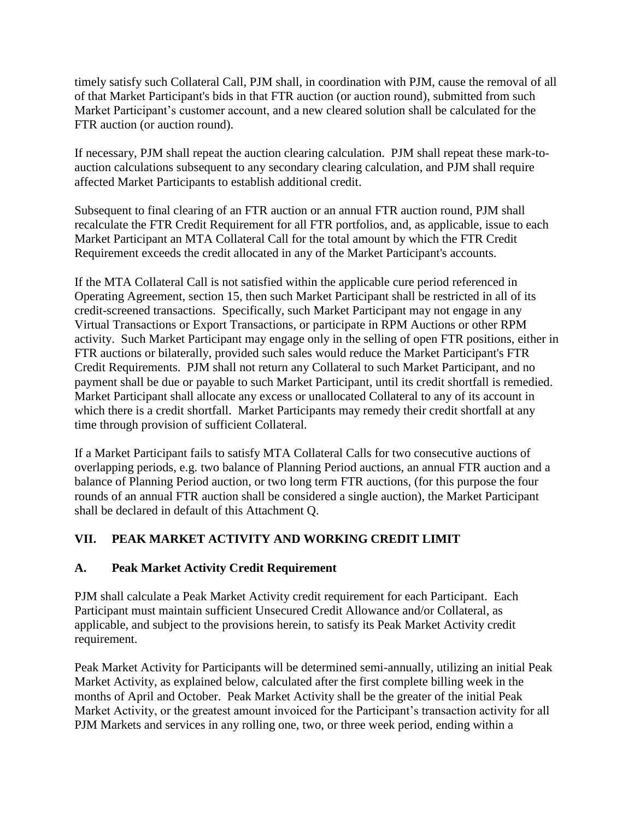timely satisfy such Collateral Call, PJM shall, in coordination with PJM, cause the removal of all of that Market Participant's bids in that FTR auction (or auction round), submitted from such Market Participant's customer account, and a new cleared solution shall be calculated for the FTR auction (or auction round).

If necessary, PJM shall repeat the auction clearing calculation. PJM shall repeat these mark-toauction calculations subsequent to any secondary clearing calculation, and PJM shall require affected Market Participants to establish additional credit.

Subsequent to final clearing of an FTR auction or an annual FTR auction round, PJM shall recalculate the FTR Credit Requirement for all FTR portfolios, and, as applicable, issue to each Market Participant an MTA Collateral Call for the total amount by which the FTR Credit Requirement exceeds the credit allocated in any of the Market Participant's accounts.

If the MTA Collateral Call is not satisfied within the applicable cure period referenced in Operating Agreement, section 15, then such Market Participant shall be restricted in all of its credit-screened transactions. Specifically, such Market Participant may not engage in any Virtual Transactions or Export Transactions, or participate in RPM Auctions or other RPM activity. Such Market Participant may engage only in the selling of open FTR positions, either in FTR auctions or bilaterally, provided such sales would reduce the Market Participant's FTR Credit Requirements. PJM shall not return any Collateral to such Market Participant, and no payment shall be due or payable to such Market Participant, until its credit shortfall is remedied. Market Participant shall allocate any excess or unallocated Collateral to any of its account in which there is a credit shortfall. Market Participants may remedy their credit shortfall at any time through provision of sufficient Collateral.

If a Market Participant fails to satisfy MTA Collateral Calls for two consecutive auctions of overlapping periods, e.g. two balance of Planning Period auctions, an annual FTR auction and a balance of Planning Period auction, or two long term FTR auctions, (for this purpose the four rounds of an annual FTR auction shall be considered a single auction), the Market Participant shall be declared in default of this Attachment Q.

## **VII. PEAK MARKET ACTIVITY AND WORKING CREDIT LIMIT**

### **A. Peak Market Activity Credit Requirement**

PJM shall calculate a Peak Market Activity credit requirement for each Participant. Each Participant must maintain sufficient Unsecured Credit Allowance and/or Collateral, as applicable, and subject to the provisions herein, to satisfy its Peak Market Activity credit requirement.

Peak Market Activity for Participants will be determined semi-annually, utilizing an initial Peak Market Activity, as explained below, calculated after the first complete billing week in the months of April and October. Peak Market Activity shall be the greater of the initial Peak Market Activity, or the greatest amount invoiced for the Participant's transaction activity for all PJM Markets and services in any rolling one, two, or three week period, ending within a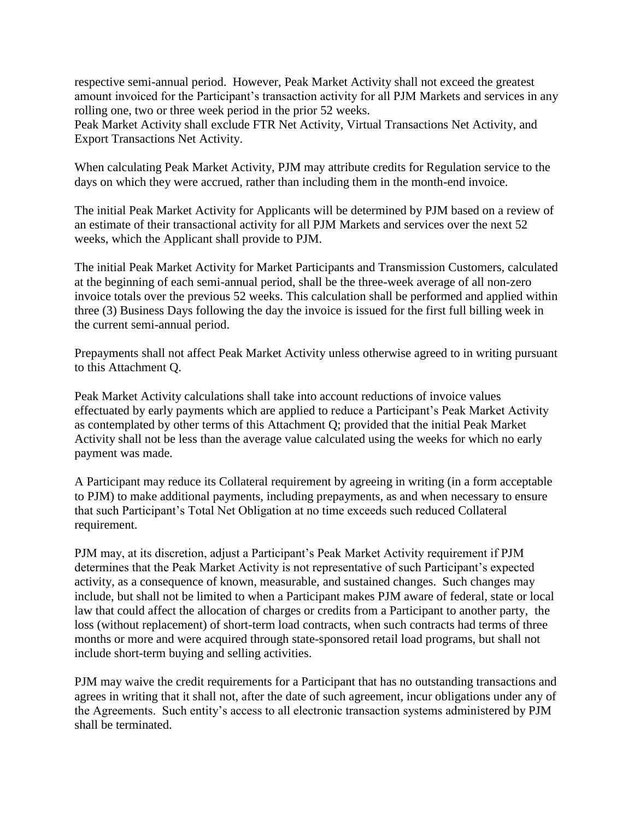respective semi-annual period. However, Peak Market Activity shall not exceed the greatest amount invoiced for the Participant's transaction activity for all PJM Markets and services in any rolling one, two or three week period in the prior 52 weeks.

Peak Market Activity shall exclude FTR Net Activity, Virtual Transactions Net Activity, and Export Transactions Net Activity.

When calculating Peak Market Activity, PJM may attribute credits for Regulation service to the days on which they were accrued, rather than including them in the month-end invoice.

The initial Peak Market Activity for Applicants will be determined by PJM based on a review of an estimate of their transactional activity for all PJM Markets and services over the next 52 weeks, which the Applicant shall provide to PJM.

The initial Peak Market Activity for Market Participants and Transmission Customers, calculated at the beginning of each semi-annual period, shall be the three-week average of all non-zero invoice totals over the previous 52 weeks. This calculation shall be performed and applied within three (3) Business Days following the day the invoice is issued for the first full billing week in the current semi-annual period.

Prepayments shall not affect Peak Market Activity unless otherwise agreed to in writing pursuant to this Attachment Q.

Peak Market Activity calculations shall take into account reductions of invoice values effectuated by early payments which are applied to reduce a Participant's Peak Market Activity as contemplated by other terms of this Attachment Q; provided that the initial Peak Market Activity shall not be less than the average value calculated using the weeks for which no early payment was made.

A Participant may reduce its Collateral requirement by agreeing in writing (in a form acceptable to PJM) to make additional payments, including prepayments, as and when necessary to ensure that such Participant's Total Net Obligation at no time exceeds such reduced Collateral requirement.

PJM may, at its discretion, adjust a Participant's Peak Market Activity requirement if PJM determines that the Peak Market Activity is not representative of such Participant's expected activity, as a consequence of known, measurable, and sustained changes. Such changes may include, but shall not be limited to when a Participant makes PJM aware of federal, state or local law that could affect the allocation of charges or credits from a Participant to another party, the loss (without replacement) of short-term load contracts, when such contracts had terms of three months or more and were acquired through state-sponsored retail load programs, but shall not include short-term buying and selling activities.

PJM may waive the credit requirements for a Participant that has no outstanding transactions and agrees in writing that it shall not, after the date of such agreement, incur obligations under any of the Agreements. Such entity's access to all electronic transaction systems administered by PJM shall be terminated.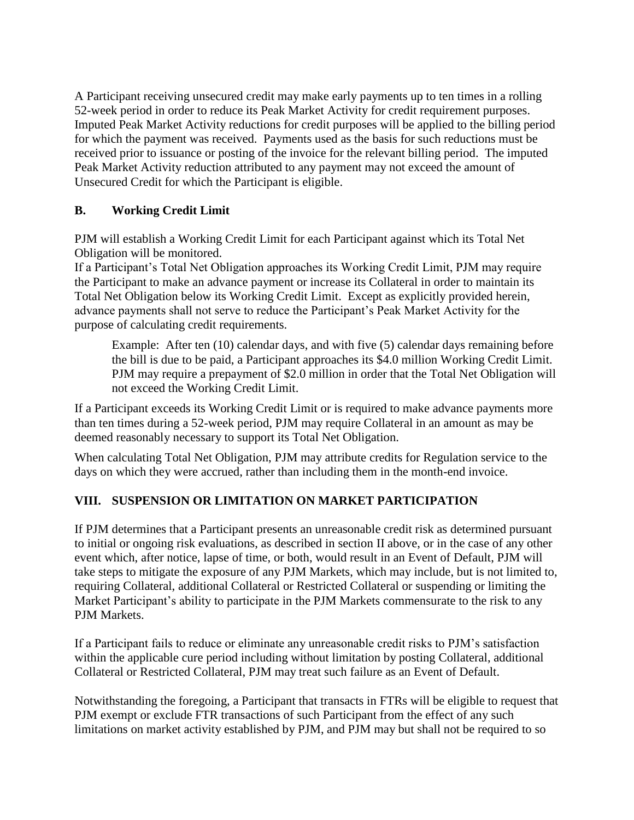A Participant receiving unsecured credit may make early payments up to ten times in a rolling 52-week period in order to reduce its Peak Market Activity for credit requirement purposes. Imputed Peak Market Activity reductions for credit purposes will be applied to the billing period for which the payment was received. Payments used as the basis for such reductions must be received prior to issuance or posting of the invoice for the relevant billing period. The imputed Peak Market Activity reduction attributed to any payment may not exceed the amount of Unsecured Credit for which the Participant is eligible.

### **B. Working Credit Limit**

PJM will establish a Working Credit Limit for each Participant against which its Total Net Obligation will be monitored.

If a Participant's Total Net Obligation approaches its Working Credit Limit, PJM may require the Participant to make an advance payment or increase its Collateral in order to maintain its Total Net Obligation below its Working Credit Limit. Except as explicitly provided herein, advance payments shall not serve to reduce the Participant's Peak Market Activity for the purpose of calculating credit requirements.

Example: After ten (10) calendar days, and with five (5) calendar days remaining before the bill is due to be paid, a Participant approaches its \$4.0 million Working Credit Limit. PJM may require a prepayment of \$2.0 million in order that the Total Net Obligation will not exceed the Working Credit Limit.

If a Participant exceeds its Working Credit Limit or is required to make advance payments more than ten times during a 52-week period, PJM may require Collateral in an amount as may be deemed reasonably necessary to support its Total Net Obligation.

When calculating Total Net Obligation, PJM may attribute credits for Regulation service to the days on which they were accrued, rather than including them in the month-end invoice.

## **VIII. SUSPENSION OR LIMITATION ON MARKET PARTICIPATION**

If PJM determines that a Participant presents an unreasonable credit risk as determined pursuant to initial or ongoing risk evaluations, as described in section II above, or in the case of any other event which, after notice, lapse of time, or both, would result in an Event of Default, PJM will take steps to mitigate the exposure of any PJM Markets, which may include, but is not limited to, requiring Collateral, additional Collateral or Restricted Collateral or suspending or limiting the Market Participant's ability to participate in the PJM Markets commensurate to the risk to any PJM Markets.

If a Participant fails to reduce or eliminate any unreasonable credit risks to PJM's satisfaction within the applicable cure period including without limitation by posting Collateral, additional Collateral or Restricted Collateral, PJM may treat such failure as an Event of Default.

Notwithstanding the foregoing, a Participant that transacts in FTRs will be eligible to request that PJM exempt or exclude FTR transactions of such Participant from the effect of any such limitations on market activity established by PJM, and PJM may but shall not be required to so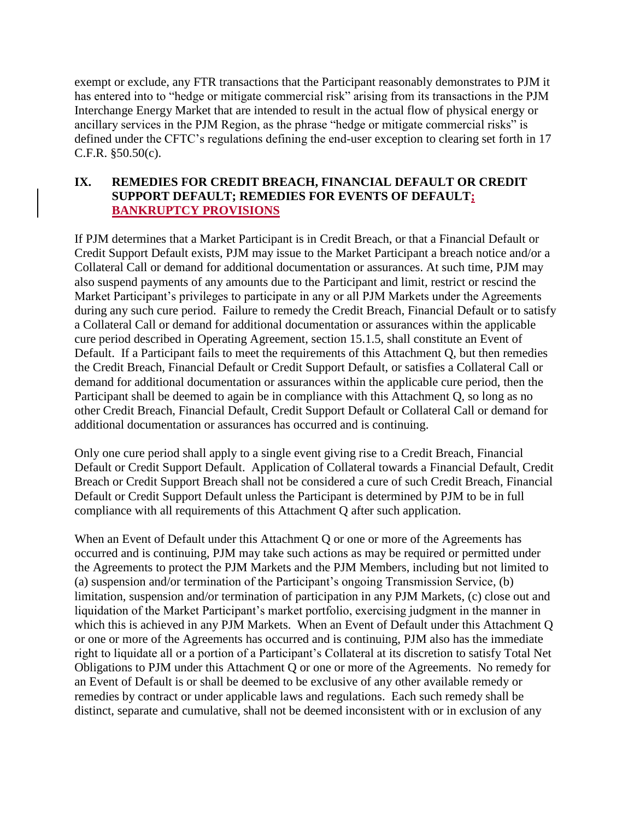exempt or exclude, any FTR transactions that the Participant reasonably demonstrates to PJM it has entered into to "hedge or mitigate commercial risk" arising from its transactions in the PJM Interchange Energy Market that are intended to result in the actual flow of physical energy or ancillary services in the PJM Region, as the phrase "hedge or mitigate commercial risks" is defined under the CFTC's regulations defining the end-user exception to clearing set forth in 17 C.F.R. §50.50(c).

#### **IX. REMEDIES FOR CREDIT BREACH, FINANCIAL DEFAULT OR CREDIT SUPPORT DEFAULT; REMEDIES FOR EVENTS OF DEFAULT; BANKRUPTCY PROVISIONS**

If PJM determines that a Market Participant is in Credit Breach, or that a Financial Default or Credit Support Default exists, PJM may issue to the Market Participant a breach notice and/or a Collateral Call or demand for additional documentation or assurances. At such time, PJM may also suspend payments of any amounts due to the Participant and limit, restrict or rescind the Market Participant's privileges to participate in any or all PJM Markets under the Agreements during any such cure period. Failure to remedy the Credit Breach, Financial Default or to satisfy a Collateral Call or demand for additional documentation or assurances within the applicable cure period described in Operating Agreement, section 15.1.5, shall constitute an Event of Default. If a Participant fails to meet the requirements of this Attachment Q, but then remedies the Credit Breach, Financial Default or Credit Support Default, or satisfies a Collateral Call or demand for additional documentation or assurances within the applicable cure period, then the Participant shall be deemed to again be in compliance with this Attachment Q, so long as no other Credit Breach, Financial Default, Credit Support Default or Collateral Call or demand for additional documentation or assurances has occurred and is continuing.

Only one cure period shall apply to a single event giving rise to a Credit Breach, Financial Default or Credit Support Default. Application of Collateral towards a Financial Default, Credit Breach or Credit Support Breach shall not be considered a cure of such Credit Breach, Financial Default or Credit Support Default unless the Participant is determined by PJM to be in full compliance with all requirements of this Attachment Q after such application.

When an Event of Default under this Attachment Q or one or more of the Agreements has occurred and is continuing, PJM may take such actions as may be required or permitted under the Agreements to protect the PJM Markets and the PJM Members, including but not limited to (a) suspension and/or termination of the Participant's ongoing Transmission Service, (b) limitation, suspension and/or termination of participation in any PJM Markets, (c) close out and liquidation of the Market Participant's market portfolio, exercising judgment in the manner in which this is achieved in any PJM Markets. When an Event of Default under this Attachment Q or one or more of the Agreements has occurred and is continuing, PJM also has the immediate right to liquidate all or a portion of a Participant's Collateral at its discretion to satisfy Total Net Obligations to PJM under this Attachment Q or one or more of the Agreements. No remedy for an Event of Default is or shall be deemed to be exclusive of any other available remedy or remedies by contract or under applicable laws and regulations. Each such remedy shall be distinct, separate and cumulative, shall not be deemed inconsistent with or in exclusion of any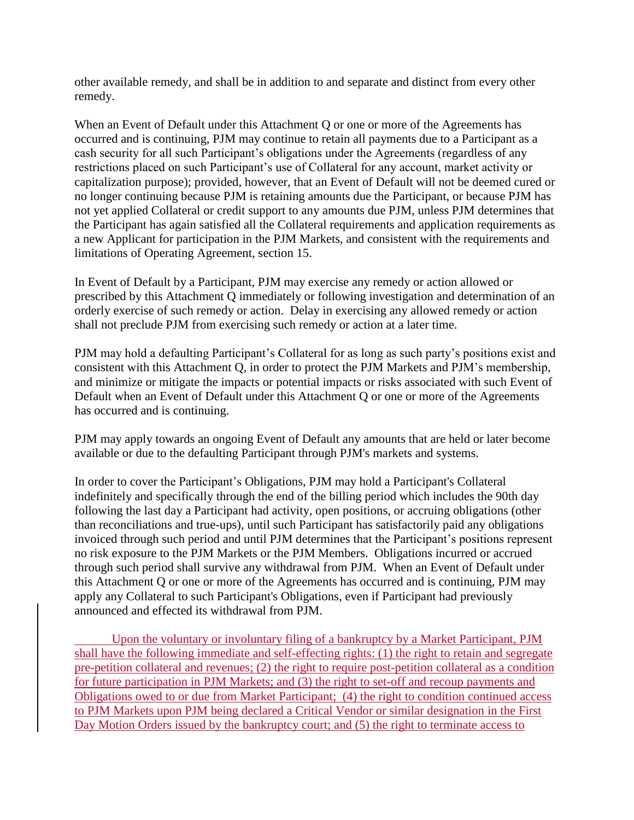other available remedy, and shall be in addition to and separate and distinct from every other remedy.

When an Event of Default under this Attachment Q or one or more of the Agreements has occurred and is continuing, PJM may continue to retain all payments due to a Participant as a cash security for all such Participant's obligations under the Agreements (regardless of any restrictions placed on such Participant's use of Collateral for any account, market activity or capitalization purpose); provided, however, that an Event of Default will not be deemed cured or no longer continuing because PJM is retaining amounts due the Participant, or because PJM has not yet applied Collateral or credit support to any amounts due PJM, unless PJM determines that the Participant has again satisfied all the Collateral requirements and application requirements as a new Applicant for participation in the PJM Markets, and consistent with the requirements and limitations of Operating Agreement, section 15.

In Event of Default by a Participant, PJM may exercise any remedy or action allowed or prescribed by this Attachment Q immediately or following investigation and determination of an orderly exercise of such remedy or action. Delay in exercising any allowed remedy or action shall not preclude PJM from exercising such remedy or action at a later time.

PJM may hold a defaulting Participant's Collateral for as long as such party's positions exist and consistent with this Attachment Q, in order to protect the PJM Markets and PJM's membership, and minimize or mitigate the impacts or potential impacts or risks associated with such Event of Default when an Event of Default under this Attachment Q or one or more of the Agreements has occurred and is continuing.

PJM may apply towards an ongoing Event of Default any amounts that are held or later become available or due to the defaulting Participant through PJM's markets and systems.

In order to cover the Participant's Obligations, PJM may hold a Participant's Collateral indefinitely and specifically through the end of the billing period which includes the 90th day following the last day a Participant had activity, open positions, or accruing obligations (other than reconciliations and true-ups), until such Participant has satisfactorily paid any obligations invoiced through such period and until PJM determines that the Participant's positions represent no risk exposure to the PJM Markets or the PJM Members. Obligations incurred or accrued through such period shall survive any withdrawal from PJM. When an Event of Default under this Attachment Q or one or more of the Agreements has occurred and is continuing, PJM may apply any Collateral to such Participant's Obligations, even if Participant had previously announced and effected its withdrawal from PJM.

Upon the voluntary or involuntary filing of a bankruptcy by a Market Participant, PJM shall have the following immediate and self-effecting rights: (1) the right to retain and segregate pre-petition collateral and revenues; (2) the right to require post-petition collateral as a condition for future participation in PJM Markets; and (3) the right to set-off and recoup payments and Obligations owed to or due from Market Participant; (4) the right to condition continued access to PJM Markets upon PJM being declared a Critical Vendor or similar designation in the First Day Motion Orders issued by the bankruptcy court; and (5) the right to terminate access to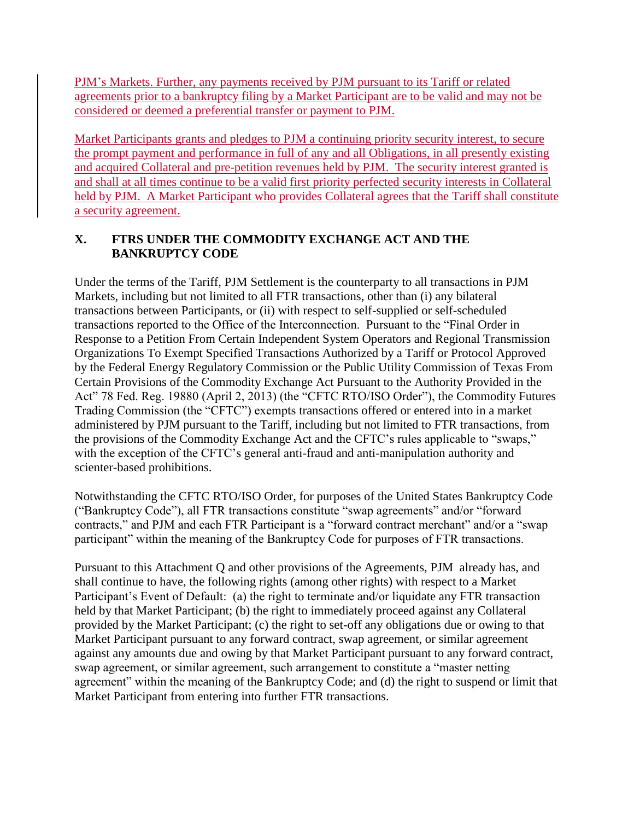PJM's Markets. Further, any payments received by PJM pursuant to its Tariff or related agreements prior to a bankruptcy filing by a Market Participant are to be valid and may not be considered or deemed a preferential transfer or payment to PJM.

Market Participants grants and pledges to PJM a continuing priority security interest, to secure the prompt payment and performance in full of any and all Obligations, in all presently existing and acquired Collateral and pre-petition revenues held by PJM. The security interest granted is and shall at all times continue to be a valid first priority perfected security interests in Collateral held by PJM. A Market Participant who provides Collateral agrees that the Tariff shall constitute a security agreement.

### **X. FTRS UNDER THE COMMODITY EXCHANGE ACT AND THE BANKRUPTCY CODE**

Under the terms of the Tariff, PJM Settlement is the counterparty to all transactions in PJM Markets, including but not limited to all FTR transactions, other than (i) any bilateral transactions between Participants, or (ii) with respect to self-supplied or self-scheduled transactions reported to the Office of the Interconnection. Pursuant to the "Final Order in Response to a Petition From Certain Independent System Operators and Regional Transmission Organizations To Exempt Specified Transactions Authorized by a Tariff or Protocol Approved by the Federal Energy Regulatory Commission or the Public Utility Commission of Texas From Certain Provisions of the Commodity Exchange Act Pursuant to the Authority Provided in the Act" 78 Fed. Reg. 19880 (April 2, 2013) (the "CFTC RTO/ISO Order"), the Commodity Futures Trading Commission (the "CFTC") exempts transactions offered or entered into in a market administered by PJM pursuant to the Tariff, including but not limited to FTR transactions, from the provisions of the Commodity Exchange Act and the CFTC's rules applicable to "swaps," with the exception of the CFTC's general anti-fraud and anti-manipulation authority and scienter-based prohibitions.

Notwithstanding the CFTC RTO/ISO Order, for purposes of the United States Bankruptcy Code ("Bankruptcy Code"), all FTR transactions constitute "swap agreements" and/or "forward contracts," and PJM and each FTR Participant is a "forward contract merchant" and/or a "swap participant" within the meaning of the Bankruptcy Code for purposes of FTR transactions.

Pursuant to this Attachment Q and other provisions of the Agreements, PJM already has, and shall continue to have, the following rights (among other rights) with respect to a Market Participant's Event of Default: (a) the right to terminate and/or liquidate any FTR transaction held by that Market Participant; (b) the right to immediately proceed against any Collateral provided by the Market Participant; (c) the right to set-off any obligations due or owing to that Market Participant pursuant to any forward contract, swap agreement, or similar agreement against any amounts due and owing by that Market Participant pursuant to any forward contract, swap agreement, or similar agreement, such arrangement to constitute a "master netting agreement" within the meaning of the Bankruptcy Code; and (d) the right to suspend or limit that Market Participant from entering into further FTR transactions.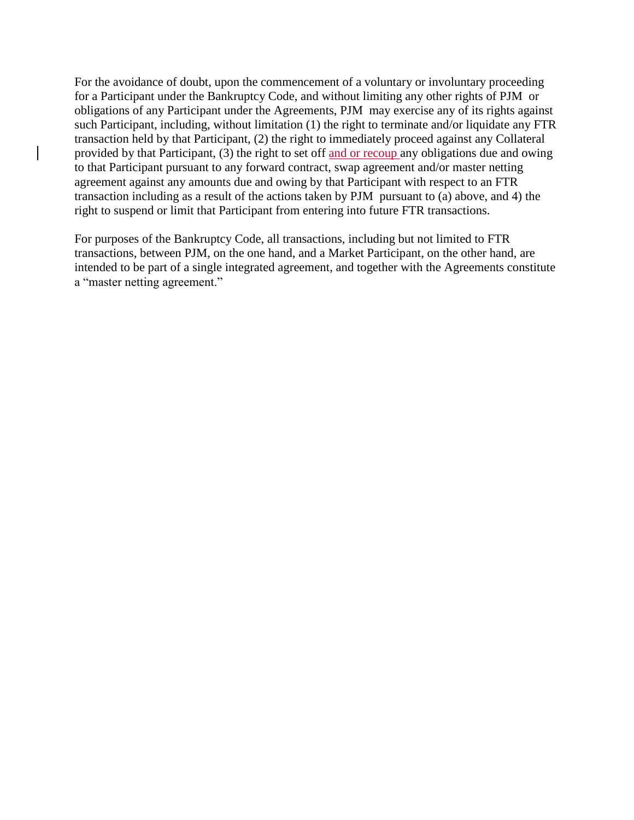For the avoidance of doubt, upon the commencement of a voluntary or involuntary proceeding for a Participant under the Bankruptcy Code, and without limiting any other rights of PJM or obligations of any Participant under the Agreements, PJM may exercise any of its rights against such Participant, including, without limitation (1) the right to terminate and/or liquidate any FTR transaction held by that Participant, (2) the right to immediately proceed against any Collateral provided by that Participant, (3) the right to set off and or recoup any obligations due and owing to that Participant pursuant to any forward contract, swap agreement and/or master netting agreement against any amounts due and owing by that Participant with respect to an FTR transaction including as a result of the actions taken by PJM pursuant to (a) above, and 4) the right to suspend or limit that Participant from entering into future FTR transactions.

For purposes of the Bankruptcy Code, all transactions, including but not limited to FTR transactions, between PJM, on the one hand, and a Market Participant, on the other hand, are intended to be part of a single integrated agreement, and together with the Agreements constitute a "master netting agreement."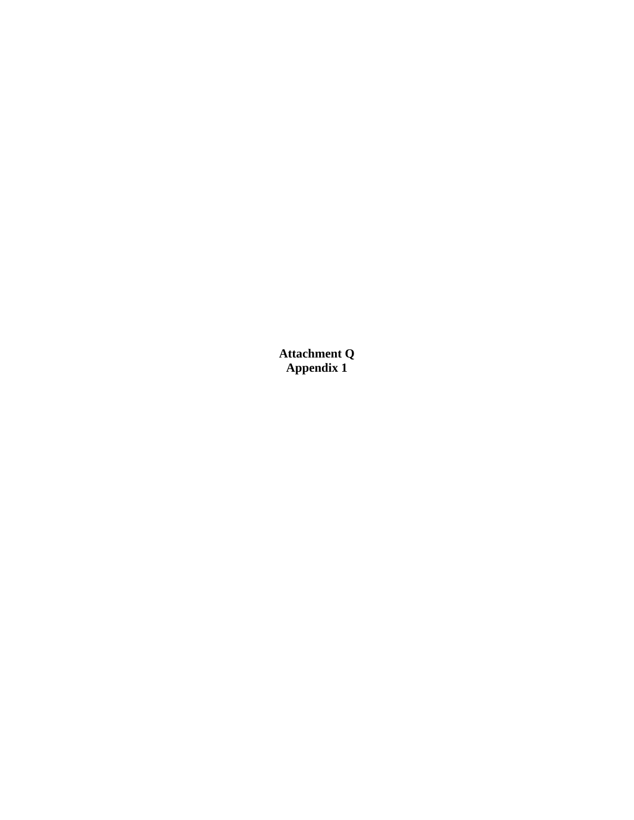**Attachment Q Appendix 1**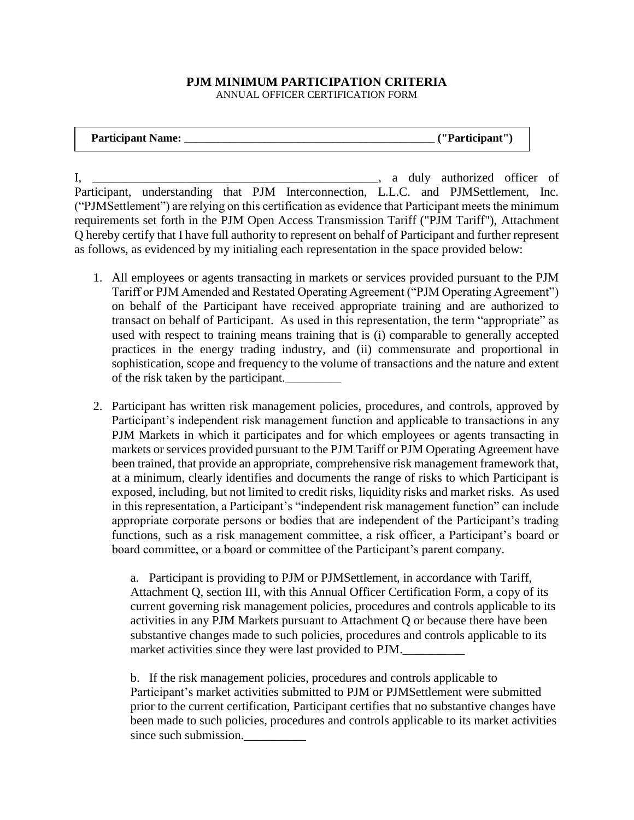#### **PJM MINIMUM PARTICIPATION CRITERIA**  ANNUAL OFFICER CERTIFICATION FORM

| <b>Participant Name:</b> |  | _("Participant" |
|--------------------------|--|-----------------|
|--------------------------|--|-----------------|

I, \_\_\_\_\_\_\_\_\_\_\_\_\_\_\_\_\_\_\_\_\_\_\_\_\_\_\_\_\_\_\_\_\_\_\_\_\_\_\_\_\_\_\_\_\_\_, a duly authorized officer of Participant, understanding that PJM Interconnection, L.L.C. and PJMSettlement, Inc. ("PJMSettlement") are relying on this certification as evidence that Participant meets the minimum requirements set forth in the PJM Open Access Transmission Tariff ("PJM Tariff"), Attachment Q hereby certify that I have full authority to represent on behalf of Participant and further represent as follows, as evidenced by my initialing each representation in the space provided below:

- 1. All employees or agents transacting in markets or services provided pursuant to the PJM Tariff or PJM Amended and Restated Operating Agreement ("PJM Operating Agreement") on behalf of the Participant have received appropriate training and are authorized to transact on behalf of Participant. As used in this representation, the term "appropriate" as used with respect to training means training that is (i) comparable to generally accepted practices in the energy trading industry, and (ii) commensurate and proportional in sophistication, scope and frequency to the volume of transactions and the nature and extent of the risk taken by the participant.\_\_\_\_\_\_\_\_\_
- 2. Participant has written risk management policies, procedures, and controls, approved by Participant's independent risk management function and applicable to transactions in any PJM Markets in which it participates and for which employees or agents transacting in markets or services provided pursuant to the PJM Tariff or PJM Operating Agreement have been trained, that provide an appropriate, comprehensive risk management framework that, at a minimum, clearly identifies and documents the range of risks to which Participant is exposed, including, but not limited to credit risks, liquidity risks and market risks. As used in this representation, a Participant's "independent risk management function" can include appropriate corporate persons or bodies that are independent of the Participant's trading functions, such as a risk management committee, a risk officer, a Participant's board or board committee, or a board or committee of the Participant's parent company.

a. Participant is providing to PJM or PJMSettlement, in accordance with Tariff, Attachment Q, section III, with this Annual Officer Certification Form, a copy of its current governing risk management policies, procedures and controls applicable to its activities in any PJM Markets pursuant to Attachment Q or because there have been substantive changes made to such policies, procedures and controls applicable to its market activities since they were last provided to PJM.

b. If the risk management policies, procedures and controls applicable to Participant's market activities submitted to PJM or PJMSettlement were submitted prior to the current certification, Participant certifies that no substantive changes have been made to such policies, procedures and controls applicable to its market activities since such submission.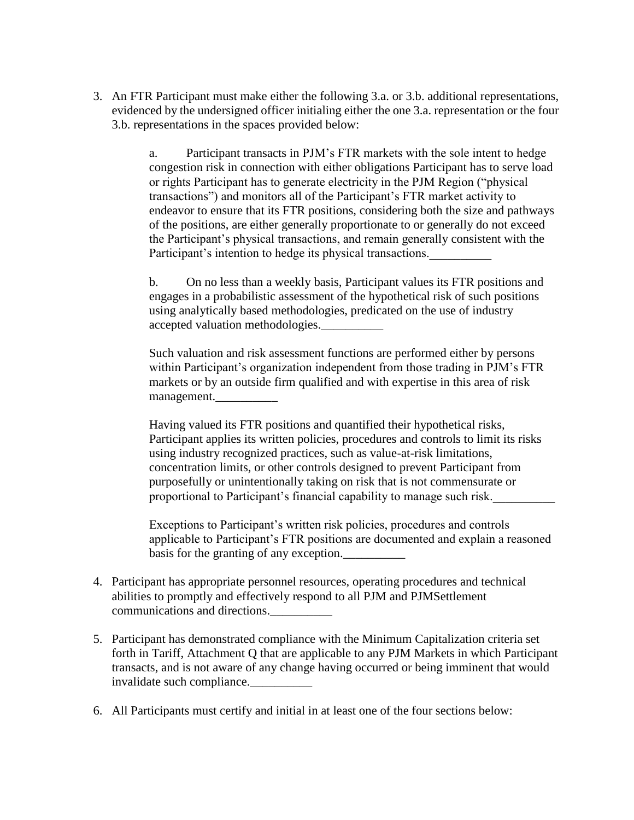3. An FTR Participant must make either the following 3.a. or 3.b. additional representations, evidenced by the undersigned officer initialing either the one 3.a. representation or the four 3.b. representations in the spaces provided below:

> a. Participant transacts in PJM's FTR markets with the sole intent to hedge congestion risk in connection with either obligations Participant has to serve load or rights Participant has to generate electricity in the PJM Region ("physical transactions") and monitors all of the Participant's FTR market activity to endeavor to ensure that its FTR positions, considering both the size and pathways of the positions, are either generally proportionate to or generally do not exceed the Participant's physical transactions, and remain generally consistent with the Participant's intention to hedge its physical transactions.

b. On no less than a weekly basis, Participant values its FTR positions and engages in a probabilistic assessment of the hypothetical risk of such positions using analytically based methodologies, predicated on the use of industry accepted valuation methodologies.

Such valuation and risk assessment functions are performed either by persons within Participant's organization independent from those trading in PJM's FTR markets or by an outside firm qualified and with expertise in this area of risk management.

Having valued its FTR positions and quantified their hypothetical risks, Participant applies its written policies, procedures and controls to limit its risks using industry recognized practices, such as value-at-risk limitations, concentration limits, or other controls designed to prevent Participant from purposefully or unintentionally taking on risk that is not commensurate or proportional to Participant's financial capability to manage such risk.\_\_\_\_\_\_\_\_\_\_

Exceptions to Participant's written risk policies, procedures and controls applicable to Participant's FTR positions are documented and explain a reasoned basis for the granting of any exception.

- 4. Participant has appropriate personnel resources, operating procedures and technical abilities to promptly and effectively respond to all PJM and PJMSettlement communications and directions.\_\_\_\_\_\_\_\_\_\_
- 5. Participant has demonstrated compliance with the Minimum Capitalization criteria set forth in Tariff, Attachment Q that are applicable to any PJM Markets in which Participant transacts, and is not aware of any change having occurred or being imminent that would invalidate such compliance.\_\_\_\_\_\_\_\_\_\_
- 6. All Participants must certify and initial in at least one of the four sections below: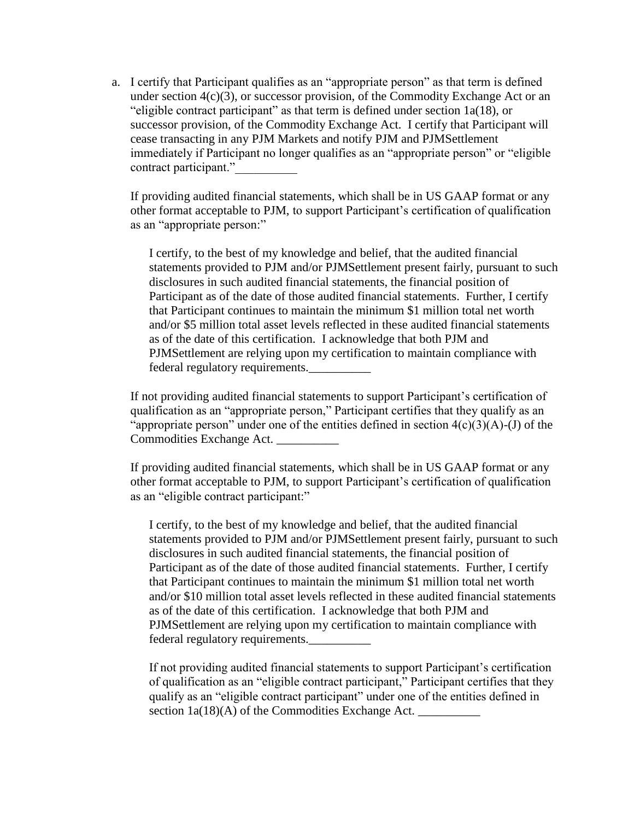a. I certify that Participant qualifies as an "appropriate person" as that term is defined under section  $4(c)(3)$ , or successor provision, of the Commodity Exchange Act or an "eligible contract participant" as that term is defined under section 1a(18), or successor provision, of the Commodity Exchange Act. I certify that Participant will cease transacting in any PJM Markets and notify PJM and PJMSettlement immediately if Participant no longer qualifies as an "appropriate person" or "eligible contract participant."

If providing audited financial statements, which shall be in US GAAP format or any other format acceptable to PJM, to support Participant's certification of qualification as an "appropriate person:"

I certify, to the best of my knowledge and belief, that the audited financial statements provided to PJM and/or PJMSettlement present fairly, pursuant to such disclosures in such audited financial statements, the financial position of Participant as of the date of those audited financial statements. Further, I certify that Participant continues to maintain the minimum \$1 million total net worth and/or \$5 million total asset levels reflected in these audited financial statements as of the date of this certification. I acknowledge that both PJM and PJMSettlement are relying upon my certification to maintain compliance with federal regulatory requirements.\_\_\_\_\_\_\_\_\_\_

If not providing audited financial statements to support Participant's certification of qualification as an "appropriate person," Participant certifies that they qualify as an "appropriate person" under one of the entities defined in section  $4(c)(3)(A)-(J)$  of the Commodities Exchange Act.

If providing audited financial statements, which shall be in US GAAP format or any other format acceptable to PJM, to support Participant's certification of qualification as an "eligible contract participant:"

I certify, to the best of my knowledge and belief, that the audited financial statements provided to PJM and/or PJMSettlement present fairly, pursuant to such disclosures in such audited financial statements, the financial position of Participant as of the date of those audited financial statements. Further, I certify that Participant continues to maintain the minimum \$1 million total net worth and/or \$10 million total asset levels reflected in these audited financial statements as of the date of this certification. I acknowledge that both PJM and PJMSettlement are relying upon my certification to maintain compliance with federal regulatory requirements.\_\_\_\_\_\_\_\_\_\_

If not providing audited financial statements to support Participant's certification of qualification as an "eligible contract participant," Participant certifies that they qualify as an "eligible contract participant" under one of the entities defined in section  $1a(18)(A)$  of the Commodities Exchange Act.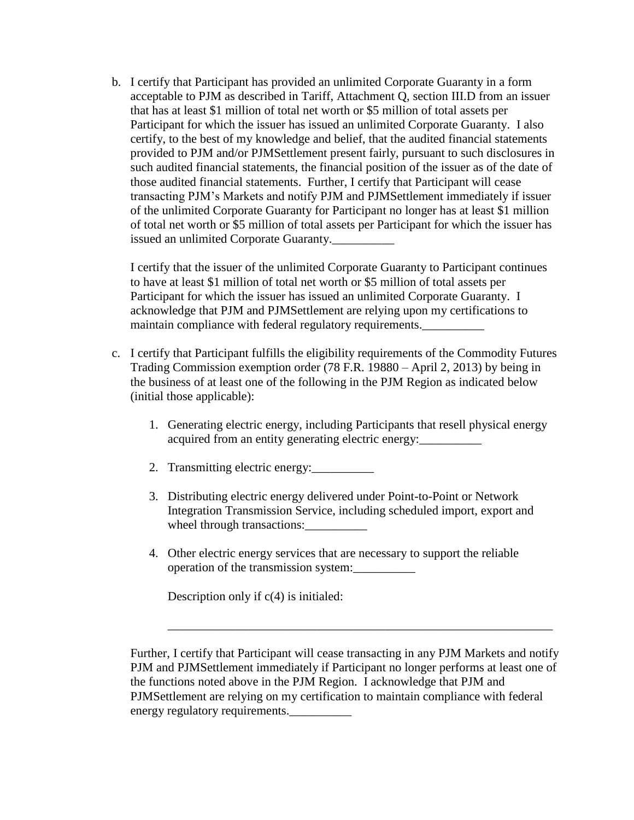b. I certify that Participant has provided an unlimited Corporate Guaranty in a form acceptable to PJM as described in Tariff, Attachment Q, section III.D from an issuer that has at least \$1 million of total net worth or \$5 million of total assets per Participant for which the issuer has issued an unlimited Corporate Guaranty. I also certify, to the best of my knowledge and belief, that the audited financial statements provided to PJM and/or PJMSettlement present fairly, pursuant to such disclosures in such audited financial statements, the financial position of the issuer as of the date of those audited financial statements. Further, I certify that Participant will cease transacting PJM's Markets and notify PJM and PJMSettlement immediately if issuer of the unlimited Corporate Guaranty for Participant no longer has at least \$1 million of total net worth or \$5 million of total assets per Participant for which the issuer has issued an unlimited Corporate Guaranty.

I certify that the issuer of the unlimited Corporate Guaranty to Participant continues to have at least \$1 million of total net worth or \$5 million of total assets per Participant for which the issuer has issued an unlimited Corporate Guaranty. I acknowledge that PJM and PJMSettlement are relying upon my certifications to maintain compliance with federal regulatory requirements.

- c. I certify that Participant fulfills the eligibility requirements of the Commodity Futures Trading Commission exemption order (78 F.R. 19880 – April 2, 2013) by being in the business of at least one of the following in the PJM Region as indicated below (initial those applicable):
	- 1. Generating electric energy, including Participants that resell physical energy acquired from an entity generating electric energy:
	- 2. Transmitting electric energy:
	- 3. Distributing electric energy delivered under Point-to-Point or Network Integration Transmission Service, including scheduled import, export and wheel through transactions:
	- 4. Other electric energy services that are necessary to support the reliable operation of the transmission system:\_\_\_\_\_\_\_\_\_\_

Description only if  $c(4)$  is initialed:

Further, I certify that Participant will cease transacting in any PJM Markets and notify PJM and PJMSettlement immediately if Participant no longer performs at least one of the functions noted above in the PJM Region. I acknowledge that PJM and PJMSettlement are relying on my certification to maintain compliance with federal energy regulatory requirements.

\_\_\_\_\_\_\_\_\_\_\_\_\_\_\_\_\_\_\_\_\_\_\_\_\_\_\_\_\_\_\_\_\_\_\_\_\_\_\_\_\_\_\_\_\_\_\_\_\_\_\_\_\_\_\_\_\_\_\_\_\_\_